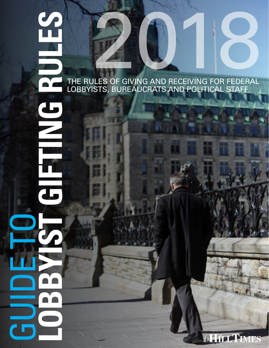# **LOBBYIST GIFTING RULES**<br> **LOBBYIST**<br> **LOBBYIST**<br> **LOBBYIST SURFACE AND RECEIVING FOR FEDERAL**<br> **LOBBYIST** THE RULES OF GIVING AND RECEIVING FOR FEDERAL LOBBYISTS, BUREAUCRATS AND POLITICAL STAFF GUIDE TO  $\overline{\phantom{a}}$  $\overline{\mathbf{C}}$

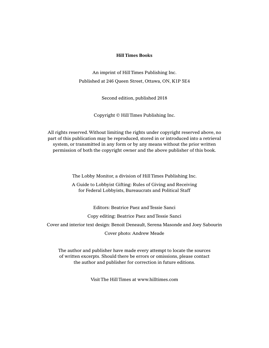#### **Hill Times Books**

An imprint of Hill Times Publishing Inc. Published at 246 Queen Street, Ottawa, ON, K1P 5E4

Second edition, published 2018

Copyright © Hill Times Publishing Inc.

All rights reserved. Without limiting the rights under copyright reserved above, no part of this publication may be reproduced, stored in or introduced into a retrieval system, or transmitted in any form or by any means without the prior written permission of both the copyright owner and the above publisher of this book.

The Lobby Monitor, a division of Hill Times Publishing Inc.

A Guide to Lobbyist Gifting: Rules of Giving and Receiving for Federal Lobbyists, Bureaucrats and Political Staff

Editors: Beatrice Paez and Tessie Sanci

Copy editing: Beatrice Paez and Tessie Sanci

Cover and interior text design: Benoit Deneault, Serena Masonde and Joey Sabourin

Cover photo: Andrew Meade

The author and publisher have made every attempt to locate the sources of written excerpts. Should there be errors or omissions, please contact the author and publisher for correction in future editions.

Visit The Hill Times at www.hilltimes.com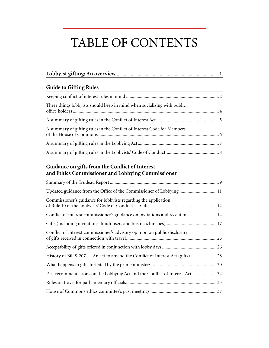# TABLE OF CONTENTS

| ${\bf Lobbyist~gifting: An ~ overview.} \hspace{0.06in} {\bf \dots 0}$                                                                                       |
|--------------------------------------------------------------------------------------------------------------------------------------------------------------|
| <b>Guide to Gifting Rules</b>                                                                                                                                |
|                                                                                                                                                              |
| Three things lobbyists should keep in mind when socializing with public                                                                                      |
|                                                                                                                                                              |
| A summary of gifting rules in the Conflict of Interest Code for Members                                                                                      |
|                                                                                                                                                              |
|                                                                                                                                                              |
| Guidance on gifts from the Conflict of Interest<br>and Ethics Commissioner and Lobbying Commissioner<br><u> 1989 - Johann Stoff, Amerikaansk politiker (</u> |
|                                                                                                                                                              |
| Updated guidance from the Office of the Commissioner of Lobbying  11                                                                                         |
| Commissioner's guidance for lobbyists regarding the application                                                                                              |
| Conflict of interest commissioner's guidance on invitations and receptions 14                                                                                |
|                                                                                                                                                              |
| Conflict of interest commissioner's advisory opinion on public disclosure                                                                                    |
|                                                                                                                                                              |

| Past recommendations on the Lobbying Act and the Conflict of Interest Act 32 |  |
|------------------------------------------------------------------------------|--|
|                                                                              |  |
|                                                                              |  |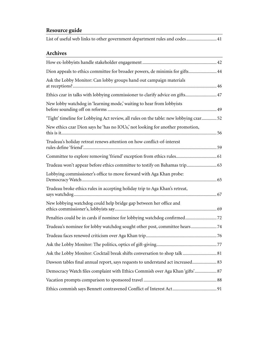#### **Resource guide**

| List of useful web links to other government department rules and codes 41 |  |  |
|----------------------------------------------------------------------------|--|--|
|----------------------------------------------------------------------------|--|--|

#### **Archives**

| Dion appeals to ethics committee for broader powers, de minimis for gifts 44          |
|---------------------------------------------------------------------------------------|
| Ask the Lobby Monitor: Can lobby groups hand out campaign materials                   |
| Ethics czar in talks with lobbying commissioner to clarify advice on gifts 47         |
| New lobby watchdog in 'learning mode,' waiting to hear from lobbyists                 |
| 'Tight' timeline for Lobbying Act review, all rules on the table: new lobbying czar52 |
| New ethics czar Dion says he 'has no IOUs,' not looking for another promotion,        |
| Trudeau's holiday retreat renews attention on how conflict-of-interest                |
| Committee to explore removing 'friend' exception from ethics rules 61                 |
| Trudeau won't appear before ethics committee to testify on Bahamas trip 63            |
| Lobbying commissioner's office to move forward with Aga Khan probe:                   |
| Trudeau broke ethics rules in accepting holiday trip to Aga Khan's retreat,           |
| New lobbying watchdog could help bridge gap between her office and                    |
| Penalties could be in cards if nominee for lobbying watchdog confirmed 72             |
| Trudeau's nominee for lobby watchdog sought other post, committee hears74             |
|                                                                                       |
|                                                                                       |
| Ask the Lobby Monitor: Cocktail break shifts conversation to shop talk  81            |
| Dawson tables final annual report, says requests to understand act increased 83       |
| Democracy Watch files complaint with Ethics Commish over Aga Khan 'gifts' 87          |
|                                                                                       |
|                                                                                       |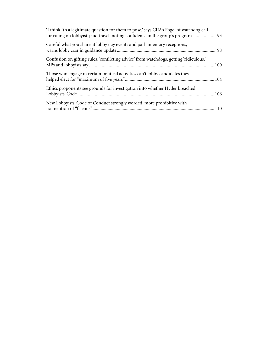| 'I think it's a legitimate question for them to pose,' says CIJA's Fogel of watchdog call<br>for ruling on lobbyist-paid travel, noting confidence in the group's program 93 |  |
|------------------------------------------------------------------------------------------------------------------------------------------------------------------------------|--|
| Careful what you share at lobby day events and parliamentary receptions,                                                                                                     |  |
| Confusion on gifting rules, 'conflicting advice' from watchdogs, getting 'ridiculous,'                                                                                       |  |
| Those who engage in certain political activities can't lobby candidates they                                                                                                 |  |
| Ethics proponents see grounds for investigation into whether Hyder breached                                                                                                  |  |
| New Lobbyists' Code of Conduct strongly worded, more prohibitive with                                                                                                        |  |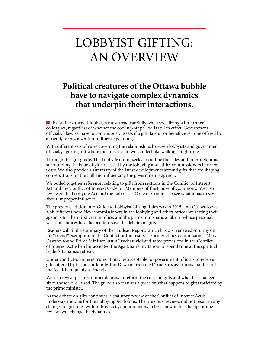## <span id="page-5-0"></span>LOBBYIST GIFTING: AN OVERVIEW

## **Political creatures of the Ottawa bubble have to navigate complex dynamics that underpin their interactions.**

 $\blacksquare$  Ex-staffers-turned-lobbyists must tread carefully when socializing with former colleagues, regardless of whether the cooling-off period is still in effect. Government officials, likewise, have to continuously assess if a gift, favour or benefit, even one offered by a friend, carries a whiff of influence peddling.

With different sets of rules governing the relationships between lobbyists and government officials, figuring out where the lines are drawn can feel like walking a tightrope.

Through this gift guide, The Lobby Monitor seeks to outline the rules and interpretations surrounding the issue of gifts released by the lobbying and ethics commissioners in recent years. We also provide a summary of the latest developments around gifts that are shaping conversations on the Hill and influencing the government's agenda.

We pulled together references relating to gifts from sections in the Conflict of Interest Act and the Conflict of Interest Code for Members of the House of Commons. We also reviewed the Lobbying Act and the Lobbyists' Code of Conduct to see what it has to say about improper influence.

The previous edition of A Guide to Lobbyist Gifting Rules was in 2015, and Ottawa looks a bit different now. New commissioners in the lobbying and ethics offices are setting their agendas for their first year in office, and the prime minister is a Liberal whose personal vacation choices have helped to revive the debate on gifts.

Readers will find a summary of the Trudeau Report, which has cast renewed scrutiny on the "friend" exemption in the Conflict of Interest Act. Former ethics commissioner Mary Dawson found Prime Minister Justin Trudeau violated some provisions in the Conflict of Interest Act when he accepted the Aga Khan's invitation to spend time at the spiritual leader's Bahamas retreat.

Under conflict-of-interest rules, it may be acceptable for government officials to receive gifts offered by friends or family. But Dawson overruled Trudeau's assertions that he and the Aga Khan qualify as friends.

We also revisit past recommendations to reform the rules on gifts and what has changed since those were raised. The guide also features a piece on what happens to gifts forfeited by the prime minister.

As the debate on gifts continues, a statutory review of the Conflict of Interest Act is underway and one for the Lobbying Act looms. The previous reviews did not result in any changes to gift rules within those acts, and it remains to be seen whether the upcoming reviews will change the dynamics.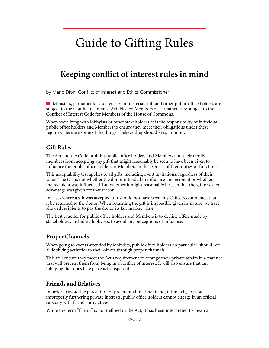# <span id="page-6-0"></span>Guide to Gifting Rules

## **Keeping conflict of interest rules in mind**

by Mario Dion, Conflict of Interest and Ethics Commissioner

**n** Ministers, parliamentary secretaries, ministerial staff and other public office holders are subject to the Conflict of Interest Act. Elected Members of Parliament are subject to the Conflict of Interest Code for Members of the House of Commons.

When socializing with lobbyists or other stakeholders, it is the responsibility of individual public office holders and Members to ensure they meet their obligations under these regimes. Here are some of the things I believe they should keep in mind.

#### **Gift Rules**

The Act and the Code prohibit public office holders and Members and their family members from accepting any gift that might reasonably be seen to have been given to influence the public office holders or Members in the exercise of their duties or functions.

This acceptability test applies to all gifts, including event invitations, regardless of their value. The test is not whether the donor intended to influence the recipient or whether the recipient was influenced, but whether it might reasonably be seen that the gift or other advantage was given for that reason.

In cases where a gift was accepted but should not have been, my Office recommends that it be returned to the donor. When returning the gift is impossible given its nature, we have allowed recipients to pay the donor its fair market value.

The best practice for public office holders and Members is to decline offers made by stakeholders, including lobbyists, to avoid any perceptions of influence.

#### **Proper Channels**

When going to events attended by lobbyists, public office holders, in particular, should refer all lobbying activities to their offices through proper channels.

This will ensure they meet the Act's requirement to arrange their private affairs in a manner that will prevent them from being in a conflict of interest. It will also ensure that any lobbying that does take place is transparent.

#### **Friends and Relatives**

In order to avoid the perception of preferential treatment and, ultimately, to avoid improperly furthering private interests, public office holders cannot engage in an official capacity with friends or relatives.

While the term "friend" is not defined in the Act, it has been interpreted to mean a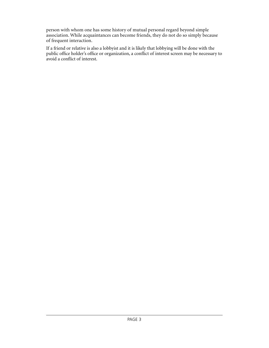person with whom one has some history of mutual personal regard beyond simple association. While acquaintances can become friends, they do not do so simply because of frequent interaction.

If a friend or relative is also a lobbyist and it is likely that lobbying will be done with the public office holder's office or organization, a conflict of interest screen may be necessary to avoid a conflict of interest.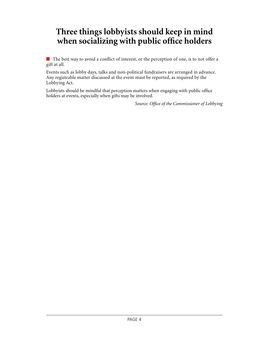## <span id="page-8-0"></span>**Three things lobbyists should keep in mind when socializing with public office holders**

 $\blacksquare$  The best way to avoid a conflict of interest, or the perception of one, is to not offer a gift at all.

Events such as lobby days, talks and non-political fundraisers are arranged in advance. Any registrable matter discussed at the event must be reported, as required by the Lobbying Act.

Lobbyists should be mindful that perception matters when engaging with public office holders at events, especially when gifts may be involved.

*Source: Office of the Commissioner of Lobbying*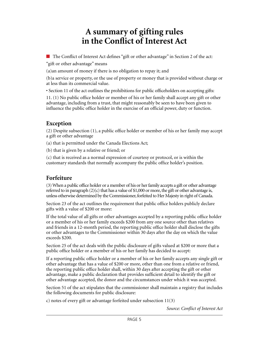## **A summary of gifting rules in the Conflict of Interest Act**

<span id="page-9-0"></span>n The Conflict of Interest Act defines "gift or other advantage" in Section 2 of the act:

"gift or other advantage" means

(a)an amount of money if there is no obligation to repay it; and

(b)a service or property, or the use of property or money that is provided without charge or at less than its commercial value.

• Section 11 of the act outlines the prohibitions for public officeholders on accepting gifts:

11. (1) No public office holder or member of his or her family shall accept any gift or other advantage, including from a trust, that might reasonably be seen to have been given to influence the public office holder in the exercise of an official power, duty or function.

#### **Exception**

(2) Despite subsection (1), a public office holder or member of his or her family may accept a gift or other advantage

(a) that is permitted under the Canada Elections Act;

(b) that is given by a relative or friend; or

(c) that is received as a normal expression of courtesy or protocol, or is within the customary standards that normally accompany the public office holder's position.

### **Forfeiture**

(3) When a public office holder or a member of his or her family accepts a gift or other advantage referred to in paragraph  $(2)(c)$  that has a value of \$1,000 or more, the gift or other advantage is, unless otherwise determined by the Commissioner, forfeited to Her Majesty in right of Canada.

Section 23 of the act outlines the requirement that public office holders publicly declare gifts with a value of \$200 or more:

If the total value of all gifts or other advantages accepted by a reporting public office holder or a member of his or her family exceeds \$200 from any one source other than relatives and friends in a 12-month period, the reporting public office holder shall disclose the gifts or other advantages to the Commissioner within 30 days after the day on which the value exceeds \$200.

Section 25 of the act deals with the public disclosure of gifts valued at \$200 or more that a public office holder or a member of his or her family has decided to accept:

If a reporting public office holder or a member of his or her family accepts any single gift or other advantage that has a value of \$200 or more, other than one from a relative or friend, the reporting public office holder shall, within 30 days after accepting the gift or other advantage, make a public declaration that provides sufficient detail to identify the gift or other advantage accepted, the donor and the circumstances under which it was accepted.

Section 51 of the act stipulates that the commissioner shall maintain a registry that includes the following documents for public disclosure:

c) notes of every gift or advantage forfeited under subsection 11(3)

*Source: [Conflict of Interest Act](http://laws-lois.justice.gc.ca/PDF/C-36.65.pdf)*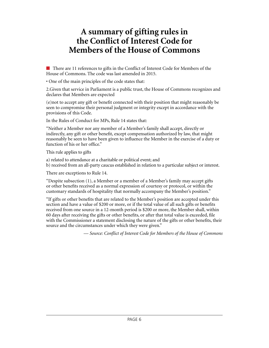## <span id="page-10-0"></span>**A summary of gifting rules in the Conflict of Interest Code for Members of the House of Commons**

n There are 11 references to gifts in the Conflict of Interest Code for Members of the House of Commons. The code was last amended in 2015.

• One of the main principles of the code states that:

2.Given that service in Parliament is a public trust, the House of Commons recognizes and declares that Members are expected

(e)not to accept any gift or benefit connected with their position that might reasonably be seen to compromise their personal judgment or integrity except in accordance with the provisions of this Code.

In the Rules of Conduct for MPs, Rule 14 states that:

"Neither a Member nor any member of a Member's family shall accept, directly or indirectly, any gift or other benefit, except compensation authorized by law, that might reasonably be seen to have been given to influence the Member in the exercise of a duty or function of his or her office."

This rule applies to gifts

a) related to attendance at a charitable or political event; and

b) received from an all-party caucus established in relation to a particular subject or interest.

There are exceptions to Rule 14.

"Despite subsection (1), a Member or a member of a Member's family may accept gifts or other benefits received as a normal expression of courtesy or protocol, or within the customary standards of hospitality that normally accompany the Member's position."

"If gifts or other benefits that are related to the Member's position are accepted under this section and have a value of \$200 or more, or if the total value of all such gifts or benefits received from one source in a 12-month period is \$200 or more, the Member shall, within 60 days after receiving the gifts or other benefits, or after that total value is exceeded, file with the Commissioner a statement disclosing the nature of the gifts or other benefits, their source and the circumstances under which they were given."

*— Source: [Conflict of Interest Code for Members of the House of Commons](http://ciec-ccie.parl.gc.ca/EN/Pages/ConflictOfInterestCode.aspx)*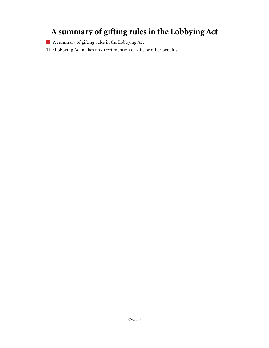## <span id="page-11-0"></span>**A summary of gifting rules in the Lobbying Act**

**n** A summary of gifting rules in the Lobbying Act

The Lobbying Act makes no direct mention of gifts or other benefits.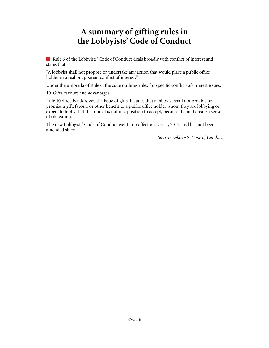## **A summary of gifting rules in the Lobbyists' Code of Conduct**

<span id="page-12-0"></span>n Rule 6 of the Lobbyists' Code of Conduct deals broadly with conflict of interest and states that:

"A lobbyist shall not propose or undertake any action that would place a public office holder in a real or apparent conflict of interest."

Under the umbrella of Rule 6, the code outlines rules for specific conflict-of-interest issues:

10. Gifts, favours and advantages

Rule 10 directly addresses the issue of gifts. It states that a lobbyist shall not provide or promise a gift, favour, or other benefit to a public office holder whom they are lobbying or expect to lobby that the official is not in a position to accept, because it could create a sense of obligation.

The new Lobbyists' Code of Conduct went into effect on Dec. 1, 2015, and has not been amended since.

*Source: [Lobbyists' Code of Conduct](https://lobbycanada.gc.ca/eic/site/012.nsf/eng/h_00013.html)*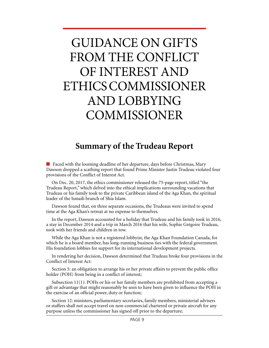# <span id="page-13-0"></span>GUIDANCE ON GIFTS FROM THE CONFLICT OF INTEREST AND ETHICS COMMISSIONER AND LOBBYING COMMISSIONER

## **Summary of the Trudeau Report**

■ Faced with the looming deadline of her departure, days before Christmas, Mary Dawson dropped a scathing report that found Prime Minister Justin Trudeau violated four provisions of the Conflict of Interest Act.

On Dec. 20, 2017, the ethics commissioner released the 75-page report, titled "the Trudeau Report," which delved into the ethical implications surrounding vacations that Trudeau or his family took to the private Caribbean island of the Aga Khan, the spiritual leader of the Ismaili branch of Shia Islam.

Dawson found that, on three separate occasions, the Trudeaus were invited to spend time at the Aga Khan's retreat at no expense to themselves.

In the report, Dawson accounted for a holiday that Trudeau and his family took in 2016, a stay in December 2014 and a trip in March 2016 that his wife, Sophie Grégoire Trudeau, took with her friends and children in tow.

While the Aga Khan is not a registered lobbyist, the Aga Khan Foundation Canada, for which he is a board member, has long-running business ties with the federal government. His foundation lobbies for support for its international development projects.

In rendering her decision, Dawson determined that Trudeau broke four provisions in the Conflict of Interest Act:

Section 5: an obligation to arrange his or her private affairs to prevent the public office holder (POH) from being in a conflict of interest;

Subsection 11(1): POHs or his or her family members are prohibited from accepting a gift or advantage that might reasonably be seen to have been given to influence the POH in the exercise of an official power, duty or function;

Section 12: ministers, parliamentary secretaries, family members, ministerial advisers or staffers shall not accept travel on non-commercial chartered or private aircraft for any purpose unless the commissioner has signed off prior to the departure;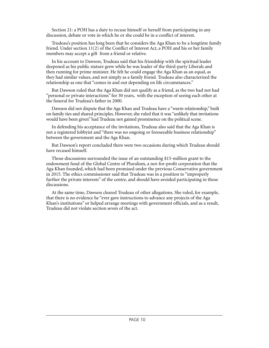Section 21: a POH has a duty to recuse himself or herself from participating in any discussion, debate or vote in which he or she could be in a conflict of interest.

Trudeau's position has long been that he considers the Aga Khan to be a longtime family friend. Under section 11(2) of the Conflict of Interest Act, a POH and his or her family members may accept a gift from a friend or relative.

In his account to Dawson, Trudeau said that his friendship with the spiritual leader deepened as his public stature grew while he was leader of the third-party Liberals and then running for prime minister. He felt he could engage the Aga Khan as an equal, as they had similar values, and not simply as a family friend. Trudeau also characterized the relationship as one that "comes in and out depending on life circumstances."

But Dawson ruled that the Aga Khan did not qualify as a friend, as the two had not had "personal or private interactions" for 30 years, with the exception of seeing each other at the funeral for Trudeau's father in 2000.

Dawson did not dispute that the Aga Khan and Trudeau have a "warm relationship," built on family ties and shared principles. However, she ruled that it was "unlikely that invitations would have been given" had Trudeau not gained prominence on the political scene.

In defending his acceptance of the invitations, Trudeau also said that the Aga Khan is not a registered lobbyist and "there was no ongoing or foreseeable business relationship" between the government and the Aga Khan.

But Dawson's report concluded there were two occasions during which Trudeau should have recused himself.

Those discussions surrounded the issue of an outstanding \$15-million grant to the endowment fund of the Global Centre of Pluralism, a not-for-profit corporation that the Aga Khan founded, which had been promised under the previous Conservative government in 2015. The ethics commissioner said that Trudeau was in a position to "improperly further the private interests" of the centre, and should have avoided participating in those discussions.

At the same time, Dawson cleared Trudeau of other allegations. She ruled, for example, that there is no evidence he "ever gave instructions to advance any projects of the Aga Khan's institutions" or helped arrange meetings with government officials, and as a result, Trudeau did not violate section seven of the act.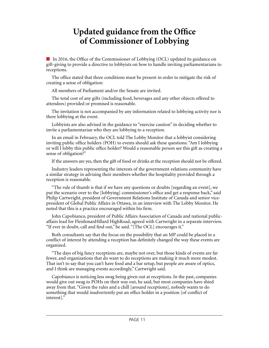## **Updated guidance from the Office of Commissioner of Lobbying**

<span id="page-15-0"></span>n In 2016, the Office of the Commissioner of Lobbying (OCL) updated its guidance on gift-giving to provide a directive to lobbyists on how to handle inviting parliamentarians to receptions.

The office stated that three conditions must be present in order to mitigate the risk of creating a sense of obligation:

All members of Parliament and/or the Senate are invited.

The total cost of any gifts (including food, beverages and any other objects offered to attendees) provided or promised is reasonable.

The invitation is not accompanied by any information related to lobbying activity nor is there lobbying at the event.

Lobbyists are also advised in the guidance to "exercise caution" in deciding whether to invite a parliamentarian who they are lobbying to a reception.

In an email in February, the OCL told The Lobby Monitor that a lobbyist considering inviting public office holders (POH) to events should ask these questions: "Am I lobbying or will I lobby this public office holder? Would a reasonable person see this gift as creating a sense of obligation?"

If the answers are yes, then the gift of food or drinks at the reception should not be offered.

Industry leaders representing the interests of the government-relations community have a similar strategy in advising their members whether the hospitality provided through a reception is reasonable.

"The rule of thumb is that if we have any questions or doubts [regarding an event], we put the scenario over to the [lobbying] commissioner's office and get a response back," said Philip Cartwright, president of Government Relations Institute of Canada and senior vicepresident of Global Public Affairs in Ottawa, in an interview with The Lobby Monitor. He noted that this is a practice encouraged within his firm.

John Capobianco, president of Public Affairs Association of Canada and national publicaffairs lead for FleishmanHillard HighRoad, agreed with Cartwright in a separate interview. "If ever in doubt, call and find out," he said. "[The OCL] encourages it."

Both consultants say that the focus on the possibility that an MP could be placed in a conflict of interest by attending a reception has definitely changed the way these events are organized.

"The days of big fancy receptions are, maybe not over, but those kinds of events are far fewer, and organizations that do want to do receptions are making it much more modest. That isn't to say that you can't have food and a bar setup, but people are aware of optics, and I think are managing events accordingly," Cartwright said.

Capobianco is noticing less swag being given out at receptions. In the past, companies would give out swag to POHs on their way out, he said, but most companies have shied away from that. "Given the rules and a chill [around receptions], nobody wants to do something that would inadvertently put an office holder in a position [of conflict of interest]."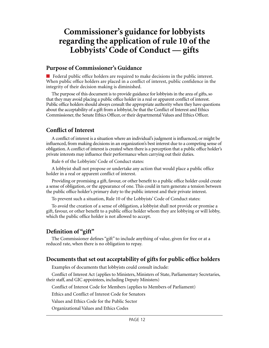## <span id="page-16-0"></span>**Commissioner's guidance for lobbyists regarding the application of rule 10 of the Lobbyists' Code of Conduct — gifts**

#### **Purpose of Commissioner's Guidance**

 $\blacksquare$  Federal public office holders are required to make decisions in the public interest. When public office holders are placed in a conflict of interest, public confidence in the integrity of their decision making is diminished.

The purpose of this document is to provide guidance for lobbyists in the area of gifts, so that they may avoid placing a public office holder in a real or apparent conflict of interest. Public office holders should always consult the appropriate authority when they have questions about the acceptability of a gift from a lobbyist, be that the Conflict of Interest and Ethics Commissioner, the Senate Ethics Officer, or their departmental Values and Ethics Officer.

#### **Conflict of Interest**

A conflict of interest is a situation where an individual's judgment is influenced, or might be influenced, from making decisions in an organization's best interest due to a competing sense of obligation. A conflict of interest is created when there is a perception that a public office holder's private interests may influence their performance when carrying out their duties.

Rule 6 of the Lobbyists' Code of Conduct states:

A lobbyist shall not propose or undertake any action that would place a public office holder in a real or apparent conflict of interest.

Providing or promising a gift, favour, or other benefit to a public office holder could create a sense of obligation, or the appearance of one. This could in turn generate a tension between the public office holder's primary duty to the public interest and their private interest.

To prevent such a situation, Rule 10 of the Lobbyists' Code of Conduct states:

To avoid the creation of a sense of obligation, a lobbyist shall not provide or promise a gift, favour, or other benefit to a public office holder whom they are lobbying or will lobby, which the public office holder is not allowed to accept.

#### **Definition of "gift"**

The Commissioner defines "gift" to include anything of value, given for free or at a reduced rate, when there is no obligation to repay.

#### **Documents that set out acceptability of gifts for public office holders**

Examples of documents that lobbyists could consult include:

[Conflict of Interest Act](http://laws-lois.justice.gc.ca/eng/acts/c-36.65/) (applies to Ministers, Ministers of State, Parliamentary Secretaries, their staff, and GIC appointees, including Deputy Ministers[\)](https://lobbycanada.gc.ca/eic/site/012.nsf/eng/01183.html#ftn3)

[Conflict of Interest Code for Members](http://www.parl.gc.ca/About/House/StandingOrders/appa1-e.htm) (applies to Members of Parliament[\)](https://lobbycanada.gc.ca/eic/site/012.nsf/eng/01183.html#ftn4)

[Ethics and Conflict of Interest Code for Senators](http://sen.parl.gc.ca/seo-cse/Eng/Code-e.html)

[Values and Ethics Code for the Public Sector](http://www.tbs-sct.gc.ca/pol/doc-eng.aspx?id=25049)

Organizational Values and Ethics Code[s](https://lobbycanada.gc.ca/eic/site/012.nsf/eng/01183.html#ftn5)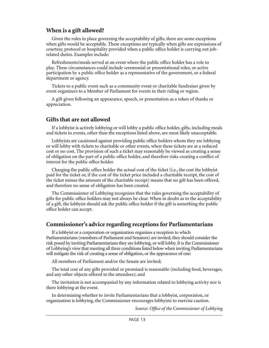#### **When is a gift allowed?**

Given the rules in place governing the acceptability of gifts, there are some exceptions when gifts would be acceptable. These exceptions are typically when gifts are expressions of courtesy, protocol or hospitality provided when a public office holder is carrying out jobrelated duties. Examples include:

Refreshments/meals served at an event where the public office holder has a role to play. These circumstances could include ceremonial or presentational roles, or active participation by a public office holder as a representative of the government, or a federal department or agency.

Tickets to a public event such as a community event or charitable fundraiser given by event organizers to a Member of Parliament for events in their riding or region.

A gift given following an appearance, speech, or presentation as a token of thanks or appreciation.

#### **Gifts that are not allowed**

If a lobbyist is actively lobbying or will lobby a public office holder, gifts, including meals and tickets to events, other than the exceptions listed above, are most likely unacceptable.

Lobbyists are cautioned against providing public office holders whom they are lobbying or will lobby with tickets to charitable or other events, when these tickets are at a reduced cost or no cost. The provision of such a ticket may reasonably be viewed as creating a sense of obligation on the part of a public office holder, and therefore risks creating a conflict of interest for the public office holder.

Charging the public office holder the actual cost of the ticket (i.e., the cost the lobbyist paid for the ticket or, if the cost of the ticket price included a charitable receipt, the cost of the ticket minus the amount of the charitable receipt) means that no gift has been offered, and therefore no sense of obligation has been created.

The Commissioner of Lobbying recognizes that the rules governing the acceptability of gifts for public office holders may not always be clear. When in doubt as to the acceptability of a gift, the lobbyist should ask the public office holder if the gift is something the public office holder can accept.

#### **Commissioner's advice regarding receptions for Parliamentarians**

If a lobbyist or a corporation or organization organizes a reception to which Parliamentarians (members of Parliament and Senators) are invited, they should consider the risk posed by inviting Parliamentarians they are lobbying, or will lobby. It is the Commissioner of Lobbying's view that meeting all three conditions listed below when inviting Parliamentarians will mitigate the risk of creating a sense of obligation, or the appearance of one:

All members of Parliament and/or the Senate are invited;

The total cost of any gifts provided or promised is reasonable (including food, beverages, and any other objects offered to the attendees); and

The invitation is not accompanied by any information related to lobbying activity nor is there lobbying at the event.

In determining whether to invite Parliamentarians that a lobbyist, corporation, or organization is lobbying, the Commissioner encourages lobbyists to exercise caution.

*Source: Office of the Commissioner of Lobbying*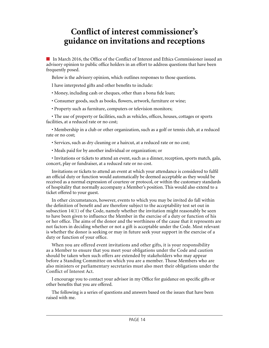## <span id="page-18-0"></span>**Conflict of interest commissioner's guidance on invitations and receptions**

n In March 2016, the Office of the Conflict of Interest and Ethics Commissioner issued an advisory opinion to public office holders in an effort to address questions that have been frequently posed.

Below is the advisory opinion, which outlines responses to those questions.

I have interpreted gifts and other benefits to include:

- Money, including cash or cheques, other than a bona fide loan;
- Consumer goods, such as books, flowers, artwork, furniture or wine;
- Property such as furniture, computers or television monitors;

• The use of property or facilities, such as vehicles, offices, houses, cottages or sports facilities, at a reduced rate or no cost;

• Membership in a club or other organization, such as a golf or tennis club, at a reduced rate or no cost;

- Services, such as dry cleaning or a haircut, at a reduced rate or no cost;
- Meals paid for by another individual or organization; or

• Invitations or tickets to attend an event, such as a dinner, reception, sports match, gala, concert, play or fundraiser, at a reduced rate or no cost.

Invitations or tickets to attend an event at which your attendance is considered to fulfil an official duty or function would automatically be deemed acceptable as they would be received as a normal expression of courtesy or protocol, or within the customary standards of hospitality that normally accompany a Member's position. This would also extend to a ticket offered to your guest.

In other circumstances, however, events to which you may be invited do fall within the definition of benefit and are therefore subject to the acceptability test set out in subsection  $14(1)$  of the Code, namely whether the invitation might reasonably be seen to have been given to influence the Member in the exercise of a duty or function of his or her office. The aims of the donor and the worthiness of the cause that it represents are not factors in deciding whether or not a gift is acceptable under the Code. Most relevant is whether the donor is seeking or may in future seek your support in the exercise of a duty or function of your office.

When you are offered event invitations and other gifts, it is your responsibility as a Member to ensure that you meet your obligations under the Code and caution should be taken when such offers are extended by stakeholders who may appear before a Standing Committee on which you are a member. Those Members who are also ministers or parliamentary secretaries must also meet their obligations under the Conflict of Interest Act.

I encourage you to contact your advisor in my Office for guidance on specific gifts or other benefits that you are offered.

The following is a series of questions and answers based on the issues that have been raised with me.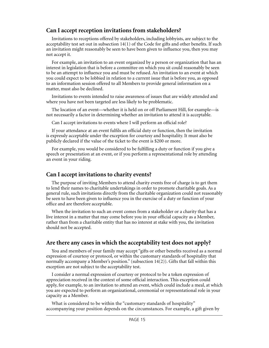#### **Can I accept reception invitations from stakeholders?**

Invitations to receptions offered by stakeholders, including lobbyists, are subject to the acceptability test set out in subsection 14(1) of the Code for gifts and other benefits. If such an invitation might reasonably be seen to have been given to influence you, then you may not accept it.

For example, an invitation to an event organized by a person or organization that has an interest in legislation that is before a committee on which you sit could reasonably be seen to be an attempt to influence you and must be refused. An invitation to an event at which you could expect to be lobbied in relation to a current issue that is before you, as opposed to an information session offered to all Members to provide general information on a matter, must also be declined.

Invitations to events intended to raise awareness of issues that are widely attended and where you have not been targeted are less likely to be problematic.

The location of an event—whether it is held on or off Parliament Hill, for example—is not necessarily a factor in determining whether an invitation to attend it is acceptable.

Can I accept invitations to events where I will perform an official role?

If your attendance at an event fulfils an official duty or function, then the invitation is expressly acceptable under the exception for courtesy and hospitality. It must also be publicly declared if the value of the ticket to the event is \$200 or more.

For example, you would be considered to be fulfilling a duty or function if you give a speech or presentation at an event, or if you perform a representational role by attending an event in your riding.

#### **Can I accept invitations to charity events?**

The purpose of inviting Members to attend charity events free of charge is to get them to lend their names to charitable undertakings in order to promote charitable goals. As a general rule, such invitations directly from the charitable organization could not reasonably be seen to have been given to influence you in the exercise of a duty or function of your office and are therefore acceptable.

When the invitation to such an event comes from a stakeholder or a charity that has a live interest in a matter that may come before you in your official capacity as a Member, rather than from a charitable entity that has no interest at stake with you, the invitation should not be accepted.

#### **Are there any cases in which the acceptability test does not apply?**

You and members of your family may accept "gifts or other benefits received as a normal expression of courtesy or protocol, or within the customary standards of hospitality that normally accompany a Member's position." (subsection  $14(2)$ ). Gifts that fall within this exception are not subject to the acceptability test.

I consider a normal expression of courtesy or protocol to be a token expression of appreciation received in the context of some official interaction. This exception could apply, for example, to an invitation to attend an event, which could include a meal, at which you are expected to perform an organizational, ceremonial or representational role in your capacity as a Member.

What is considered to be within the "customary standards of hospitality" accompanying your position depends on the circumstances. For example, a gift given by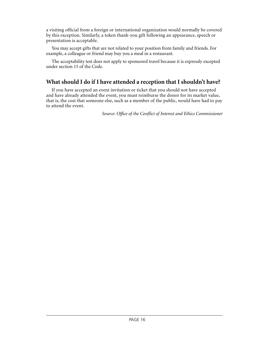a visiting official from a foreign or international organization would normally be covered by this exception. Similarly, a token thank-you gift following an appearance, speech or presentation is acceptable.

You may accept gifts that are not related to your position from family and friends. For example, a colleague or friend may buy you a meal in a restaurant.

The acceptability test does not apply to sponsored travel because it is expressly excepted under section 15 of the Code.

#### **What should I do if I have attended a reception that I shouldn't have?**

If you have accepted an event invitation or ticket that you should not have accepted and have already attended the event, you must reimburse the donor for its market value, that is, the cost that someone else, such as a member of the public, would have had to pay to attend the event.

*Source: Office of the Conflict of Interest and Ethics Commissioner*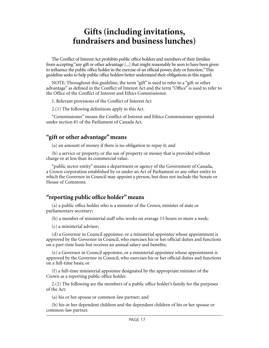## **Gifts (including invitations, fundraisers and business lunches)**

<span id="page-21-0"></span>The Conflict of Interest Act prohibits public office holders and members of their families from accepting "any gift or other advantage [...] that might reasonably be seen to have been given to influence the public office holder in the exercise of an official power, duty or function." This guideline seeks to help public office holders better understand their obligations in this regard.

NOTE: Throughout this guideline, the term "gift" is used to refer to a "gift or other advantage" as defined in the Conflict of Interest Act and the term "Office" is used to refer to the Office of the Conflict of Interest and Ethics Commissioner.

1. Relevant provisions of the Conflict of Interest Act

2.(1) The following definitions apply in this Act.

"Commissioner" means the Conflict of Interest and Ethics Commissioner appointed under section 81 of the Parliament of Canada Act.

#### **"gift or other advantage" means**

(a) an amount of money if there is no obligation to repay it; and

(b) a service or property, or the use of property or money that is provided without charge or at less than its commercial value.

"public sector entity" means a department or agency of the Government of Canada, a Crown corporation established by or under an Act of Parliament or any other entity to which the Governor in Council may appoint a person, but does not include the Senate or House of Commons.

#### **"reporting public office holder" means**

(a) a public office holder who is a minister of the Crown, minister of state or parliamentary secretary;

(b) a member of ministerial staff who works on average 15 hours or more a week;

(c) a ministerial advisor;

(d) a Governor in Council appointee, or a ministerial appointee whose appointment is approved by the Governor in Council, who exercises his or her official duties and functions on a part-time basis but receives an annual salary and benefits;

(e) a Governor in Council appointee, or a ministerial appointee whose appointment is approved by the Governor in Council, who exercises his or her official duties and functions on a full-time basis; or

(f) a full-time ministerial appointee designated by the appropriate minister of the Crown as a reporting public office holder.

2.(2) The following are the members of a public office holder's family for the purposes of the Act:

(a) his or her spouse or common-law partner; and

(b) his or her dependent children and the dependent children of his or her spouse or common-law partner.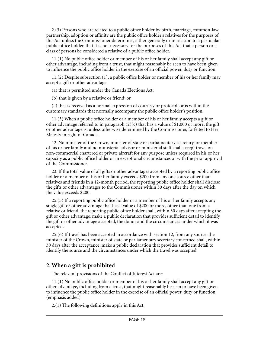2.(3) Persons who are related to a public office holder by birth, marriage, common-law partnership, adoption or affinity are the public office holder's relatives for the purposes of this Act unless the Commissioner determines, either generally or in relation to a particular public office holder, that it is not necessary for the purposes of this Act that a person or a class of persons be considered a relative of a public office holder.

11.(1) No public office holder or member of his or her family shall accept any gift or other advantage, including from a trust, that might reasonably be seen to have been given to influence the public office holder in the exercise of an official power, duty or function.

11.(2) Despite subsection (1), a public office holder or member of his or her family may accept a gift or other advantage

(a) that is permitted under the Canada Elections Act;

(b) that is given by a relative or friend; or

(c) that is received as a normal expression of courtesy or protocol, or is within the customary standards that normally accompany the public office holder's position.

11.(3) When a public office holder or a member of his or her family accepts a gift or other advantage referred to in paragraph  $(2)(c)$  that has a value of \$1,000 or more, the gift or other advantage is, unless otherwise determined by the Commissioner, forfeited to Her Majesty in right of Canada.

12. No minister of the Crown, minister of state or parliamentary secretary, or member of his or her family and no ministerial advisor or ministerial staff shall accept travel on non-commercial chartered or private aircraft for any purpose unless required in his or her capacity as a public office holder or in exceptional circumstances or with the prior approval of the Commissioner.

23. If the total value of all gifts or other advantages accepted by a reporting public office holder or a member of his or her family exceeds \$200 from any one source other than relatives and friends in a 12-month period, the reporting public office holder shall disclose the gifts or other advantages to the Commissioner within 30 days after the day on which the value exceeds \$200.

25.(5) If a reporting public office holder or a member of his or her family accepts any single gift or other advantage that has a value of \$200 or more, other than one from a relative or friend, the reporting public office holder shall, within 30 days after accepting the gift or other advantage, make a public declaration that provides sufficient detail to identify the gift or other advantage accepted, the donor and the circumstances under which it was accepted.

25.(6) If travel has been accepted in accordance with section 12, from any source, the minister of the Crown, minister of state or parliamentary secretary concerned shall, within 30 days after the acceptance, make a public declaration that provides sufficient detail to identify the source and the circumstances under which the travel was accepted.

#### **2. When a gift is prohibited**

The relevant provisions of the Conflict of Interest Act are:

11.(1) No public office holder or member of his or her family shall accept any gift or other advantage, including from a trust, that might reasonably be seen to have been given to influence the public office holder in the exercise of an official power, duty or function. (emphasis added)

2.(1) The following definitions apply in this Act.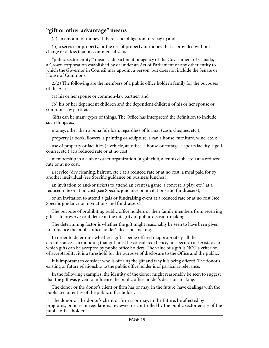#### **"gift or other advantage" means**

(a) an amount of money if there is no obligation to repay it; and

(b) a service or property, or the use of property or money that is provided without charge or at less than its commercial value.

"public sector entity"' means a department or agency of the Government of Canada, a Crown corporation established by or under an Act of Parliament or any other entity to which the Governor in Council may appoint a person, but does not include the Senate or House of Commons.

2.(2) The following are the members of a public office holder's family for the purposes of the Act:

(a) his or her spouse or common-law partner; and

(b) his or her dependent children and the dependent children of his or her spouse or common-law partner.

Gifts can be many types of things. The Office has interpreted the definition to include such things as:

money, other than a bona fide loan, regardless of format (cash, cheques, etc.);

property (a book, flowers, a painting or sculpture, a car, a house, furniture, wine, etc.);

use of property or facilities (a vehicle, an office, a house or cottage, a sports facility, a golf course, etc.) at a reduced rate or at no cost;

membership in a club or other organization (a golf club, a tennis club, etc.) at a reduced rate or at no cost;

a service (dry cleaning, haircut, etc.) at a reduced rate or at no cost; a meal paid for by another individual (see Specific guidance on business lunches);

an invitation to and/or tickets to attend an event (a game, a concert, a play, etc.) at a reduced rate or at no cost (see Specific guidance on invitations and fundraisers);

or an invitation to attend a gala or fundraising event at a reduced rate or at no cost (see Specific guidance on invitations and fundraisers).

The purpose of prohibiting public office holders or their family members from receiving gifts is to preserve confidence in the integrity of public decision-making.

The determining factor is whether the gift might reasonably be seen to have been given to influence the public office holder's decision-making.

In order to determine whether a gift is being offered inappropriately, all the circumstances surrounding that gift must be considered; hence, no specific rule exists as to which gifts can be accepted by public office holders. The value of a gift is NOT a criterion of acceptability; it is a threshold for the purpose of disclosure to the Office and the public.

It is important to consider who is offering the gift and why it is being offered. The donor's existing or future relationship to the public office holder is of particular relevance.

In the following examples, the identity of the donor might reasonably be seen to suggest that the gift was given to influence the public office holder's decision-making:

The donor or the donor's client or firm has or may, in the future, have dealings with the public sector entity of the public office holder.

The donor or the donor's client or firm is or may, in the future, be affected by programs, policies or regulations reviewed or controlled by the public sector entity of the public office holder.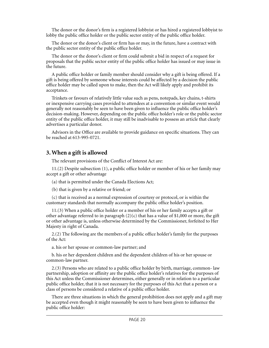The donor or the donor's firm is a registered lobbyist or has hired a registered lobbyist to lobby the public office holder or the public sector entity of the public office holder.

The donor or the donor's client or firm has or may, in the future, have a contract with the public sector entity of the public office holder.

The donor or the donor's client or firm could submit a bid in respect of a request for proposals that the public sector entity of the public office holder has issued or may issue in the future.

A public office holder or family member should consider why a gift is being offered. If a gift is being offered by someone whose interests could be affected by a decision the public office holder may be called upon to make, then the Act will likely apply and prohibit its acceptance.

Trinkets or favours of relatively little value such as pens, notepads, key chains, t-shirts or inexpensive carrying cases provided to attendees at a convention or similar event would generally not reasonably be seen to have been given to influence the public office holder's decision-making. However, depending on the public office holder's role or the public sector entity of the public office holder, it may still be inadvisable to possess an article that clearly advertises a particular donor.

Advisors in the Office are available to provide guidance on specific situations. They can be reached at 613-995-0721.

#### **3. When a gift is allowed**

The relevant provisions of the Conflict of Interest Act are:

11.(2) Despite subsection (1), a public office holder or member of his or her family may accept a gift or other advantage

(a) that is permitted under the Canada Elections Act;

(b) that is given by a relative or friend; or

(c) that is received as a normal expression of courtesy or protocol, or is within the customary standards that normally accompany the public office holder's position.

11.(3) When a public office holder or a member of his or her family accepts a gift or other advantage referred to in paragraph  $(2)(c)$  that has a value of \$1,000 or more, the gift or other advantage is, unless otherwise determined by the Commissioner, forfeited to Her Majesty in right of Canada.

2.(2) The following are the members of a public office holder's family for the purposes of the Act:

a. his or her spouse or common-law partner; and

b. his or her dependent children and the dependent children of his or her spouse or common-law partner.

2.(3) Persons who are related to a public office holder by birth, marriage, common- law partnership, adoption or affinity are the public office holder's relatives for the purposes of this Act unless the Commissioner determines, either generally or in relation to a particular public office holder, that it is not necessary for the purposes of this Act that a person or a class of persons be considered a relative of a public office holder.

There are three situations in which the general prohibition does not apply and a gift may be accepted even though it might reasonably be seen to have been given to influence the public office holder: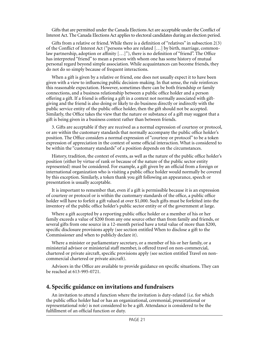Gifts that are permitted under the Canada Elections Act are acceptable under the Conflict of Interest Act. The Canada Elections Act applies to electoral candidates during an election period.

Gifts from a relative or friend. While there is a definition of "relatives" in subsection 2(3) of the Conflict of Interest Act ("persons who are related […] by birth, marriage, commonlaw partnership, adoption or affinity […]"), there is no definition of "friend". The Office has interpreted "friend" to mean a person with whom one has some history of mutual personal regard beyond simple association. While acquaintances can become friends, they do not do so simply because of frequent interactions.

When a gift is given by a relative or friend, one does not usually expect it to have been given with a view to influencing public decision-making. In that sense, the rule reinforces this reasonable expectation. However, sometimes there can be both friendship or family connections, and a business relationship between a public office holder and a person offering a gift. If a friend is offering a gift in a context not normally associated with giftgiving and the friend is also doing or likely to do business directly or indirectly with the public service entity of the public office holder, then the gift should not be accepted. Similarly, the Office takes the view that the nature or substance of a gift may suggest that a gift is being given in a business context rather than between friends.

3. Gifts are acceptable if they are received as a normal expression of courtesy or protocol, or are within the customary standards that normally accompany the public office holder's position. The Office considers a normal expression of "courtesy or protocol" to be a token expression of appreciation in the context of some official interaction. What is considered to be within the "customary standards" of a position depends on the circumstances.

History, tradition, the context of events, as well as the nature of the public office holder's position (either by virtue of rank or because of the nature of the public sector entity represented) must be considered. For example, a gift given by an official from a foreign or international organization who is visiting a public office holder would normally be covered by this exception. Similarly, a token thank you gift following an appearance, speech or presentation is usually acceptable.

It is important to remember that, even if a gift is permissible because it is an expression of courtesy or protocol or is within the customary standards of the office, a public office holder will have to forfeit a gift valued at over \$1,000. Such gifts must be forfeited into the inventory of the public office holder's public sector entity or of the government at large.

Where a gift accepted by a reporting public office holder or a member of his or her family exceeds a value of \$200 from any one source other than from family and friends, or several gifts from one source in a 12-month period have a total value of more than \$200, specific disclosure provisions apply (see section entitled When to disclose a gift to the Commissioner and when to publicly declare it).

Where a minister or parliamentary secretary, or a member of his or her family, or a ministerial advisor or ministerial staff member, is offered travel on non-commercial, chartered or private aircraft, specific provisions apply (see section entitled Travel on noncommercial chartered or private aircraft).

Advisors in the Office are available to provide guidance on specific situations. They can be reached at 613-995-0721.

#### **4. Specific guidance on invitations and fundraisers**

An invitation to attend a function where the invitation is duty-related (i.e. for which the public office holder had or has an organizational, ceremonial, presentational or representational role) is not considered to be a gift. Attendance is considered to be the fulfillment of an official function or duty.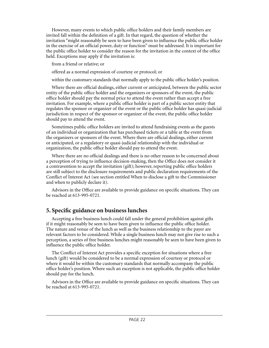However, many events to which public office holders and their family members are invited fall within the definition of a gift. In that regard, the question of whether the invitation "might reasonably be seen to have been given to influence the public office holder in the exercise of an official power, duty or function" must be addressed. It is important for the public office holder to consider the reason for the invitation in the context of the office held. Exceptions may apply if the invitation is:

from a friend or relative; or

offered as a normal expression of courtesy or protocol; or

within the customary standards that normally apply to the public office holder's position.

Where there are official dealings, either current or anticipated, between the public sector entity of the public office holder and the organizers or sponsors of the event, the public office holder should pay the normal price to attend the event rather than accept a free invitation. For example, where a public office holder is part of a public sector entity that regulates the sponsor or organizer of the event or the public office holder has quasi-judicial jurisdiction in respect of the sponsor or organizer of the event, the public office holder should pay to attend the event.

Sometimes public office holders are invited to attend fundraising events as the guests of an individual or organization that has purchased tickets or a table at the event from the organizers or sponsors of the event. Where there are official dealings, either current or anticipated, or a regulatory or quasi-judicial relationship with the individual or organization, the public office holder should pay to attend the event.

Where there are no official dealings and there is no other reason to be concerned about a perception of trying to influence decision-making, then the Office does not consider it a contravention to accept the invitation (gift); however, reporting public office holders are still subject to the disclosure requirements and public declaration requirements of the Conflict of Interest Act (see section entitled When to disclose a gift to the Commissioner and when to publicly declare it).

Advisors in the Office are available to provide guidance on specific situations. They can be reached at 613-995-0721.

#### **5. Specific guidance on business lunches**

Accepting a free business lunch could fall under the general prohibition against gifts if it might reasonably be seen to have been given to influence the public office holder. The nature and venue of the lunch as well as the business relationship to the payer are relevant factors to be considered. While a single business lunch may not give rise to such a perception, a series of free business lunches might reasonably be seen to have been given to influence the public office holder.

The Conflict of Interest Act provides a specific exception for situations where a free lunch (gift) would be considered to be a normal expression of courtesy or protocol or where it would be within the customary standards that normally accompany the public office holder's position. Where such an exception is not applicable, the public office holder should pay for the lunch.

Advisors in the Office are available to provide guidance on specific situations. They can be reached at 613-995-0721.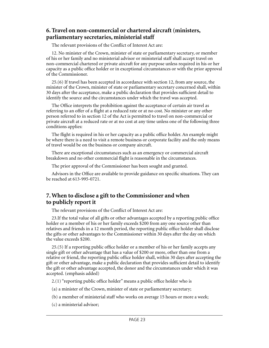#### **6. Travel on non-commercial or chartered aircraft (ministers, parliamentary secretaries, ministerial staff**

The relevant provisions of the Conflict of Interest Act are:

12. No minister of the Crown, minister of state or parliamentary secretary, or member of his or her family and no ministerial advisor or ministerial staff shall accept travel on non-commercial chartered or private aircraft for any purpose unless required in his or her capacity as a public office holder or in exceptional circumstances or with the prior approval of the Commissioner.

25.(6) If travel has been accepted in accordance with section 12, from any source, the minister of the Crown, minister of state or parliamentary secretary concerned shall, within 30 days after the acceptance, make a public declaration that provides sufficient detail to identify the source and the circumstances under which the travel was accepted.

The Office interprets the prohibition against the acceptance of certain air travel as referring to an offer of a flight at a reduced rate or at no cost. No minister or any other person referred to in section 12 of the Act is permitted to travel on non-commercial or private aircraft at a reduced rate or at no cost at any time unless one of the following three conditions applies:

The flight is required in his or her capacity as a public office holder. An example might be where there is a need to visit a remote business or corporate facility and the only means of travel would be on the business or company aircraft.

There are exceptional circumstances such as an emergency or commercial aircraft breakdown and no other commercial flight is reasonable in the circumstances.

The prior approval of the Commissioner has been sought and granted.

Advisors in the Office are available to provide guidance on specific situations. They can be reached at 613-995-0721.

#### **7. When to disclose a gift to the Commissioner and when to publicly report it**

The relevant provisions of the Conflict of Interest Act are:

23.If the total value of all gifts or other advantages accepted by a reporting public office holder or a member of his or her family exceeds \$200 from any one source other than relatives and friends in a 12 month period, the reporting public office holder shall disclose the gifts or other advantages to the Commissioner within 30 days after the day on which the value exceeds \$200.

25.(5) If a reporting public office holder or a member of his or her family accepts any single gift or other advantage that has a value of \$200 or more, other than one from a relative or friend, the reporting public office holder shall, within 30 days after accepting the gift or other advantage, make a public declaration that provides sufficient detail to identify the gift or other advantage accepted, the donor and the circumstances under which it was accepted. (emphasis added)

2.(1) "reporting public office holder" means a public office holder who is

- (a) a minister of the Crown, minister of state or parliamentary secretary;
- (b) a member of ministerial staff who works on average 15 hours or more a week;
- (c) a ministerial advisor;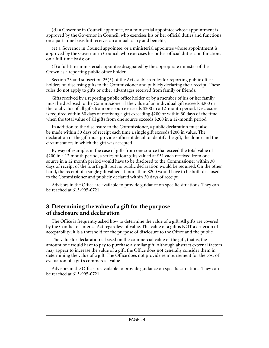(d) a Governor in Council appointee, or a ministerial appointee whose appointment is approved by the Governor in Council, who exercises his or her official duties and functions on a part-time basis but receives an annual salary and benefits;

(e) a Governor in Council appointee, or a ministerial appointee whose appointment is approved by the Governor in Council, who exercises his or her official duties and functions on a full-time basis; or

(f) a full-time ministerial appointee designated by the appropriate minister of the Crown as a reporting public office holder.

Section 23 and subsection 25(5) of the Act establish rules for reporting public office holders on disclosing gifts to the Commissioner and publicly declaring their receipt. These rules do not apply to gifts or other advantages received from family or friends.

Gifts received by a reporting public office holder or by a member of his or her family must be disclosed to the Commissioner if the value of an individual gift exceeds \$200 or the total value of all gifts from one source exceeds \$200 in a 12-month period. Disclosure is required within 30 days of receiving a gift exceeding \$200 or within 30 days of the time when the total value of all gifts from one source exceeds \$200 in a 12-month period.

In addition to the disclosure to the Commissioner, a public declaration must also be made within 30 days of receipt each time a single gift exceeds \$200 in value. The declaration of the gift must provide sufficient detail to identify the gift, the donor and the circumstances in which the gift was accepted.

By way of example, in the case of gifts from one source that exceed the total value of \$200 in a 12 month period, a series of four gifts valued at \$51 each received from one source in a 12 month period would have to be disclosed to the Commissioner within 30 days of receipt of the fourth gift, but no public declaration would be required. On the other hand, the receipt of a single gift valued at more than \$200 would have to be both disclosed to the Commissioner and publicly declared within 30 days of receipt.

Advisors in the Office are available to provide guidance on specific situations. They can be reached at 613-995-0721.

#### **8. Determining the value of a gift for the purpose of disclosure and declaration**

The Office is frequently asked how to determine the value of a gift. All gifts are covered by the Conflict of Interest Act regardless of value. The value of a gift is NOT a criterion of acceptability; it is a threshold for the purpose of disclosure to the Office and the public.

The value for declaration is based on the commercial value of the gift, that is, the amount one would have to pay to purchase a similar gift. Although abstract external factors may appear to increase the value of a gift, the Office does not generally consider them in determining the value of a gift. The Office does not provide reimbursement for the cost of evaluation of a gift's commercial value.

Advisors in the Office are available to provide guidance on specific situations. They can be reached at 613-995-0721.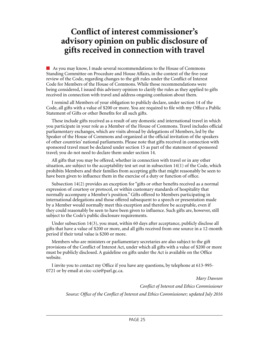## <span id="page-29-0"></span>**Conflict of interest commissioner's advisory opinion on public disclosure of gifts received in connection with travel**

 $\blacksquare$  As you may know, I made several recommendations to the House of Commons Standing Committee on Procedure and House Affairs, in the context of the five-year review of the Code, regarding changes to the gift rules under the Conflict of Interest Code for Members of the House of Commons. While those recommendations were being considered, I issued this advisory opinion to clarify the rules as they applied to gifts received in connection with travel and address ongoing confusion about them.

I remind all Members of your obligation to publicly declare, under section 14 of the Code, all gifts with a value of \$200 or more. You are required to file with my Office a [Public](http://ciec-ccie.parl.gc.ca/Documents/English/Members%20of%20the%20House%20of%20Commons/Public%20Statement%20of%20Gifts%20or%20Other%20Benefits.pdf)  [Statement of Gifts or other Benefits](http://ciec-ccie.parl.gc.ca/Documents/English/Members%20of%20the%20House%20of%20Commons/Public%20Statement%20of%20Gifts%20or%20Other%20Benefits.pdf) for all such gifts.

These include gifts received as a result of any domestic and international travel in which you participate in your role as a Member of the House of Commons. Travel includes official parliamentary exchanges, which are visits abroad by delegations of Members, led by the Speaker of the House of Commons and organized at the official invitation of the speakers of other countries' national parliaments. Please note that gifts received in connection with sponsored travel must be declared under section 15 as part of the statement of sponsored travel; you do not need to declare them under section 14.

All gifts that you may be offered, whether in connection with travel or in any other situation, are subject to the acceptability test set out in subsection 14(1) of the Code, which prohibits Members and their families from accepting gifts that might reasonably be seen to have been given to influence them in the exercise of a duty or function of office.

Subsection 14(2) provides an exception for "gifts or other benefits received as a normal expression of courtesy or protocol, or within customary standards of hospitality that normally accompany a Member's position." Gifts offered to Members participating in international delegations and those offered subsequent to a speech or presentation made by a Member would normally meet this exception and therefore be acceptable, even if they could reasonably be seen to have been given to influence. Such gifts are, however, still subject to the Code's public disclosure requirements.

Under subsection 14(3), you must, within 60 days after acceptance, publicly disclose all gifts that have a value of \$200 or more, and all gifts received from one source in a 12-month period if their total value is \$200 or more.

Members who are ministers or parliamentary secretaries are also subject to the gift provisions of the [Conflict of Interest Act](http://ciec-ccie.parl.gc.ca/EN/Pages/ConflictOfInterestAct.aspx), under which all gifts with a value of \$200 or more must be publicly disclosed. A [guideline](http://ciec-ccie.parl.gc.ca/EN/ReportsAndPublications/Pages/GiftsGuideline.aspx?PageView=Shared&InitialTabId=Ribbon.WebPartPage&VisibilityContext=WSSWebPartPage&) on gifts under the Act is available on the Office website.

I invite you to contact my Office if you have any questions, by telephone at 613-995 0721 or by email at [ciec-ccie@parl.gc.ca.](mailto:ciec-ccie@parl.gc.ca)

> *Mary Dawson Conflict of Interest and Ethics Commissioner Source: Office of the Conflict of Interest and Ethics Commissioner; updated July 2016*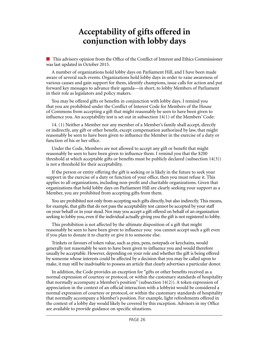## **Acceptability of gifts offered in conjunction with lobby days**

<span id="page-30-0"></span>n This advisory opinion from the Office of the Conflict of Interest and Ethics Commissioner was last updated in October 2015.

A number of organizations hold lobby days on Parliament Hill, and I have been made aware of several such events. Organizations hold lobby days in order to raise awareness of various causes and gain support for them, identify champions, issue calls for action and put forward key messages to advance their agenda—in short, to lobby Members of Parliament in their role as legislators and policy makers.

You may be offered gifts or benefits in conjunction with lobby days. I remind you that you are prohibited under the [Conflict of Interest Code for Members of the House](http://ciec-ccie.parl.gc.ca/EN/Pages/ConflictOfInterestCode.aspx)  [of Commons](http://ciec-ccie.parl.gc.ca/EN/Pages/ConflictOfInterestCode.aspx) from accepting a gift that might reasonably be seen to have been given to influence you. An acceptability test is set out in subsection 14(1) of the Members' Code:

14. (1) Neither a Member nor any member of a Member's family shall accept, directly or indirectly, any gift or other benefit, except compensation authorized by law, that might reasonably be seen to have been given to influence the Member in the exercise of a duty or function of his or her office.

Under the Code, Members are not allowed to accept any gift or benefit that might reasonably be seen to have been given to influence them. I remind you that the \$200 threshold at which acceptable gifts or benefits must be publicly declared (subsection 14(3)) is not a threshold for their acceptability.

If the person or entity offering the gift is seeking or is likely in the future to seek your support in the exercise of a duty or function of your office, then you must refuse it. This applies to all organizations, including non-profit and charitable organizations. Given that organizations that hold lobby days on Parliament Hill are clearly seeking your support as a Member, you are prohibited from accepting gifts from them.

You are prohibited not only from accepting such gifts directly, but also indirectly. This means, for example, that gifts that do not pass the acceptability test cannot be accepted by your staff on your behalf or in your stead. Nor may you accept a gift offered on behalf of an organization seeking to lobby you, even if the individual actually giving you the gift is not registered to lobby.

This prohibition is not affected by the ultimate disposition of a gift that might reasonably be seen to have been given to influence you: you cannot accept such a gift even if you plan to donate it to charity or give it to someone else.

Trinkets or favours of token value, such as pins, pens, notepads or keychains, would generally not reasonably be seen to have been given to influence you and would therefore usually be acceptable. However, depending on your role and whether the gift is being offered by someone whose interests could be affected by a decision that you may be called upon to make, it may still be inadvisable to possess an article that clearly advertises a particular donor.

In addition, the Code provides an exception for "gifts or other benefits received as a normal expression of courtesy or protocol, or within the customary standards of hospitality that normally accompany a Member's position" (subsection  $14(2)$ ). A token expression of appreciation in the context of an official interaction with a lobbyist would be considered a normal expression of courtesy or protocol, or within the customary standards of hospitality that normally accompany a Member's position. For example, light refreshments offered in the context of a lobby day would likely be covered by this exception. Advisors in my Office are available to provide guidance on specific situations.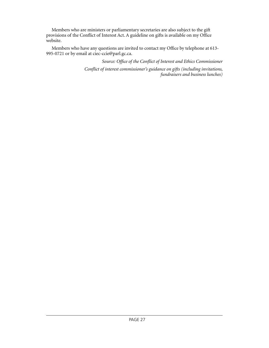Members who are ministers or parliamentary secretaries are also subject to the gift provisions of the Conflict of Interest Act. A [guideline](http://ciec-ccie.parl.gc.ca/EN/ReportsAndPublications/Pages/GiftsGuideline.aspx?PageView=Shared&InitialTabId=Ribbon.WebPartPage&VisibilityContext=WSSWebPartPage&) on gifts is available on my Office website.

Members who have any questions are invited to contact my Office by telephone at 613- 995-0721 or by email at ciec-ccie@parl.gc.ca.

*Source: Office of the Conflict of Interest and Ethics Commissioner*

*Conflict of interest commissioner's guidance on gifts (including invitations, fundraisers and business lunches)*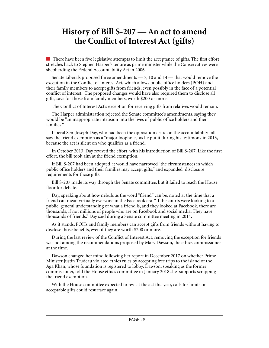## <span id="page-32-0"></span>**History of Bill S-207 — An act to amend the Conflict of Interest Act (gifts)**

 $\blacksquare$  There have been five legislative attempts to limit the acceptance of gifts. The first effort stretches back to Stephen Harper's tenure as prime minister while the Conservatives were shepherding the Federal Accountability Act in 2006.

Senate Liberals proposed three amendments — 7, 10 and 14 — that would remove the exception in the Conflict of Interest Act, which allows public office holders (POH) and their family members to accept gifts from friends, even possibly in the face of a potential conflict of interest. The proposed changes would have also required them to disclose all gifts, save for those from family members, worth \$200 or more.

The Conflict of Interest Act's exception for receiving gifts from relatives would remain.

The Harper administration rejected the Senate committee's amendments, saying they would be "an inappropriate [intrusion](http://www.ourcommons.ca/DocumentViewer/en/39-1/house/sitting-83/journals) into the lives of public office holders and their families."

Liberal Sen. Joseph Day, who had been the opposition critic on the accountability bill, saw the friend exemption as a "major loophole," as he put it during his testimony in 2013, because the act is silent on who qualifies as a friend.

In October 2013, Day revived the effort, with his introduction of Bill S-207. Like the first effort, the bill took aim at the friend exemption.

If Bill S-207 had been adopted, it would have narrowed "the circumstances in which public office holders and their families may accept gifts," and expanded disclosure requirements for those gifts.

Bill S-207 made its way through the Senate committee, but it failed to reach the House floor for debate.

Day, speaking about how nebulous the word "friend" can be, noted at the time that a friend can mean virtually everyone in the Facebook era. "If the courts were looking to a public, general understanding of what a friend is, and they looked at Facebook, there are thousands, if not millions of people who are on Facebook and social media. They have thousands of friends," Day said during a Senate [committee meeting](https://sencanada.ca/en/Content/SEN/Committee/412/rprd/03ev-51674-e) in 2014.

As it stands, POHs and family members can accept gifts from friends without having to disclose those benefits, even if they are worth \$200 or more.

During the last review of the Conflict of Interest Act, removing the exception for friends was not among the recommendations proposed by Mary Dawson, the ethics commissioner at the time.

Dawson changed her mind following her report in December 2017 on whether Prime Minister Justin Trudeau violated ethics rules by accepting free trips to the island of the Aga Khan, whose foundation is registered to lobby. Dawson, speaking as the former commissioner, told the House ethics committee in January 2018 she supports scrapping the friend exemption.

With the House committee expected to revisit the act this year, calls for limits on acceptable gifts could resurface again.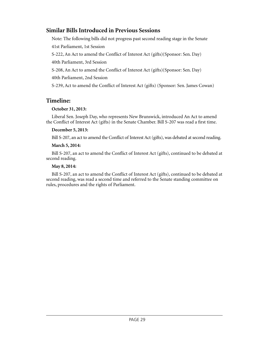#### **Similar Bills Introduced in Previous Sessions**

Note: The following bills did not progress past second reading stage in the Senate 41st Parliament, 1st Session S-222, An Act to amend the Conflict of Interest Act (gifts)(Sponsor: Sen. Day)

40th Parliament, 3rd Session

S-208, An Act to amend the Conflict of Interest Act (gifts)(Sponsor: Sen. Day)

40th Parliament, 2nd Session

S-239, Act to amend the Conflict of Interest Act (gifts) (Sponsor: Sen. James Cowan)

#### **Timeline:**

#### **October 31, 2013:**

Liberal Sen. Joseph Day, who represents New Brunswick, introduced An Act to amend the Conflict of Interest Act (gifts) in the Senate Chamber. Bill S-207 was read a first time.

#### **December 5, 2013:**

Bill S-207, an act to amend the Conflict of Interest Act (gifts), was debated at second reading.

#### **March 5, 2014:**

Bill S-207, an act to amend the Conflict of Interest Act (gifts), continued to be debated at second reading.

#### **May 8, 2014:**

Bill S-207, an act to amend the Conflict of Interest Act (gifts), continued to be debated at second reading, was read a second time and referred to the Senate standing committee on rules, procedures and the rights of Parliament.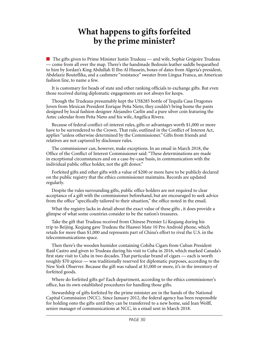## **What happens to gifts forfeited by the prime minister?**

<span id="page-34-0"></span> $\blacksquare$  The gifts given to Prime Minister Justin Trudeau — and wife, Sophie Grégoire Trudeau — come from all over the map. There's the handmade Bedouin leather saddle bequeathed to him by Jordan's King Abdullah II Ibn Al Hussein, boxes of dates from Algeria's president, Abdelaziz Bouteflika, and a cashmere "resistance" sweater from Lingua Franca, an American fashion line, to name a few.

It is customary for heads of state and other ranking officials to exchange gifts. But even those received during diplomatic engagements are not always for keeps.

Though the Trudeaus presumably kept the US\$285 bottle of Tequila Casa Dragones Joven from Mexican President Enrique Peña Nieto, they couldn't bring home the pants designed by local fashion designer Alejandro Carlín and a pure silver coin featuring the Aztec calendar from Peña Nieto and his wife, Angélica Rivera.

Because of federal conflict-of-interest rules, gifts or advantages worth \$1,000 or more have to be surrendered to the Crown. That rule, outlined in the Conflict of Interest Act, applies "unless otherwise determined by the Commissioner." Gifts from friends and relatives are not captured by disclosure rules.

The commissioner can, however, make exceptions. In an email in March 2018, the Office of the Conflict of Interest Commissioner said: "These determinations are made in exceptional circumstances and on a case-by-case basis, in communication with the individual public office holder, not the gift donor."

Forfeited gifts and other gifts with a value of \$200 or more have to be publicly declared on the public registry that the ethics commissioner maintains. Records are updated regularly.

Despite the rules surrounding gifts, public office holders are not required to clear acceptance of a gift with the commissioner beforehand, but are encouraged to seek advice from the office "specifically tailored to their situation," the office noted in the email.

What the registry lacks in detail about the exact value of these gifts , it does provide a glimpse of what some countries consider to be the nation's treasures.

Take the gift that Trudeau received from Chinese Premier Li Keqiang during his trip to Beijing. Keqiang gave Trudeau the Huawei Mate 10 Pro Android phone, which retails for more than \$1,000 and represents part of China's effort to rival the U.S. in the telecommunications space.

Then there's the wooden humidor containing Cohiba Cigars from Cuban President Raúl Castro and given to Trudeau during his visit to Cuba in 2016, which marked Canada's first state visit to Cuba in two decades. That particular brand of cigars — each is worth roughly \$70 apiece — was traditionally reserved for diplomatic purposes, according to the [New York Observer.](http://observer.com/2014/12/6-cuban-cigars-youll-want-to-buy-when-the-embargo-lifts/) Because the gift was valued at \$1,000 or more, it's in the inventory of forfeited goods.

Where do forfeited gifts go? Each department, according to the ethics commissioner's office, has its own established procedures for handling those gifts.

Stewardship of gifts forfeited by the prime minister are in the hands of the National Capital Commission (NCC). Since January 2012, the federal agency has been responsible for holding onto the gifts until they can be transferred to a new home, said Jean Wolff, senior manager of communications at NCC, in a email sent in March 2018.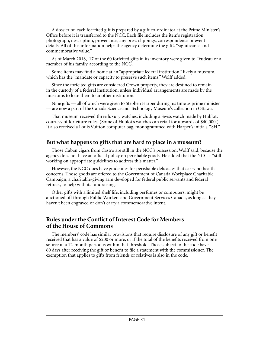A dossier on each forfeited gift is prepared by a gift co-ordinator at the Prime Minister's Office before it is transferred to the NCC. Each file includes the item's registration, photograph, description, provenance, any press clippings, correspondence or event details. All of this information helps the agency determine the gift's "significance and commemorative value."

As of March 2018, 17 of the 60 forfeited gifts in its inventory were given to Trudeau or a member of his family, according to the NCC.

Some items may find a home at an "appropriate federal institution," likely a museum, which has the "mandate or capacity to preserve such items," Wolff added.

Since the forfeited gifts are considered Crown property, they are destined to remain in the custody of a federal institution, unless individual arrangements are made by the museums to loan them to another institution.

Nine gifts — all of which were given to Stephen Harper during his time as prime minister — are now a part of the Canada Science and Technology Museum's collection in Ottawa.

That museum received three luxury watches, including a Swiss watch made by Hublot, courtesy of forfeiture rules. (Some of Hublot's watches can retail for upwards of \$40,000.) It also received a Louis Vuitton computer bag, monogrammed with Harper's initials, "SH."

#### **But what happens to gifts that are hard to place in a museum?**

Those Cuban cigars from Castro are still in the NCC's possession, Wolff said, because the agency does not have an official policy on perishable goods. He added that the NCC is "still working on appropriate guidelines to address this matter."

However, the NCC does have guidelines for perishable delicacies that carry no health concerns. Those goods are offered to the Government of Canada Workplace Charitable Campaign, a charitable-giving arm developed for federal public servants and federal retirees, to help with its fundraising.

Other gifts with a limited shelf life, including perfumes or computers, might be auctioned off through Public Workers and Government Services Canada, as long as they haven't been engraved or don't carry a commemorative intent.

#### **Rules under the Conflict of Interest Code for Members of the House of Commons**

The members' code has similar provisions that require disclosure of any gift or benefit received that has a value of \$200 or more, or if the total of the benefits received from one source in a 12-month period is within that threshold. Those subject to the code have 60 days after receiving the gift or benefit to file a statement with the commissioner. The exemption that applies to gifts from friends or relatives is also in the code.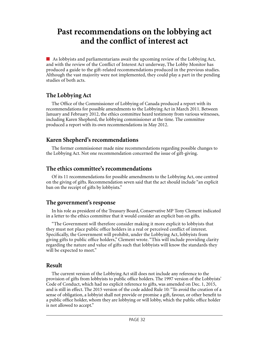# **Past recommendations on the lobbying act and the conflict of interest act**

 $\blacksquare$  As lobbyists and parliamentarians await the upcoming review of the Lobbying Act, and with the review of the Conflict of Interest Act underway, The Lobby Monitor has produced a guide to the gift-related recommendations produced in the previous studies. Although the vast majority were not implemented, they could play a part in the pending studies of both acts.

# **The Lobbying Act**

The Office of the Commissioner of Lobbying of Canada produced a report with its recommendations for possible amendments to the Lobbying Act in March 2011. Between January and February 2012, the ethics committee heard testimony from various witnesses, including Karen Shepherd, the lobbying commissioner at the time. The committee produced a report with its own recommendations in May 2012.

# **Karen Shepherd's recommendations**

The former commissioner made [nine recommendations](https://lobbycanada.gc.ca/eic/site/012.nsf/vwapj/Administering_LA_2011-12-13-en.pdf/%24FILE/Administering_LA_2011-12-13-en.pdf) regarding possible changes to the Lobbying Act. Not one recommendation concerned the issue of gift-giving.

### **The ethics committee's recommendations**

Of its 11 [recommendations](http://publications.gc.ca/collections/collection_2012/parl/XC73-1-411-02-eng.pdf) for possible amendments to the Lobbying Act, one centred on the giving of gifts. Recommendation seven said that the act should include "an explicit ban on the receipt of gifts by lobbyists."

# **The government's response**

In his role as president of the Treasury Board, Conservative MP Tony Clement indicated in a [letter](http://www.ourcommons.ca/DocumentViewer/en/41-1/ETHI/report-3/response-8512-411-97) to the ethics committee that it would consider an explicit ban on gifts.

"The Government will therefore consider making it more explicit to lobbyists that they must not place public office holders in a real or perceived conflict of interest. Specifically, the Government will prohibit, under the Lobbying Act, lobbyists from giving gifts to public office holders," Clement wrote. "This will include providing clarity regarding the nature and value of gifts such that lobbyists will know the standards they will be expected to meet."

### **Result**

The current version of the Lobbying Act still does not include any reference to the provision of gifts from lobbyists to public office holders. The [1997 version](https://lobbycanada.gc.ca/eic/site/012.nsf/eng/01195.html) of the Lobbyists' Code of Conduct, which had no explicit reference to gifts, was amended on Dec. 1, 2015, and is still in effect. The [2015 version o](https://lobbycanada.gc.ca/eic/site/012.nsf/vwapj/LobbyistsCodeofConduct2015_En.pdf/%24FILE/LobbyistsCodeofConduct2015_En.pdf)f the code added Rule 10: "To avoid the creation of a sense of obligation, a lobbyist shall not provide or promise a gift, favour, or other benefit to a public office holder, whom they are lobbying or will lobby, which the public office holder is not allowed to accept."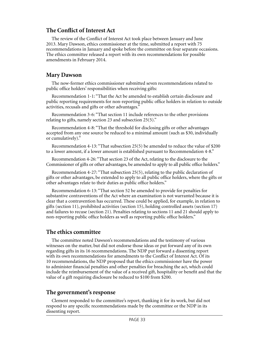### **The Conflict of Interest Act**

The review of the Conflict of Interest Act took place between January and June 2013. Mary Dawson, ethics commissioner at the time, submitted a report with 75 recommendations in January and spoke before the committee on four separate occasions. The ethics committee released a report with its own recommendations for possible amendments in February 2014.

#### **Mary Dawson**

The now-former ethics commissioner submitted [seven recommendations](http://ciec-ccie.parl.gc.ca/Documents/English/Public%20Reports/Special%20Publications/Five-Year%20Review%20Act.pdf) related to public office holders' responsibilities when receiving gifts:

Recommendation 1-1: "That the Act be amended to establish certain disclosure and public reporting requirements for non-reporting public office holders in relation to outside activities, recusals and gifts or other advantages."

Recommendation 3-6: "That section 11 include references to the other provisions relating to gifts, namely section 23 and subsection 25(5)."

Recommendation 4-8: "That the threshold for disclosing gifts or other advantages accepted from any one source be reduced to a minimal amount (such as \$30, individually or cumulatively)."

Recommendation 4-13: "That subsection 25(5) be amended to reduce the value of \$200 to a lower amount, if a lower amount is established pursuant to Recommendation 4-8."

Recommendation 4-26: "That section 23 of the Act, relating to the disclosure to the Commissioner of gifts or other advantages, be amended to apply to all public office holders."

Recommendation 4-27: "That subsection 25(5), relating to the public declaration of gifts or other advantages, be extended to apply to all public office holders, where the gifts or other advantages relate to their duties as public office holders."

Recommendation 6-13: "That section 52 be amended to provide for penalties for substantive contraventions of the Act where an examination is not warranted because it is clear that a contravention has occurred. These could be applied, for example, in relation to gifts (section 11), prohibited activities (section 15), holding controlled assets (section 17) and failures to recuse (section 21). Penalties relating to sections 11 and 21 should apply to non-reporting public office holders as well as reporting public office holders."

#### **The ethics committee**

The [committee](http://www.ourcommons.ca/Content/Committee/412/ETHI/Reports/RP6365946/ethirp01/ethirp01-e.pdf) noted Dawson's recommendations and the testimony of various witnesses on the matter, but did not endorse those ideas or put forward any of its own regarding gifts in its 16 recommendations. The NDP put forward a dissenting report with its own recommendations for amendments to the Conflict of Interest Act. Of its 10 recommendations, the NDP proposed that the ethics commissioner have the power to administer financial penalties and other penalties for breaching the act, which could include the reimbursement of the value of a received gift, hospitality or benefit and that the value of a gift requiring disclosure be reduced to \$100 from \$200.

#### **The government's response**

Clement [responded](https://www.ourcommons.ca/DocumentViewer/en/41-2/ETHI/report-1/response-8512-412-34) to the committee's report, thanking it for its work, but did not respond to any specific recommendations made by the committee or the NDP in its dissenting report.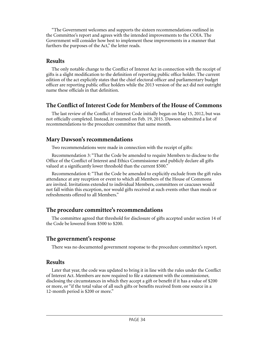"The Government welcomes and supports the sixteen recommendations outlined in the Committee's report and agrees with the intended improvements to the COIA. The Government will consider how best to implement these improvements in a manner that furthers the purposes of the Act," the letter reads.

### **Results**

The only notable change to the Conflict of Interest Act in connection with the receipt of gifts is a slight modification to the definition of reporting public office holder. The [current](http://laws-lois.justice.gc.ca/PDF/C-36.65.pdf)  [edition](http://laws-lois.justice.gc.ca/PDF/C-36.65.pdf) of the act explicitly states that the chief electoral officer and parliamentary budget officer are reporting public office holders while the [2013 version](http://laws-lois.justice.gc.ca/eng/acts/C-36.65/20130626/P1TT3xt3.html) of the act did not outright name these officials in that definition.

# **The Conflict of Interest Code for Members of the House of Commons**

The last review of the Conflict of Interest Code initially began on May 15, 2012, but was not officially completed. Instead, it resumed on Feb. 19, 2015. Dawson submitted a list of [recommendations](http://ciec-ccie.parl.gc.ca/Documents/English/Public%20Reports/Special%20Publications/2015%20Review%20of%20the%20Code.pdf) to the procedure committee that same month.

# **Mary Dawson's recommendations**

Two recommendations were made in connection with the receipt of gifts:

Recommendation 3: "That the Code be amended to require Members to disclose to the Office of the Conflict of Interest and Ethics Commissioner and publicly declare all gifts valued at a significantly lower threshold than the current \$500."

Recommendation 4: "That the Code be amended to explicitly exclude from the gift rules attendance at any reception or event to which all Members of the House of Commons are invited. Invitations extended to individual Members, committees or caucuses would not fall within this exception, nor would gifts received at such events other than meals or refreshments offered to all Members."

# **The procedure committee's recommendations**

The [committee](https://www.ourcommons.ca/DocumentViewer/en/41-2/PROC/report-39/) agreed that threshold for disclosure of gifts accepted under section 14 of the Code be lowered from \$500 to \$200.

# **The government's response**

There was no documented government response to the procedure committee's report.

# **Results**

Later that year, the [code](http://www.ourcommons.ca/About/StandingOrders/appa1-e.htm) was updated to bring it in line with the rules under the Conflict of Interest Act. Members are now required to file a statement with the commissioner, disclosing the circumstances in which they accept a gift or benefit if it has a value of \$200 or more, or "if the total value of all such gifts or benefits received from one source in a 12-month period is \$200 or more."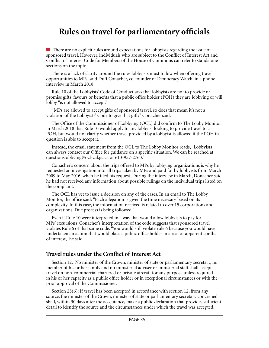# **Rules on travel for parliamentary officials**

 $\blacksquare$  There are no explicit rules around expectations for lobbyists regarding the issue of sponsored travel. However, individuals who are subject to the Conflict of Interest Act and Conflict of Interest Code for Members of the House of Commons can refer to standalone sections on the topic.

There is a lack of clarity around the rules lobbyists must follow when offering travel opportunities to MPs, said Duff Conacher, co-founder of Democracy Watch, in a phone interview in March 2018.

Rule 10 of the Lobbyists' Code of Conduct says that lobbyists are not to provide or promise gifts, favours or benefits that a public office holder (POH) they are lobbying or will lobby "is not allowed to accept."

"MPs are allowed to accept gifts of sponsored travel, so does that mean it's not a violation of the Lobbyists' Code to give that gift?" Conacher said.

The Office of the Commissioner of Lobbying (OCL) did confirm to The Lobby Monitor in March 2018 that Rule 10 would apply to any lobbyist looking to provide travel to a POH, but would not clarify whether travel provided by a lobbyist is allowed if the POH in question is able to accept it.

Instead, the email statement from the OCL to The Lobby Monitor reads, "Lobbyists can always contact our Office for guidance on a specific situation. We can be reached at questionslobbying@ocl-cal.gc.ca or 613-957-2760."

Conacher's concern about the trips offered to MPs by lobbying organizations is why he requested an investigation into all trips taken by MPs and paid for by lobbyists from March 2009 to May 2016, when he filed his request. During the interview in March, Donacher said he had not received any information about possible rulings on the individual trips listed on the complaint.

The OCL has yet to issue a decision on any of the cases. In an email to The Lobby Monitor, the office said: "Each allegation is given the time necessary based on its complexity. In this case, the information received is related to over 15 corporations and organizations. Due process is being followed."

Even if Rule 10 were interpreted in a way that would allow lobbyists to pay for MPs' excursions, Conacher's interpretation of the code suggests that sponsored travel violates Rule 6 of that same code. "You would still violate rule 6 because you would have undertaken an action that would place a public office holder in a real or apparent conflict of interest," he said.

### **Travel rules under the Conflict of Interest Act**

Section 12: No minister of the Crown, minister of state or parliamentary secretary, no member of his or her family and no ministerial adviser or ministerial staff shall accept travel on non-commercial chartered or private aircraft for any purpose unless required in his or her capacity as a public office holder or in exceptional circumstances or with the prior approval of the Commissioner.

Section 25(6): If travel has been accepted in accordance with section 12, from any source, the minister of the Crown, minister of state or parliamentary secretary concerned shall, within 30 days after the acceptance, make a public declaration that provides sufficient detail to identify the source and the circumstances under which the travel was accepted.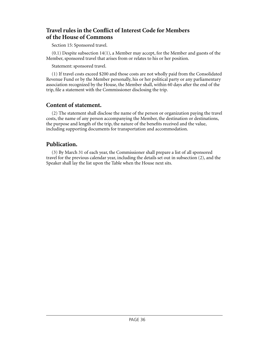# **Travel rules in the Conflict of Interest Code for Members of the House of Commons**

Section 15: Sponsored travel.

(0.1) Despite subsection 14(1), a Member may accept, for the Member and guests of the Member, sponsored travel that arises from or relates to his or her position.

Statement: sponsored travel.

(1) If travel costs exceed \$200 and those costs are not wholly paid from the Consolidated Revenue Fund or by the Member personally, his or her political party or any parliamentary association recognized by the House, the Member shall, within 60 days after the end of the trip, file a statement with the Commissioner disclosing the trip.

# **Content of statement.**

(2) The statement shall disclose the name of the person or organization paying the travel costs, the name of any person accompanying the Member, the destination or destinations, the purpose and length of the trip, the nature of the benefits received and the value, including supporting documents for transportation and accommodation.

# **Publication.**

(3) By March 31 of each year, the Commissioner shall prepare a list of all sponsored travel for the previous calendar year, including the details set out in subsection (2), and the Speaker shall lay the list upon the Table when the House next sits.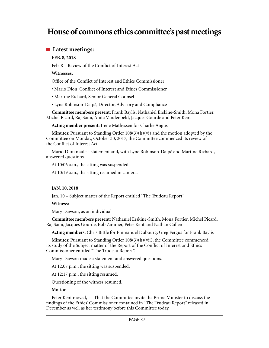# **House of commons ethics committee's past meetings**

### **n** Latest meetings:

#### **FEB. 8, 2018**

Feb. 8 – Review of the Conflict of Interest Act

#### **Witnesses:**

Office of the Conflict of Interest and Ethics Commissioner

- Mario Dion, Conflict of Interest and Ethics Commissioner
- Martine Richard, Senior General Counsel
- Lyne Robinson-Dalpé, Director, Advisory and Compliance

**Committee members present:** Frank Baylis, Nathaniel Erskine-Smith, Mona Fortier, Michel Picard, Raj Saini, Anita Vandenbeld, Jacques Gourde and Peter Kent

**Acting member present:** Irene Mathyssen for Charlie Angus

**Minutes:** Pursuant to Standing Order 108(3)(h)(vi) and the motion adopted by the Committee on Monday, October 30, 2017, the Committee commenced its review of the Conflict of Interest Act.

Mario Dion made a statement and, with Lyne Robinson-Dalpé and Martine Richard, answered questions.

At 10:06 a.m., the sitting was suspended.

At 10:19 a.m., the sitting resumed in camera.

#### **JAN. 10, 2018**

Jan. 10 – Subject matter of the Report entitled "The Trudeau Report"

#### **Witness:**

Mary Dawson, as an individual

**Committee members present:** Nathaniel Erskine-Smith, Mona Fortier, Michel Picard, Raj Saini, Jacques Gourde, Bob Zimmer, Peter Kent and Nathan Cullen

**Acting members:** Chris Bittle for Emmanuel Dubourg; Greg Fergus for Frank Baylis

**Minutes:** Pursuant to Standing Order 108(3)(h)(vii), the Committee commenced its study of the Subject matter of the Report of the Conflict of Interest and Ethics Commissioner entitled "The Trudeau Report".

Mary Dawson made a statement and answered questions.

At 12:07 p.m., the sitting was suspended.

At 12:17 p.m., the sitting resumed.

Questioning of the witness resumed.

#### **Motion**

Peter Kent moved, — That the Committee invite the Prime Minister to discuss the findings of the Ethics' Commissioner contained in "The Trudeau Report" released in December as well as her testimony before this Committee today.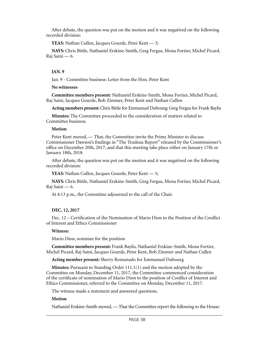After debate, the question was put on the motion and it was negatived on the following recorded division:

**YEAS:** Nathan Cullen, Jacques Gourde, Peter Kent — 3;

**NAYS:** Chris Bittle, Nathaniel Erskine-Smith, Greg Fergus, Mona Fortier, Michel Picard, Raj Saini — 6.

#### **JAN. 9**

Jan. 9 - Committee business: Letter from the Hon. Peter Kent

#### **No witnesses**

**Committee members present:** Nathaniel Erskine-Smith, Mona Fortier, Michel Picard, Raj Saini, Jacques Gourde, Bob Zimmer, Peter Kent and Nathan Cullen

**Acting members present:** Chris Bittle for Emmanuel Dubourg; Greg Fergus for Frank Baylis

**Minutes:** The Committee proceeded to the consideration of matters related to Committee business.

#### **Motion**

Peter Kent moved, — That, the Committee invite the Prime Minister to discuss Commissioner Dawson's findings in "The Trudeau Report" released by the Commissioner's office on December 20th, 2017, and that this meeting take place either on January 17th or January 18th, 2018.

After debate, the question was put on the motion and it was negatived on the following recorded division:

**YEAS:** Nathan Cullen, Jacques Gourde, Peter Kent — 3;

**NAYS:** Chris Bittle, Nathaniel Erskine-Smith, Greg Fergus, Mona Fortier, Michel Picard, Raj Saini — 6.

At 4:13 p.m., the Committee adjourned to the call of the Chair.

#### **DEC. 12, 2017**

Dec. 12 – Certification of the Nomination of Mario Dion to the Position of the Conflict of Interest and Ethics Commissioner

#### **Witness:**

Mario Dion, nominee for the position

**Committee members present:** Frank Baylis, Nathaniel Erskine-Smith, Mona Fortier, Michel Picard, Raj Saini, Jacques Gourde, Peter Kent, Bob Zimmer and Nathan Cullen

**Acting member present:** Sherry Romanado for Emmanuel Dubourg

**Minutes:** Pursuant to Standing Order 111.1(1) and the motion adopted by the Committee on Monday, December 11, 2017, the Committee commenced consideration of the certificate of nomination of Mario Dion to the position of Conflict of Interest and Ethics Commissioner, referred to the Committee on Monday, December 11, 2017.

The witness made a statement and answered questions.

#### **Motion**

Nathaniel Erskine-Smith moved, — That the Committee report the following to the House: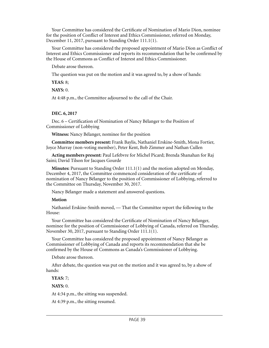Your Committee has considered the Certificate of Nomination of Mario Dion, nominee for the position of Conflict of Interest and Ethics Commissioner, referred on Monday, December 11, 2017, pursuant to Standing Order 111.1(1).

Your Committee has considered the proposed appointment of Mario Dion as Conflict of Interest and Ethics Commissioner and reports its recommendation that he be confirmed by the House of Commons as Conflict of Interest and Ethics Commissioner.

Debate arose thereon.

The question was put on the motion and it was agreed to, by a show of hands:

**YEAS:** 8;

**NAYS:** 0.

At 4:48 p.m., the Committee adjourned to the call of the Chair.

#### **DEC. 6, 2017**

Dec. 6 – Certification of Nomination of Nancy Bélanger to the Position of Commissioner of Lobbying

**Witness:** Nancy Bélanger, nominee for the position

**Committee members present:** Frank Baylis, Nathaniel Erskine-Smith, Mona Fortier, Joyce Murray (non-voting member), Peter Kent, Bob Zimmer and Nathan Cullen

**Acting members present:** Paul Lefebvre for Michel Picard; Brenda Shanahan for Raj Saini; David Tilson for Jacques Gourde

**Minutes:** Pursuant to Standing Order 111.1(1) and the motion adopted on Monday, December 4, 2017, the Committee commenced consideration of the certificate of nomination of Nancy Bélanger to the position of Commissioner of Lobbying, referred to the Committee on Thursday, November 30, 2017.

Nancy Bélanger made a statement and answered questions.

#### **Motion**

Nathaniel Erskine-Smith moved, — That the Committee report the following to the House:

Your Committee has considered the Certificate of Nomination of Nancy Bélanger, nominee for the position of Commissioner of Lobbying of Canada, referred on Thursday, November 30, 2017, pursuant to Standing Order 111.1(1).

Your Committee has considered the proposed appointment of Nancy Bélanger as Commissioner of Lobbying of Canada and reports its recommendation that she be confirmed by the House of Commons as Canada's Commissioner of Lobbying.

Debate arose thereon.

After debate, the question was put on the motion and it was agreed to, by a show of hands:

**YEAS:** 7;

**NAYS:** 0.

At 4:34 p.m., the sitting was suspended.

At 4:39 p.m., the sitting resumed.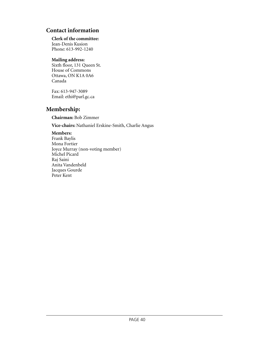# **Contact information**

#### **Clerk of the committee:**

Jean-Denis Kusion Phone: 613-992-1240

#### **Mailing address:**

Sixth floor, 131 Queen St. House of Commons Ottawa, ON K1A 0A6 Canada

Fax: 613-947-3089 Email: ethi@parl.gc.ca

# **Membership:**

**Chairman:** Bob Zimmer

**Vice-chairs:** Nathaniel Erskine-Smith, Charlie Angus

#### **Members:**

Frank Baylis Mona Fortier Joyce Murray (non-voting member) Michel Picard Raj Saini Anita Vandenbeld Jacques Gourde Peter Kent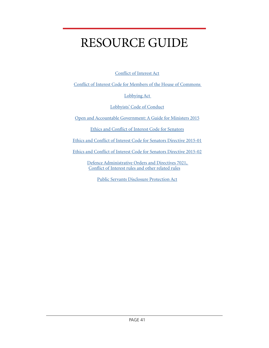# RESOURCE GUIDE

[Conflict of Interest Act](http://laws-lois.justice.gc.ca/eng/acts/C-36.65/)

[Conflict of Interest Code for Members of the House of Commons](http://www.ourcommons.ca/About/StandingOrders/appa1-e.htm)

[Lobbying Act](http://laws.justice.gc.ca/eng/acts/L-12.4/) 

[Lobbyists' Code of Conduct](https://lobbycanada.gc.ca/eic/site/012.nsf/eng/h_00014.html)

[Open and Accountable Government: A Guide for Ministers 2015](https://pm.gc.ca/eng/news/2015/11/27/open-and-accountable-government)

[Ethics and Conflict of Interest Code for Senators](http://sen.parl.gc.ca/seo-cse/PDF/CodeJune2014.pdf)

[Ethics and Conflict of Interest Code for Senators Directive 2015-01](http://sen.parl.gc.ca/seo-cse/PDF/Directive2015-1-e.pdf)

[Ethics and Conflict of Interest Code for Senators Directive 2015-02](http://sen.parl.gc.ca/seo-cse/PDF/Directive2015-2-e.pdf)

[Defence Administrative Orders and Directives 7021,](http://www.forces.gc.ca/en/about-policies-standards-defence-admin-orders-directives-7000/7021-3.page)  [Conflict of Interest rules and other related rules](http://www.forces.gc.ca/en/about-policies-standards-defence-admin-orders-directives-7000/7021-3.page)

[Public Servants Disclosure Protection Act](http://laws-lois.justice.gc.ca/eng/acts/P-31.9/)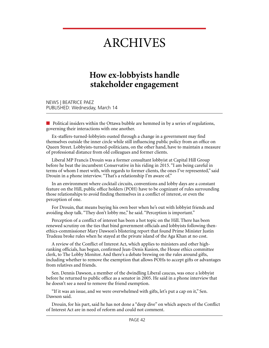# ARCHIVES

# **How ex-lobbyists handle stakeholder engagement**

NEWS | BEATRICE PAEZ PUBLISHED: Wednesday, March 14

 $\blacksquare$  Political insiders within the Ottawa bubble are hemmed in by a series of regulations, governing their interactions with one another.

Ex-staffers-turned-lobbyists ousted through a change in a government may find themselves outside the inner circle while still influencing public policy from an office on Queen Street. Lobbyists-turned-politicians, on the other hand, have to maintain a measure of professional distance from old colleagues and former clients.

Liberal MP Francis Drouin was a former consultant lobbyist at Capital Hill Group before he beat the incumbent Conservative in his riding in 2015. "I am being careful in terms of whom I meet with, with regards to former clients, the ones I've represented," said Drouin in a phone interview. "That's a relationship I'm aware of."

In an environment where cocktail circuits, conventions and lobby days are a constant feature on the Hill, public office holders (POH) have to be cognizant of rules surrounding those relationships to avoid finding themselves in a conflict of interest, or even the perception of one.

For Drouin, that means buying his own beer when he's out with lobbyist friends and avoiding shop talk. "They don't lobby me," he said. "Perception is important."

Perception of a conflict of interest has been a hot topic on the Hill. There has been renewed scrutiny on the ties that bind government officials and lobbyists following thenethics-commissioner Mary Dawson's blistering report that found Prime Minister Justin Trudeau broke rules when he stayed at the private island of the Aga Khan at no cost.

A review of the Conflict of Interest Act, which applies to ministers and other highranking officials, has begun, confirmed Jean-Denis Kusion, the House ethics committee clerk, to The Lobby Monitor. And there's a debate brewing on the rules around gifts, including whether to remove the exemption that allows POHs to accept gifts or advantages from relatives and friends.

Sen. Dennis Dawson, a member of the dwindling Liberal caucus, was once a lobbyist before he returned to public office as a senator in 2005. He said in a phone interview that he doesn't see a need to remove the friend exemption.

"If it was an issue, and we were overwhelmed with gifts, let's put a cap on it," Sen. Dawson said.

Drouin, for his part, said he has not done a "deep dive" on which aspects of the Conflict of Interest Act are in need of reform and could not comment.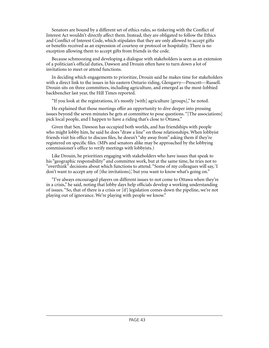Senators are bound by a different set of ethics rules, so tinkering with the Conflict of Interest Act wouldn't directly affect them. Instead, they are obligated to follow the Ethics and Conflict of Interest Code, which stipulates that they are only allowed to accept gifts or benefits received as an expression of courtesy or protocol or hospitality. There is no exception allowing them to accept gifts from friends in the code.

Because schmoozing and developing a dialogue with stakeholders is seen as an extension of a politician's official duties, Dawson and Drouin often have to turn down a lot of invitations to meet or attend functions.

In deciding which engagements to prioritize, Drouin said he makes time for stakeholders with a direct link to the issues in his eastern Ontario riding, Glengarry—Prescott—Russell. Drouin sits on three committees, including agriculture, and emerged as the [most-lobbied](https://www.hilltimes.com/2018/01/31/backbench-mp-lobbied-more-than-most-ministers/132655)  [backbencher](https://www.hilltimes.com/2018/01/31/backbench-mp-lobbied-more-than-most-ministers/132655) last year, the Hill Times reported.

"If you look at the registrations, it's mostly [with] agriculture [groups]," he noted.

He explained that those meetings offer an opportunity to dive deeper into pressing issues beyond the seven minutes he gets at committee to pose questions. "[The associations] pick local people, and I happen to have a riding that's close to Ottawa."

Given that Sen. Dawson has occupied both worlds, and has friendships with people who might lobby him, he said he does "draw a line" on those relationships. When lobbyist friends visit his office to discuss files, he doesn't "shy away from" asking them if they're registered on specific files. (MPs and senators alike may be approached by the lobbying commissioner's office to verify meetings with lobbyists.)

Like Drouin, he prioritizes engaging with stakeholders who have issues that speak to his "geographic responsibility" and committee work, but at the same time, he tries not to "overthink" decisions about which functions to attend. "Some of my colleagues will say, 'I don't want to accept any of [the invitations],' but you want to know what's going on."

"I've always encouraged players on different issues to not come to Ottawa when they're in a crisis," he said, noting that lobby days help officials develop a working understanding of issues. "So, that of there is a crisis or [if] legislation comes down the pipeline, we're not playing out of ignorance. We're playing with people we know."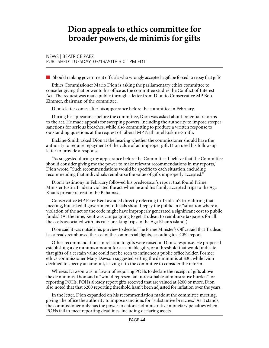# **Dion appeals to ethics committee for broader powers, de minimis for gifts**

#### NEWS | BEATRICE PAEZ PUBLISHED: TUESDAY, 03/13/2018 3:01 PM EDT

■ Should ranking government officials who wrongly accepted a gift be forced to repay that gift?

Ethics Commissioner Mario Dion is asking the parliamentary ethics committee to consider giving that power to his office as the committee studies the Conflict of Interest Act. The request was made public through a [letter](https://t.co/X8t0yJEmN2) from Dion to Conservative MP Bob Zimmer, chairman of the committee.

Dion's letter comes after his appearance before the committee in February.

During his appearance before the committee, Dion was asked about potential reforms to the act. He made appeals for sweeping powers, including the authority to impose steeper sanctions for serious breaches, while also committing to produce a written response to outstanding questions at the request of Liberal MP Nathaniel Erskine-Smith.

Erskine-Smith asked Dion at the hearing whether the commissioner should have the authority to require repayment of the value of an improper gift. Dion used his follow-up letter to provide a response.

"As suggested during my appearance before the Committee, I believe that the Committee should consider giving me the power to make relevant recommendations in my reports," Dion wrote. "Such recommendations would be specific to each situation, including recommending that individuals reimburse the value of gifts improperly accepted."

Dion's testimony in February followed his predecessor's report that found Prime Minister Justin Trudeau violated the act when he and his family accepted trips to the Aga Khan's private retreat in the Bahamas.

Conservative MP Peter Kent avoided directly referring to Trudeau's trips during that meeting, but asked if government officials should repay the public in a "situation where a violation of the act or the code might have improperly generated a significant cost to public funds." (At the time, Kent was campaigning to get Trudeau to reimburse taxpayers for all the costs associated with his rule-breaking trips to the Aga Khan's island.)

Dion said it was outside his purview to decide. The Prime Minister's Office said that Trudeau has already reimbursed the cost of the commercial flights, according to [a CBC report.](http://www.cbc.ca/news/politics/ethics-committee-trudeau-aga-khan-1.4478903)

Other recommendations in relation to gifts were raised in Dion's response. He proposed establishing a de minimis amount for acceptable gifts, or a threshold that would indicate that gifts of a certain value could not be seen to influence a public office holder. Former ethics commissioner Mary Dawson suggested setting the de minimis at \$30, while Dion declined to specify an amount, leaving it to the committee to consider the reform.

Whereas Dawson was in favour of requiring POHs to declare the receipt of gifts above the de minimis, Dion said it "would represent an unreasonable administrative burden" for reporting POHs. POHs already report gifts received that are valued at \$200 or more. Dion also noted that that \$200 reporting threshold hasn't been adjusted for inflation over the years.

In the letter, Dion expanded on his recommendation made at the committee meeting, giving the office the authority to impose sanctions for "substantive breaches." As it stands, the commissioner only has the power to enforce administrative monetary penalties when POHs fail to meet reporting deadlines, including declaring assets.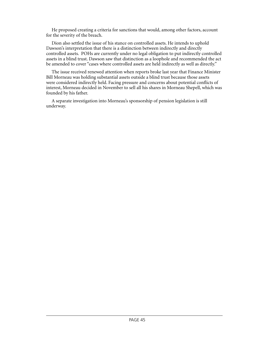He proposed creating a criteria for sanctions that would, among other factors, account for the severity of the breach.

Dion also settled the issue of his stance on controlled assets. He intends to uphold Dawson's interpretation that there is a distinction between indirectly and directly controlled assets. POHs are currently under no legal obligation to put indirectly controlled assets in a blind trust. Dawson saw that distinction as a loophole and recommended the act be amended to cover "cases where controlled assets are held indirectly as well as directly."

The issue received renewed attention when reports broke last year that Finance Minister Bill Morneau was holding substantial assets outside a blind trust because those assets were considered indirectly held. Facing pressure and concerns about potential conflicts of interest, Morneau decided in November to [sell](http://www.cbc.ca/news/politics/morneau-sells-morneau-shepell-shares-1.4410729) all his shares in Morneau Shepell, which was founded by his father.

A separate investigation into Morneau's sponsorship of pension legislation is still underway.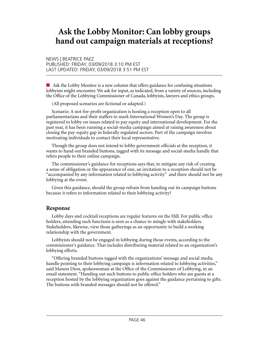# **Ask the Lobby Monitor: Can lobby groups hand out campaign materials at receptions?**

NEWS | BEATRICE PAEZ PUBLISHED: FRIDAY, 03/09/2018 3:10 PM EST LAST UPDATED: FRIDAY, 03/09/2018 3:51 PM EST

 $\blacksquare$  Ask the Lobby Monitor is a new column that offers guidance for confusing situations lobbyists might encounter. We ask for input, as indicated, from a variety of sources, including the Office of the Lobbying Commissioner of Canada, lobbyists, lawyers and ethics groups.

(All proposed scenarios are fictional or adapted.)

Scenario: A not-for-profit organization is hosting a reception open to all parliamentarians and their staffers to mark International Women's Day. The group is registered to lobby on issues related to pay equity and international development. For the past year, it has been running a social-media campaign aimed at raising awareness about closing the pay-equity gap in federally regulated sectors. Part of the campaign involves motivating individuals to contact their local representative.

Though the group does not intend to lobby government officials at the reception, it wants to hand out branded buttons, tagged with its message and social-media handle that refers people to their online campaign.

The commissioner's guidance for [receptions](https://lobbycanada.gc.ca/eic/site/012.nsf/eng/01183.html) says that, to mitigate any risk of creating a sense of obligation or the appearance of one, an invitation to a reception should not be "accompanied by any information related to lobbying activity" and there should not be any lobbying at the event.

Given this guidance, should the group refrain from handing out its campaign buttons because it refers to information related to their lobbying activity?

### **Response**

Lobby days and cocktail receptions are regular features on the Hill. For public office holders, attending such functions is seen as a chance to mingle with stakeholders. Stakeholders, likewise, view those gatherings as an opportunity to build a working relationship with the government.

Lobbyists should not be engaged in lobbying during those events, according to the commissioner's guidance. That includes distributing material related to an organization's lobbying efforts.

"Offering branded buttons tagged with the organizations' message and social media handle pointing to their lobbying campaign is information related to lobbying activities," said Manon Dion, spokeswoman at the Office of the Commissioner of Lobbying, in an email statement. "Handing out such buttons to public office holders who are guests at a reception hosted by the lobbying organization goes against the guidance pertaining to gifts. The buttons with branded messages should not be offered."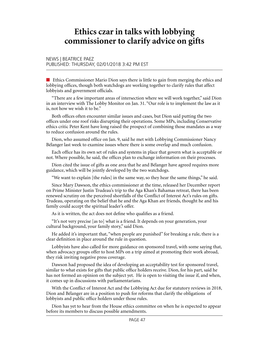# **Ethics czar in talks with lobbying commissioner to clarify advice on gifts**

#### NEWS | BEATRICE PAEZ PUBLISHED: THURSDAY, 02/01/2018 3:42 PM EST

■ Ethics Commissioner Mario Dion says there is little to gain from merging the ethics and lobbying offices, though both watchdogs are working together to clarify rules that affect lobbyists and government officials.

"There are a few important areas of intersection where we will work together," said Dion in an interview with The Lobby Monitor on Jan. 31. "Our role is to implement the law as it is, not how we wish it to be."

Both offices often encounter similar issues and cases, but Dion said putting the two offices under one roof risks disrupting their operations. Some MPs, including Conservative ethics critic Peter Kent have long raised the prospect of combining those mandates as a way to reduce confusion around the rules.

Dion, who assumed office on Jan. 9, said he met with Lobbying Commissioner Nancy Bélanger last week to examine issues where there is some overlap and much confusion.

Each office has its own set of rules and systems in place that govern what is acceptable or not. Where possible, he said, the offices plan to exchange information on their processes.

Dion cited the issue of gifts as one area that he and Bélanger have agreed requires more guidance, which will be jointly developed by the two watchdogs.

"We want to explain [the rules] in the same way, so they hear the same things," he said.

Since Mary Dawson, the ethics commissioner at the time, released her December report on Prime Minister Justin Trudeau's trip to the Aga Khan's Bahamas retreat, there has been renewed scrutiny on the perceived shortfalls of the Conflict of Interest Act's rules on gifts. Trudeau, operating on the belief that he and the Aga Khan are friends, thought he and his family could accept the spiritual leader's offer.

As it is written, the act does not define who qualifies as a friend.

"It's not very precise [as to] what is a friend. It depends on your generation, your cultural background, your family story," said Dion.

He added it's important that, "when people are punished" for breaking a rule, there is a clear definition in place around the rule in question.

Lobbyists have also called for more guidance on sponsored travel, with some saying that, when advocacy groups offer to host MPs on a trip aimed at promoting their work abroad, they risk inviting [negative press coverage.](http://lobbymonitor.ca/2013/04/04/sponsoring-mp-travel-a-risky-proposition-consultants/11650)

Dawson had proposed the idea of developing an acceptability test for sponsored travel, similar to what exists for gifts that public office holders receive. Dion, for his part, said he has not formed an opinion on the subject yet. He is open to visiting the issue if, and when, it comes up in discussions with parliamentarians.

With the Conflict of Interest Act and the Lobbying Act due for statutory reviews in 2018, Dion and Bélanger are in a position to push for reforms that clarify the obligations of lobbyists and public office holders under those rules.

Dion has yet to hear from the House ethics committee on when he is expected to appear before its members to discuss possible amendments.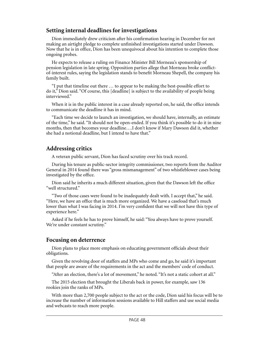### **Setting internal deadlines for investigations**

Dion immediately drew criticism after his confirmation hearing in December for not making an airtight pledge to complete unfinished investigations started under Dawson. Now that he is in office, Dion has been unequivocal about his intention to complete those ongoing probes.

He expects to release a ruling on Finance Minister Bill Morneau's sponsorship of pension legislation in late spring. Opposition parties allege that Morneau broke conflictof-interest rules, saying the legislation stands to benefit Morneau Shepell, the company his family built.

"I put that timeline out there … to appear to be making the best-possible effort to do it," Dion said. "Of course, this [deadline] is subject to the availability of people being interviewed."

When it is in the public interest in a case already reported on, he said, the office intends to communicate the deadline it has in mind.

"Each time we decide to launch an investigation, we should have, internally, an estimate of the time," he said. "It should not be open-ended. If you think it's possible to do it in nine months, then that becomes your deadline….I don't know if Mary Dawson did it, whether she had a notional deadline, but I intend to have that."

# **Addressing critics**

A veteran public servant, Dion has faced scrutiny over his track record.

During his tenure as public-sector integrity commissioner, two [reports](http://www.oag-bvg.gc.ca/internet/English/parl_oag_201404_e_39215.html) from the Auditor General in 2014 found there was "gross mismanagement" of two whistleblower cases being investigated by the office.

Dion said he inherits a much different situation, given that the Dawson left the office "well structured."

"Two of those cases were found to be inadequately dealt with. I accept that," he said. "Here, we have an office that is much more organized. We have a caseload that's much lower than what I was facing in 2014. I'm very confident that we will not have this type of experience here."

Asked if he feels he has to prove himself, he said: "You always have to prove yourself. We're under constant scrutiny."

### **Focusing on deterrence**

Dion plans to place more emphasis on educating government officials about their obligations.

Given the revolving door of staffers and MPs who come and go, he said it's important that people are aware of the requirements in the act and the members' code of conduct.

"After an election, there's a lot of movement," he noted. "It's not a static cohort at all."

The 2015 election that brought the Liberals back in power, for example, saw [136](http://www.cbc.ca/news/politics/new-mps-class-of-2015-1.3281771)  [rookies](http://www.cbc.ca/news/politics/new-mps-class-of-2015-1.3281771) join the ranks of MPs.

With more than 2,700 people subject to the act or the code, Dion said his focus will be to increase the number of information sessions available to Hill staffers and use social media and webcasts to reach more people.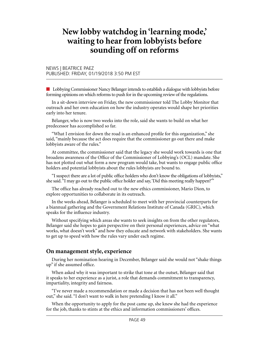# **New lobby watchdog in 'learning mode,' waiting to hear from lobbyists before sounding off on reforms**

NEWS | BEATRICE PAEZ PUBLISHED: FRIDAY, 01/19/2018 3:50 PM EST

**n** Lobbying Commissioner Nancy Bélanger intends to establish a dialogue with lobbyists before forming opinions on which reforms to push for in the upcoming review of the regulations.

In a sit-down interview on Friday, the new commissioner told The Lobby Monitor that outreach and her own education on how the industry operates would shape her priorities early into her tenure.

Bélanger, who is now two weeks into the role, said she wants to build on what her predecessor has accomplished so far.

"What I envision for down the road is an enhanced profile for this organization," she said, "mainly because the act does require that the commissioner go out there and make lobbyists aware of the rules."

At committee, the commissioner said that the legacy she would work towards is one that broadens awareness of the Office of the Commissioner of Lobbying's (OCL) mandate. She has not plotted out what form a new program would take, but wants to engage public office holders and potential lobbyists about the rules lobbyists are bound to.

"I suspect there are a lot of public office holders who don't know the obligations of lobbyists," she said. "I may go out to the public office holder and say, 'Did this meeting really happen?'"

The office has already reached out to the new ethics commissioner, Mario Dion, to explore opportunities to collaborate in its outreach.

In the weeks ahead, Bélanger is scheduled to meet with her provincial counterparts for a biannual gathering and the Government Relations Institute of Canada (GRIC), which speaks for the influence industry.

Without specifying which areas she wants to seek insights on from the other regulators, Bélanger said she hopes to gain perspective on their personal experiences, advice on "what works, what doesn't work" and how they educate and network with stakeholders. She wants to get up to speed with how the rules vary under each regime.

#### **On management style, experience**

During her nomination hearing in December, Bélanger said she would not "shake things up" if she assumed office.

When asked why it was important to strike that tone at the outset, Bélanger said that it speaks to her experience as a jurist, a role that demands commitment to transparency, impartiality, integrity and fairness.

"I've never made a recommendation or made a decision that has not been well thought out," she said. "I don't want to walk in here pretending I know it all."

When the opportunity to apply for the post came up, she knew she had the experience for the job, thanks to stints at the ethics and information commissioners' offices.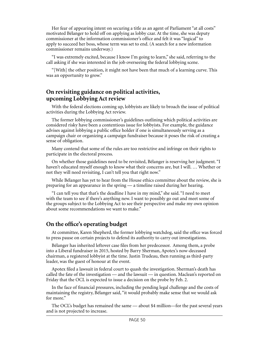Her fear of appearing intent on securing a title as an agent of Parliament "at all costs" motivated Bélanger to hold off on applying as lobby czar. At the time, she was deputy commissioner at the information commissioner's office and felt it was "logical" to apply to succeed her boss, whose term was set to end. (A search for a new information commissioner remains underway.)

"I was extremely excited, because I know I'm going to learn," she said, referring to the call asking if she was interested in the job overseeing the federal lobbying scene.

"[With] the other position, it might not have been that much of a learning curve. This was an opportunity to grow."

### **On revisiting guidance on political activities, upcoming Lobbying Act review**

With the federal elections coming up, lobbyists are likely to broach the issue of political activities during the Lobbying Act review.

The former lobbying commissioner's guidelines outlining which political activities are considered risky have been a contentious issue for lobbyists. For example, the guidance advises against lobbying a public office holder if one is simultaneously serving as a campaign chair or organizing a campaign fundraiser because it poses the risk of creating a sense of obligation.

Many contend that some of the rules are too restrictive and infringe on their rights to participate in the electoral process.

On whether those guidelines need to be revisited, Bélanger is reserving her judgment. "I haven't educated myself enough to know what their concerns are, but I will. … Whether or not they will need revisiting, I can't tell you that right now."

While Bélanger has yet to hear from the House ethics committee about the review, she is preparing for an appearance in the spring — a timeline raised during her hearing.

"I can tell you that that's the deadline I have in my mind," she said. "I need to meet with the team to see if there's anything new. I want to possibly go out and meet some of the groups subject to the Lobbying Act to see their perspective and make my own opinion about some recommendations we want to make."

### **On the office's operating budget**

At committee, Karen Shepherd, the former lobbying watchdog, said the office was forced to press pause on certain projects to defend its authority to carry out investigations.

Bélanger has inherited leftover case files from her predecessor. Among them, a probe into a Liberal fundraiser in 2015, hosted by Barry Sherman, Apotex's now-deceased chairman, a registered lobbyist at the time. Justin Trudeau, then running as third-party leader, was the guest of honour at the event.

Apotex filed a lawsuit in federal court to quash the investigation. Sherman's death has called the fate of the investigation — and the lawsuit — in question. [Maclean's](http://www.macleans.ca/politics/barry-shermans-death-is-forcing-the-lobbying-commissioner-to-make-a-tough-decision/) reported on Friday that the OCL is expected to issue a decision on the probe by Feb. 2.

In the face of financial pressures, including the pending legal challenge and the costs of maintaining the registry, Bélanger said, "it would probably make sense that we would ask for more."

The OCL's budget has remained the same — about \$4 million—for the past several years and is not projected to increase.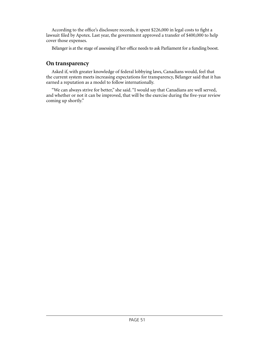According to the office's disclosure records, it spent \$226,000 in legal costs to fight a lawsuit filed by Apotex. Last year, the government approved a transfer of \$400,000 to help cover those expenses.

Bélanger is at the stage of assessing if her office needs to ask Parliament for a funding boost.

### **On transparency**

Asked if, with greater knowledge of federal lobbying laws, Canadians would, feel that the current system meets increasing expectations for transparency, Bélanger said that it has earned a reputation as a model to follow internationally.

"We can always strive for better," she said. "I would say that Canadians are well served, and whether or not it can be improved, that will be the exercise during the five-year review coming up shortly."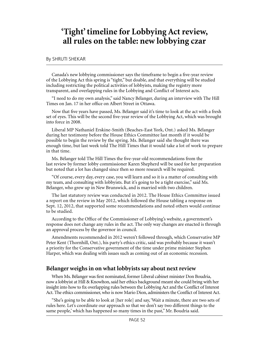# **'Tight' timeline for Lobbying Act review, all rules on the table: new lobbying czar**

By [SHRUTI SHEKAR](https://www.hilltimes.com/author/shruti-shekar)

Canada's new lobbying commissioner says the timeframe to begin a five-year review of the Lobbying Act this spring is "tight," but doable, and that everything will be studied including restricting the political activities of lobbyists, making the registry more transparent, and overlapping rules in the Lobbying and Conflict of Interest acts.

"I need to do my own analysis," said Nancy Bélanger, during an interview with The Hill Times on Jan. 17 in her office on Albert Street in Ottawa.

Now that five years have passed, Ms. Bélanger said it's time to look at the act with a fresh set of eyes. This will be the second five-year review of the Lobbying Act, which was brought into force in 2008.

Liberal MP Nathaniel Erskine-Smith (Beaches-East York, Ont.) asked Ms. Bélanger during her testimony before the House Ethics Committee last month if it would be possible to begin the review by the spring. Ms. Bélanger said she thought there was enough time, but last week told The Hill Times that it would take a lot of work to prepare in that time.

Ms. Bélanger told The Hill Times the five-year-old recommendations from the last review by former lobby commissioner Karen Shepherd will be used for her preparation but noted that a lot has changed since then so more research will be required.

"Of course, every day, every case, you will learn and so it is a matter of consulting with my team, and consulting with lobbyists. But it's going to be a tight exercise," said Ms. Bélanger, who grew up in New Brunswick, and is married with two children.

The last statutory review was conducted in 2012. The House Ethics Committee issued a report on the review in May 2012, which followed the House tabling a response on Sept. 12, 2012, that supported some recommendations and noted others would continue to be studied.

According to the Office of the Commissioner of Lobbying's website, a government's response does not change any rules in the act. The only way changes are enacted is through an approval process by the governor in council.

Amendments recommended in 2012 weren't followed through, which Conservative MP Peter Kent (Thornhill, Ont.), his party's ethics critic, said was probably because it wasn't a priority for the Conservative government of the time under prime minister Stephen Harper, which was dealing with issues such as coming out of an economic recession.

### **Bélanger weighs in on what lobbyists say about next review**

When Ms. Bélanger was first nominated, former Liberal cabinet minister Don Boudria, now a lobbyist at Hill & Knowlton,said her ethics background meant she could bring with her insight into how to fix overlapping rules between the Lobbying Act and the Conflict of Interest Act. The ethics commissioner, who is now Mario Dion, administers the Conflict of Interest Act.

"She's going to be able to look at [her role] and say, 'Wait a minute, there are two sets of rules here. Let's coordinate our approach so that we don't say two different things to the same people,' which has happened so many times in the past," Mr. Boudria said.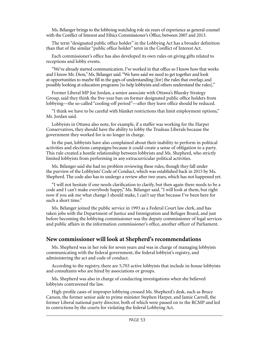Ms. Bélanger brings to the lobbying watchdog role six years of experience as general counsel with the Conflict of Interest and Ethics Commissioner's Office, between 2007 and 2013.

The term "designated public office holder" in the Lobbying Act has a broader definition than that of the similar "public office holder" term in the Conflict of Interest Act.

Each commissioner's office has also developed its own rules on giving gifts related to receptions and lobby events.

"We've already started communication. I've worked in that office so I know how that works and I know Mr. Dion," Ms. Bélanger said. "We have said we need to get together and look at opportunities to maybe fill in the gaps of understanding [for] the rules that overlap, and possibly looking at education programs [to help lobbyists and others understand the rules]."

Former Liberal MP Joe Jordan, a senior associate with Ottawa's Bluesky Strategy Group, said they think the five-year ban on former designated public office holders from lobbying—the so-called "cooling-off period"—after they leave office should be reduced.

"I think we have to be careful with blanket restrictions that limit employment options," Mr. Jordan said.

Lobbyists in Ottawa also note, for example, if a staffer was working for the Harper Conservatives, they should have the ability to lobby the Trudeau Liberals because the government they worked for is no longer in charge.

In the past, lobbyists have also complained about their inability to perform in political activities and elections campaigns because it could create a sense of obligation to a party. This rule created a hostile relationship between lobbyists and Ms. Shepherd, who strictly limited lobbyists from performing in any extracurricular political activities.

Ms. Bélanger said she had no problem reviewing these rules, though they fall under the purview of the Lobbyists' Code of Conduct, which was established back in 2015 by Ms. Shepherd. The code also has to undergo a review after two years, which has not happened yet.

"I will not hesitate if one needs clarification to clarify, but then again there needs to be a code and I can't make everybody happy," Ms. Bélanger said. "I will look at them, but right now if you ask me what change I should make, I can't say that because I've been here for such a short time."

Ms. Bélanger joined the public service in 1993 as a Federal Court law clerk, and has taken jobs with the Department of Justice and Immigration and Refugee Board, and just before becoming the lobbying commissioner was the deputy commissioner of legal services and public affairs in the information commissioner's office, another officer of Parliament.

#### **New commissioner will look at Shepherd's recommendations**

Ms. Shepherd was in her role for seven years and was in charge of managing lobbyists communicating with the federal government, the federal lobbyist's registry, and administering the act and code of conduct.

According to the registry, there are 5,703 active lobbyists that include in-house lobbyists and consultants who are hired by associations or groups.

Ms. Shepherd was also in charge of conducting investigations when she believed lobbyists contravened the law.

High-profile cases of improper lobbying crossed Ms. Shepherd's desk, such as Bruce Carson, the former senior aide to prime minister Stephen Harper, and Jamie Carroll, the former Liberal national party director, both of which were passed on to the RCMP and led to convictions by the courts for violating the federal Lobbying Act.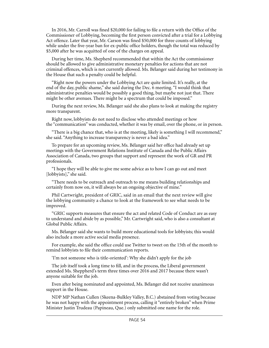In 2016, Mr. Carroll was fined \$20,000 for failing to file a return with the Office of the Commissioner of Lobbying, becoming the first person convicted after a trial for a Lobbying Act offence. Later that year, Mr. Carson was [fined](https://www.hilltimes.com/2017/11/06/supreme-court-hears-bruce-carsons-appeal-influence-peddling-conviction/124466) \$50,000 for three counts of lobbying while under the five-year ban for ex-public office holders, though the total was reduced by \$5,000 after he was acquitted of one of the charges on appeal.

During her time, Ms. Shepherd recommended that within the Act the commissioner should be allowed to give administrative monetary penalties for actions that are not criminal offences, which is not currently allowed. Ms. Bélanger said during her testimony in the House that such a penalty could be helpful.

"Right now the powers under the Lobbying Act are quite limited. It's really, at the end of the day, public shame," she said during the Dec. 6 meeting. "I would think that administrative penalties would be possibly a good thing, but maybe not just that. There might be other avenues. There might be a spectrum that could be imposed."

During the next review, Ms. Bélanger said she also plans to look at making the registry more transparent.

Right now, lobbyists do not need to disclose who attended meetings or how the "communication" was conducted, whether it was by email, over the phone, or in person.

"There is a big chance that, who is at the meeting, likely is something I will recommend," she said. "Anything to increase transparency is never a bad idea."

To prepare for an upcoming review, Ms. Bélanger said her office had already set up meetings with the Government Relations Institute of Canada and the Public Affairs Association of Canada, two groups that support and represent the work of GR and PR professionals.

"I hope they will be able to give me some advice as to how I can go out and meet [lobbyists]," she said.

"There needs to be outreach and outreach to me means building relationships and certainly from now on, it will always be an ongoing objective of mine."

Phil Cartwright, president of GRIC, said in an email that the next review will give the lobbying community a chance to look at the framework to see what needs to be improved.

"GRIC supports measures that ensure the act and related Code of Conduct are as easy to understand and abide by as possible," Mr. Cartwright said, who is also a consultant at Global Public Affairs.

Ms. Bélanger said she wants to build more educational tools for lobbyists; this would also include a more active social media presence.

For example, she said the office could use Twitter to tweet on the 15th of the month to remind lobbyists to file their communication reports.

'I'm not someone who is title-oriented': Why she didn't apply for the job

The job itself took a long time to fill, and in the process, the Liberal government extended Ms. Sheppherd's term three times over 2016 and 2017 because there wasn't anyone suitable for the job.

Even after being nominated and appointed, Ms. Bélanger did not receive unanimous support in the House.

NDP MP Nathan Cullen (Skeena-Bulkley Valley, B.C.) abstained from voting because he was not happy with the appointment process, calling it "entirely broken" when Prime Minister Justin Trudeau (Papineau, Que.) only submitted one name for the role.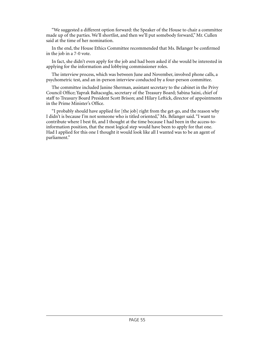"We suggested a different option forward: the Speaker of the House to chair a committee made up of the parties. We'll shortlist, and then we'll put somebody forward," Mr. Cullen said at the time of her nomination.

In the end, the House Ethics Committee recommended that Ms. Bélanger be confirmed in the job in a 7-0 vote.

In fact, she didn't even apply for the job and had been asked if she would be interested in applying for the information and lobbying commissioner roles.

The interview process, which was between June and November, involved phone calls, a psychometric test, and an in-person interview conducted by a four-person committee.

The committee included Janine Sherman, assistant secretary to the cabinet in the Privy Council Office; Yaprak Baltacıoglu, secretary of the Treasury Board; Sabina Saini, chief of staff to Treasury Board President Scott Brison; and Hilary Leftick, director of appointments in the Prime Minister's Office.

"I probably should have applied for [the job] right from the get-go, and the reason why I didn't is because I'm not someone who is titled oriented," Ms. Bélanger said. "I want to contribute where I best fit, and I thought at the time because I had been in the access-toinformation position, that the most logical step would have been to apply for that one. Had I applied for this one I thought it would look like all I wanted was to be an agent of parliament."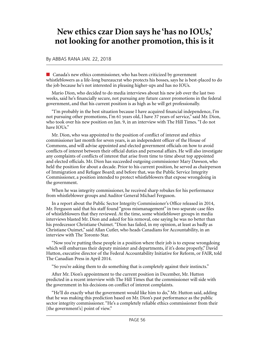# **New ethics czar Dion says he 'has no IOUs,' not looking for another promotion, this is it**

#### By [ABBAS RANA](https://www.hilltimes.com/author/abbas-rana) JAN. 22, 2018

 $\blacksquare$  Canada's new ethics commissioner, who has been criticized by government whistleblowers as a life-long bureaucrat who protects his bosses, says he is best-placed to do the job because he's not interested in pleasing higher-ups and has no IOUs.

Mario Dion, who decided to do media interviews about his new job over the last two weeks, said he's financially secure, not pursuing any future career promotions in the federal government, and that his current position is as high as he will get professionally.

"I'm probably in the best situation because I have acquired financial independence, I'm not pursuing other promotions, I'm 61 years old, I have 37 years of service," said Mr. Dion, who took over his new position on Jan. 9, in an interview with The Hill Times. "I do not have IOUs."

Mr. Dion, who was appointed to the position of conflict of interest and ethics commissioner last month for seven years, is an independent officer of the House of Commons, and will advise appointed and elected government officials on how to avoid conflicts of interest between their official duties and personal affairs. He will also investigate any complaints of conflicts of interest that arise from time to time about top appointed and elected officials. Mr. Dion has succeeded outgoing commissioner Mary Dawson, who held the position for about a decade. Prior to his current position, he served as chairperson of Immigration and Refugee Board; and before that, was the Public Service Integrity Commissioner, a position intended to protect whistleblowers that expose wrongdoing in the government.

When he was integrity commissioner, he received sharp rebukes for his performance from whistleblower groups and Auditor General Michael Ferguson.

In a report about the Public Sector Integrity Commissioner's Office released in 2014, Mr. Ferguson said that his staff found "gross mismanagement" in two separate case files of whistleblowers that they reviewed. At the time, some whistleblower groups in media interviews blasted Mr. Dion and asked for his removal, one saying he was no better than his predecessor Christiane Ouimet. "Dion has failed, in my opinion, at least as badly as Christiane Ouimet," said Allan Cutler, who heads Canadians for Accountability, in an interview with The Toronto Star.

"Now you're putting these people in a position where their job is to expose wrongdoing which will embarrass their deputy minister and departments, if it's done properly," David Hutton, executive director of the Federal Accountability Initiative for Reform, or FAIR, told The Canadian Press in April 2014.

"So you're asking them to do something that is completely against their instincts."

After Mr. Dion's appointment to the current position in December, Mr. Hutton predicted in a recent interview with The Hill Times that the commissioner will side with the government in his decisions on conflict of interest complaints.

"He'll do exactly what the government would like him to do," Mr. Hutton said, adding that he was making this prediction based on Mr. Dion's past performance as the public sector integrity commissioner. "He's a completely reliable ethics commissioner from their [the government's] point of view."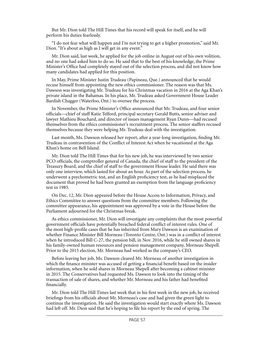But Mr. Dion told The Hill Times that his record will speak for itself, and he will perform his duties fearlessly.

"I do not fear what will happen and I'm not trying to get a higher promotion," said Mr. Dion. "It's about as high as I will get in any event."

Mr. Dion said, last week, he applied for the job online in August out of his own volition, and no one had asked him to do so. He said that to the best of his knowledge, the Prime Minister's Office had completely stayed out of the selection process, and did not know how many candidates had applied for this position.

In May, Prime Minister Justin Trudeau (Papineau, Que.) announced that he would recuse himself from appointing the new ethics commissioner. The reason was that Ms. Dawson was investigating Mr. Trudeau for his Christmas vacation in 2016 at the Aga Khan's private island in the Bahamas. In his place, Mr. Trudeau asked Government House Leader Bardish Chagger (Waterloo, Ont.) to oversee the process.

In November, the Prime Minister's Office announced that Mr. Trudeau, and four senior officials—chief of staff Katie Telford, principal secretary Gerald Butts, senior adviser and lawyer Mathieu Bouchard, and director of issues management Ryan Dunn—had recused themselves from the ethics commissioner's recruitment process. The senior staffers recused themselves because they were helping Mr. Trudeau deal with the investigation.

Last month, Ms. Dawson released her report, after a year-long investigation, finding Mr. Trudeau in contravention of the Conflict of Interest Act when he vacationed at the Aga Khan's home on Bell Island.

Mr. Dion told The Hill Times that for his new job, he was interviewed by two senior PCO officials, the comptroller general of Canada, the chief of staff to the president of the Treasury Board, and the chief of staff to the government House leader. He said there was only one interview, which lasted for about an hour. As part of the selection process, he underwent a psychometric test, and an English proficiency test, as he had misplaced the document that proved he had been granted an exemption from the language proficiency test in 1985.

On Dec. 12, Mr. Dion appeared before the House Access to Information, Privacy, and Ethics Committee to answer questions from the committee members. Following the committee appearance, his appointment was approved by a vote in the House before the Parliament adjourned for the Christmas break.

As ethics commissioner, Mr. Dion will investigate any complaints that the most powerful government officials have potentially breached federal conflict of interest rules. One of the most high-profile cases that he has inherited from Mary Dawson is an examination of whether Finance Minister Bill Morneau (Toronto Centre, Ont.) was in a conflict of interest when he introduced Bill C-27, the pension bill, in Nov. 2016, while he still owned shares in his family-owned human resources and pension management company, Morneau Shepell. Prior to the 2015 election, Mr. Morneau had worked as the company's CEO.

Before leaving her job, Ms. Dawson cleared Mr. Morneau of another investigation in which the finance minister was accused of getting a financial benefit based on the insider information, when he sold shares in Morneau Shepell after becoming a cabinet minister in 2015. The Conservatives had requested Ms. Dawson to look into the timing of the transaction of sale of shares, and whether Mr. Morneau and his father had benefited financially.

Mr. Dion told The Hill Times last week that in his first week in the new job, he received briefings from his officials about Mr. Morneau's case and had given the green light to continue the investigation. He said the investigation would start exactly where Ms. Dawson had left off. Mr. Dion said that he's hoping to file his report by the end of spring. The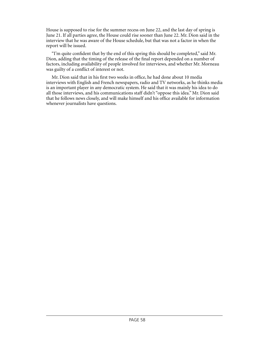House is supposed to rise for the summer recess on June 22, and the last day of spring is June 21. If all parties agree, the House could rise sooner than June 22. Mr. Dion said in the interview that he was aware of the House schedule, but that was not a factor in when the report will be issued.

"I'm quite confident that by the end of this spring this should be completed," said Mr. Dion, adding that the timing of the release of the final report depended on a number of factors, including availability of people involved for interviews, and whether Mr. Morneau was guilty of a conflict of interest or not.

Mr. Dion said that in his first two weeks in office, he had done about 10 media interviews with English and French newspapers, radio and TV networks, as he thinks media is an important player in any democratic system. He said that it was mainly his idea to do all those interviews, and his communications staff didn't "oppose this idea." Mr. Dion said that he follows news closely, and will make himself and his office available for information whenever journalists have questions.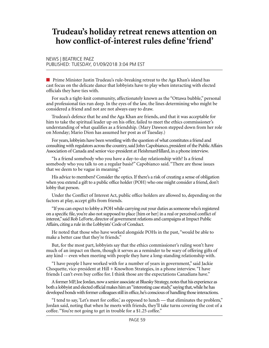# **Trudeau's holiday retreat renews attention on how conflict-of-interest rules define 'friend'**

NEWS | BEATRICE PAEZ PUBLISHED: TUESDAY, 01/09/2018 3:04 PM EST

■ Prime Minister Justin Trudeau's rule-breaking retreat to the Aga Khan's island has cast focus on the delicate dance that lobbyists have to play when interacting with elected officials they have ties with.

For such a tight-knit community, affectionately known as the "Ottawa bubble," personal and professional ties run deep. In the eyes of the law, the lines determining who might be considered a friend and not are not always easy to draw.

Trudeau's defence that he and the Aga Khan are friends, and that it was acceptable for him to take the spiritual leader up on his offer, failed to meet the ethics commissioner's understanding of what qualifies as a friendship. (Mary Dawson stepped down from her role on Monday; Mario Dion has assumed her post as of Tuesday.)

For years, lobbyists have been wrestling with the question of what constitutes a friend and consulting with regulators across the country, said John Capobianco, president of the Public Affairs Association of Canada and senior vice-president at FleishmanHillard, in a phone interview.

"Is a friend somebody who you have a day-to-day relationship with? Is a friend somebody who you talk to on a regular basis?" Capobianco said. "There are those issues that we deem to be vague in meaning."

His advice to members? Consider the optics. If there's a risk of creating a sense of obligation when you extend a gift to a public office holder (POH) who one might consider a friend, don't lobby that person.

Under the Conflict of Interest Act, public office holders are allowed to, depending on the factors at play, accept gifts from friends.

"If you can expect to lobby a POH while carrying out your duties as someone who's registered on a specific file, you're also not supposed to place [him or her] in a real or perceived conflict of interest," said Rob LeForte, director of government relations and campaigns at Impact Public Affairs, citing a rule in the Lobbyists' Code of Conduct.

He noted that those who have worked alongside POHs in the past, "would be able to make a better case that they're friends."

But, for the most part, lobbyists say that the ethics commissioner's ruling won't have much of an impact on them, though it serves as a reminder to be wary of offering gifts of any kind -- even when meeting with people they have a long-standing relationship with.

"I have people I have worked with for a number of years in government," said Jackie Choquette, vice-president at Hill + Knowlton Strategies, in a phone interview. "I have friends I can't even buy coffee for. I think those are the expectations Canadians have."

A former MP, Joe Jordan, now a senior associate at Bluesky Strategy, notes that his experience as both a lobbyist and elected official makes him an "interesting case study," saying that, while he has developed bonds with former colleagues still in office, he's conscious of handling those interactions.

"I tend to say, 'Let's meet for coffee,' as opposed to lunch — that eliminates the problem," Jordan said, noting that when he meets with friends, they'll take turns covering the cost of a coffee. "You're not going to get in trouble for a \$1.25 coffee."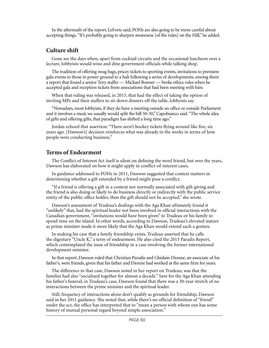In the aftermath of the report, LeForte said, POHs are also going to be more careful about accepting things. "It's probably going to sharpen awareness [of the rules] on the Hill," he added.

### **Culture shift**

Gone are the days when, apart from cocktail circuits and the occasional luncheon over a lecture, lobbyists would wine and dine government officials while talking shop.

The tradition of offering swag bags, pricey tickets to sporting events, invitations to premiere gala events to those in power ground to a halt following a series of developments, among them a report that found a senior Tory staffer — Michael Bonner — broke ethics rules when he accepted gala and reception tickets from associations that had been meeting with him.

When that ruling was released, in 2015, that had the effect of taking the option of inviting MPs and their staffers to sit-down dinners off the table, lobbyists say.

"Nowadays, most lobbyists, if they do have a meeting outside an office or outside Parliament and it involves a meal, we usually would split the bill 50-50," Capobianco said. "The whole idea of gifts and offering gifts, that paradigm has shifted a long time ago."

Jordan echoed that assertion: "There aren't hockey tickets flying around like five, six years ago. [Dawson's] decision reinforces what was already in the works in terms of how people were conducting business."

#### **Terms of Endearment**

The Conflict of Interest Act itself is silent on defining the word friend, but over the years, Dawson has elaborated on how it might apply in conflict-of-interest cases.

In guidance addressed to POHs in 2011, Dawson suggested that context matters in determining whether a gift extended by a friend might pose a conflict.

"If a friend is offering a gift in a context not normally associated with gift-giving and the friend is also doing or likely to do business directly or indirectly with the public service entity of the public office holder, then the gift should not be accepted," she wrote.

Dawson's assessment of Trudeau's dealings with the Aga Khan ultimately found it "unlikely" that, had the spiritual leader not been involved in official interactions with the Canadian government, "invitations would have been given" to Trudeau or his family to spend time on the island. In other words, according to Dawson, Trudeau's elevated stature as prime minister made it more likely that the Aga Khan would extend such a gesture.

In making his case that a family friendship exists, Trudeau asserted that he calls the dignitary "Uncle K," a term of endearment. He also cited the [2013 Paradis Report](http://ciec-ccie.parl.gc.ca/Documents/English/Public%20Reports/Inquiry%20Reports/The%20Paradis%20Report%20-%203.pdf), which contemplated the issue of friendship in a case involving the former international development minister.

In that report, Dawson ruled that Christian Paradis and Ghislain Dionne, an associate of his father's, were friends, given that his father and Dionne had worked at the same firm for years.

The difference in that case, Dawson noted in her report on Trudeau, was that the families had also "socialized together for almost a decade." Save for the Aga Khan attending his father's funeral, in Trudeau's case, Dawson found that there was a 30-year stretch of no interactions between the prime minister and the spiritual leader.

Still, frequency of interactions alone don't qualify as grounds for friendship, Dawson said in her 2011 guidance. She noted that, while there's no official definition of "friend" under the act, the office has interpreted that to "mean a person with whom one has some history of mutual personal regard beyond simple association."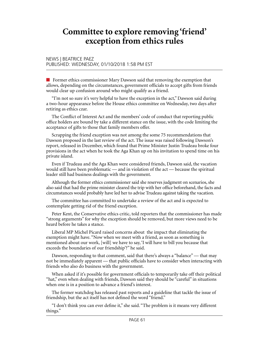# **Committee to explore removing 'friend' exception from ethics rules**

#### NEWS | BEATRICE PAEZ PUBLISHED: WEDNESDAY, 01/10/2018 1:58 PM EST

**n** Former ethics commissioner Mary Dawson said that removing the exemption that allows, depending on the circumstances, government officials to accept gifts from friends would clear up confusion around who might qualify as a friend.

"I'm not so sure it's very helpful to have the exception in the act," Dawson said during a two-hour appearance before the House ethics committee on Wednesday, two days after retiring as ethics czar.

The Conflict of Interest Act and the members' code of conduct that reporting public office holders are bound by take a different stance on the issue, with the code limiting the acceptance of gifts to those that family members offer.

Scrapping the friend exception was not among the some 75 recommendations that Dawson proposed in the last review of the act. The issue was raised following Dawson's report, released in December, which found that Prime Minister Justin Trudeau broke four provisions in the act when he took the Aga Khan up on his invitation to spend time on his private island.

Even if Trudeau and the Aga Khan were considered friends, Dawson said, the vacation would still have been problematic — and in violation of the act — because the spiritual leader still had business dealings with the government.

Although the former ethics commissioner said she reserves judgment on scenarios, she also said that had the prime minister cleared the trip with her office beforehand, the facts and circumstances would probably have led her to advise Trudeau against taking the vacation.

The committee has committed to undertake a review of the act and is expected to contemplate getting rid of the friend exception.

Peter Kent, the Conservative ethics critic, told reporters that the commissioner has made "strong arguments" for why the exception should be removed, but more views need to be heard before he takes a stance.

Liberal MP Michel Picard raised concerns about the impact that eliminating the exemption might have. "Now when we meet with a friend, as soon as something is mentioned about our work, [will] we have to say, 'I will have to bill you because that exceeds the boundaries of our friendship'?" he said.

Dawson, responding to that comment, said that there's always a "balance" — that may not be immediately apparent — that public officials have to consider when interacting with friends who also do business with the government.

When asked if it's possible for government officials to temporarily take off their political "hat," even when dealing with friends, Dawson said they should be "careful" in situations when one is in a position to advance a friend's interest.

The former watchdog has released past reports and a guideline that tackle the issue of friendship, but the act itself has not defined the word "friend."

"I don't think you can ever define it," she said. "The problem is it means very different things."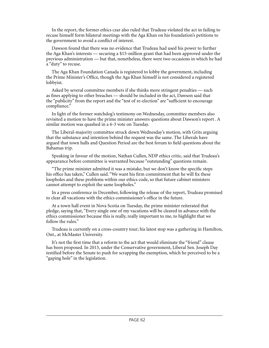In the report, the former ethics czar also ruled that Trudeau violated the act in failing to recuse himself form bilateral meetings with the Aga Khan on his foundation's petitions to the government to avoid a conflict of interest.

Dawson found that there was no evidence that Trudeau had used his power to further the Aga Khan's interests — securing a \$15-million grant that had been approved under the previous administration — but that, nonetheless, there were two occasions in which he had a "duty" to recuse.

The Aga Khan Foundation Canada is registered to lobby the government, including the Prime Minister's Office, though the Aga Khan himself is not considered a registered lobbyist.

Asked by several committee members if she thinks more stringent penalties — such as fines applying to other breaches — should be included in the act, Dawson said that the "publicity" from the report and the "test of re-election" are "sufficient to encourage compliance."

In light of the former watchdog's testimony on Wednesday, committee members also revisited a motion to have the prime minister answers questions about Dawson's report . A similar motion was quashed in a 6-3 vote on Tuesday.

The Liberal-majority committee struck down Wednesday's motion, with Grits arguing that the substance and intention behind the request was the same. The Liberals have argued that town halls and Question Period are the best forum to field questions about the Bahamas trip.

Speaking in favour of the motion, Nathan Cullen, NDP ethics critic, said that Trudeau's appearance before committee is warranted because "outstanding" questions remain.

"The prime minister admitted it was a mistake, but we don't know the specific steps his office has taken," Cullen said. "We want his firm commitment that he will fix these loopholes and these problems within our ethics code, so that future cabinet ministers cannot attempt to exploit the same loopholes."

In a press conference in December, following the release of the report, Trudeau promised to clear all vacations with the ethics commissioner's office in the future.

At a town hall event in Nova Scotia on Tuesday, the prime minister reiterated that pledge, saying that, "Every single one of my vacations will be cleared in advance with the ethics commissioner because this is really, really important to me, to highlight that we follow the rules."

Trudeau is currently on a cross-country tour; his latest stop was a gathering in Hamilton, Ont., at McMaster University.

It's not the first time that a reform to the act that would eliminate the "friend" clause has been proposed. In 2013, under the Conservative government, Liberal Sen. Joseph Day testified before the Senate to push for scrapping the exemption, which he perceived to be a "gaping hole" in the legislation.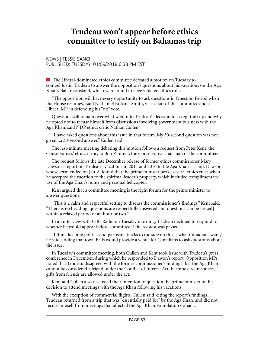# **Trudeau won't appear before ethics committee to testify on Bahamas trip**

NEWS | TESSIE SANCI PUBLISHED: TUESDAY, 01/09/2018 6:38 PM EST

 $\blacksquare$  The Liberal-dominated ethics committee defeated a motion on Tuesday to compel Justin Trudeau to answer the opposition's questions about his vacations on the Aga Khan's Bahamas island, which were found to have violated ethics rules.

"The opposition will have every opportunity to ask questions in Question Period when the House resumes," said Nathaniel Erskine-Smith, vice-chair of the committee and a Liberal MP, in defending his "no" vote.

Questions still remain over what went into Trudeau's decision to accept the trip and why he opted not to recuse himself from discussions involving government business with the Aga Khan, said NDP ethics critic Nathan Cullen.

"I have asked questions about this issue in that forum. My 30-second question was not given...a 30-second answer," Cullen said.

The last-minute meeting debating this motion follows a request from Peter Kent, the Conservatives' ethics critic, to Bob Zimmer, the Conservative chairman of the committee.

The request follows the late December release of former ethics commissioner Mary Dawson's [report](http://www.lobbymonitor.ca/2017/12/20/trudeau-broke-ethics-rules-in-accepting-holiday-trip-to-aga-khans-retreat/15975) on Trudeau's vacations in 2014 and 2016 to the Aga Khan's island. Dawson, whose term ended on Jan. 8, found that the prime minister broke several ethics rules when he accepted the vacation to the spiritual leader's property, which included complimentary use of the Aga Khan's home and personal helicopter.

Kent argued that a committee meeting is the right forum for the prime minister to answer questions.

"This is a calm and respectful setting to discuss the commissioner's findings," Kent said. "There is no heckling, questions are respectfully answered and questions can be [asked] within a relaxed period of an hour or two."

In an [interview](http://www.cbc.ca/news/politics/ethics-committee-trudeau-aga-khan-1.4478903) with CBC Radio on Tuesday morning, Trudeau declined to respond to whether he would appear before committee if the request was passed.

"I think keeping politics and partisan attacks to the side on this is what Canadians want," he said, adding that town halls would provide a venue for Canadians to ask questions about the issue.

In Tuesday's committee meeting, both Cullen and Kent took issue with Trudeau's press conference in December, during which he responded to Dawon's report. Opposition MPs noted that Trudeau disagreed with the former commissioner's findings that the Aga Khan cannot be considered a friend under the Conflict of Interest Act. In some circumstances, gifts from friends are allowed under the act.

Kent and Cullen also discussed their intention to question the prime minister on his decision to attend meetings with the Aga Khan following his vacations.

With the exception of commercial flights, Cullen said, citing the report's findings, Trudeau returned from a trip that was "essentially paid for" by the Aga Khan, and did not recuse himself from meetings that affected the Aga Khan Foundation Canada.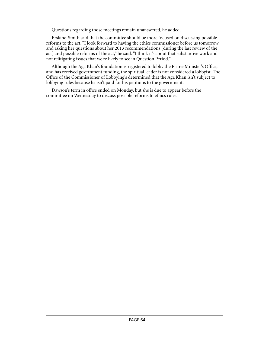Questions regarding those meetings remain unanswered, he added.

Erskine-Smith said that the committee should be more focused on discussing possible reforms to the act. "I look forward to having the ethics commissioner before us tomorrow and asking her questions about her 2013 recommendations [during the last review of the act] and possible reforms of the act," he said. "I think it's about that substantive work and not relitigating issues that we're likely to see in Question Period."

Although the Aga Khan's foundation is registered to lobby the Prime Minister's Office, and has received government funding, the spiritual leader is not considered a lobbyist. The Office of the Commissioner of Lobbying's determined that the Aga Khan isn't subject to lobbying rules because he isn't paid for his petitions to the government.

Dawson's term in office ended on Monday, but she is due to appear before the committee on Wednesday to discuss possible reforms to ethics rules.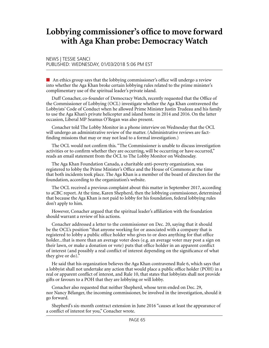# **Lobbying commissioner's office to move forward with Aga Khan probe: Democracy Watch**

NEWS | TESSIE SANCI PUBLISHED: WEDNESDAY, 01/03/2018 5:06 PM EST

 $\blacksquare$  An ethics group says that the lobbying commissioner's office will undergo a review into whether the Aga Khan broke certain lobbying rules related to the prime minister's complimentary use of the spiritual leader's private island.

Duff Conacher, co-founder of Democracy Watch, recently requested that the Office of the Commissioner of Lobbying (OCL) investigate whether the Aga Khan contravened the Lobbyists' Code of Conduct when he allowed Prime Minister Justin Trudeau and his family to use the Aga Khan's private helicopter and island home in 2014 and 2016. On the latter occasion, Liberal MP Seamus O'Regan was also present.

Conacher told The Lobby Monitor in a phone interview on Wednesday that the OCL will undergo an administrative review of the matter. (Administrative reviews are factfinding missions that may or may not lead to a formal investigation.)

The OCL would not confirm this. "The Commissioner is unable to discuss investigation activities or to confirm whether they are occurring, will be occurring or have occurred," reads an email statement from the OCL to The Lobby Monitor on Wednesday.

The Aga Khan Foundation Canada, a charitable anti-poverty organization, was registered to lobby the Prime Minister's Office and the House of Commons at the time that both incidents took place. The Aga Khan is a member of the board of directors for the foundation, according to the organization's website.

The OCL received a previous complaint about this matter in September 2017, according to [aCBC report.](http://www.cbc.ca/news/politics/trudeau-agakhan-bahamas-lobbying-1.4461548) At the time, Karen Shepherd, then the lobbying commissioner, determined that because the Aga Khan is not paid to lobby for his foundation, federal lobbying rules don't apply to him.

However, Conacher argued that the spiritual leader's affiliation with the foundation should warrant a review of his actions.

Conacher addressed a letter to the commissioner on Dec. 20, saying that it should be the OCL's position "that anyone working for or associated with a company that is registered to lobby a public office holder who gives to or does anything for that office holder...that is more than an average voter does (e.g. an average voter may post a sign on their lawn, or make a donation or vote) puts that office holder in an apparent conflict of interest (and possibly a real conflict of interest depending on the significance of what they give or do)."

He said that his organization believes the Aga Khan contravened Rule 6, which says that a lobbyist shall not undertake any action that would place a public office holder (POH) in a real or apparent conflict of interest, and Rule 10, that states that lobbyists shall not provide gifts or favours to a POH that they are lobbying or will lobby.

Conacher also requested that neither Shepherd, whose term ended on Dec. 29, nor Nancy Bélanger, the incoming commissioner, be involved in the investigation, should it go forward.

Shepherd's six-month contract extension in June 2016 "causes at least the appearance of a conflict of interest for you," Conacher wrote.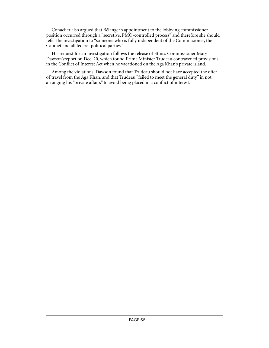Conacher also argued that Bélanger's appointment to the lobbying commissioner position occurred through a "secretive, PMO-controlled process" and therefore she should refer the investigation to "someone who is fully independent of the Commissioner, the Cabinet and all federal political parties."

His request for an investigation follows the release of Ethics Commissioner Mary Dawson'[sreport](http://www.lobbymonitor.ca/2017/12/20/trudeau-broke-ethics-rules-in-accepting-holiday-trip-to-aga-khans-retreat/15975)) on Dec. 20, which found Prime Minister Trudeau contravened provisions in the Conflict of Interest Act when he vacationed on the Aga Khan's private island.

Among the violations, Dawson found that Trudeau should not have accepted the offer of travel from the Aga Khan, and that Trudeau "failed to meet the general duty" in not arranging his "private affairs" to avoid being placed in a conflict of interest.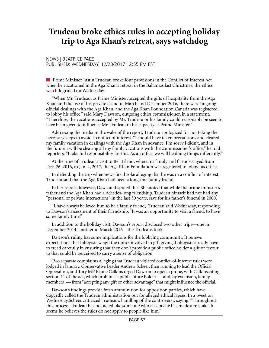# **Trudeau broke ethics rules in accepting holiday trip to Aga Khan's retreat, says watchdog**

#### NEWS | BEATRICE PAEZ PUBLISHED: WEDNESDAY, 12/20/2017 12:55 PM EST

n Prime Minister Justin Trudeau broke four provisions in the Conflict of Interest Act when he vacationed in the Aga Khan's retreat in the Bahamas last Christmas, the ethics watchdog[ruled](http://ciec-ccie.parl.gc.ca/Documents/English/Public%20Reports/Examination%20Reports/The%20Trudeau%20Report.pdf) on Wednesday.

"When Mr. Trudeau, as Prime Minister, accepted the gifts of hospitality from the Aga Khan and the use of his private island in March and December 2016, there were ongoing official dealings with the Aga Khan, and the Aga Khan Foundation Canada was registered to lobby his office," said Mary Dawson, outgoing ethics commissioner, in a statement. "Therefore, the vacations accepted by Mr. Trudeau or his family could reasonably be seen to have been given to influence Mr. Trudeau in his capacity as Prime Minister."

Addressing the media in the wake of the report, Trudeau apologized for not taking the necessary steps to avoid a conflict of interest. "I should have taken precautions and cleared my family vacation in dealings with the Aga Khan in advance. I'm sorry I didn't, and in the future I will be clearing all my family vacations with the commissioner's office," he told reporters. "I take full responsibility for this. As an office, we will be doing things differently."

At the time of Trudeau's visit to Bell Island, where his family and friends stayed from Dec. 26, 2016, to Jan. 4, 2017, the Aga Khan Foundation was registered to lobby his office.

In defending the trip when news first broke alleging that he was in a conflict of interest, Trudeau said that the Aga Khan had been a longtime family friend.

In her report, however, Dawson disputed this. She noted that while the prime minister's father and the Aga Khan had a decades-long friendship, Trudeau himself had not had any "personal or private interactions" in the last 30 years, save for his father's funeral in 2000.

"I have always believed him to be a family friend," Trudeau said Wednesday, responding to Dawson's assessment of their friendship. "It was an opportunity to visit a friend, to have some family time."

In addition to the holiday visit, Dawson's report disclosed two other trips—one in December 2014, another in March 2016—the Trudeaus took.

Dawson's ruling has some implications for the lobbying community. It renews expectations that lobbyists weigh the optics involved in gift giving. Lobbyists already have to tread carefully in ensuring that they don't provide a public office holder a gift or favour to that could be perceived to carry a sense of obligation.

Two separate complaints alleging that Trudeau violated conflict-of-interest rules were lodged in January. Conservative Leader Andrew Scheer, then running to lead the Official Opposition, and Tory MP Blaine Calkins urged Dawson to open a probe, with Calkins citing section 11 of the act, which prohibits a public office holder — and, by extension, family members — from "accepting any gift or other advantage" that might influence the official.

Dawson's findings provide fresh ammunition for opposition parties, which have doggedly called the Trudeau administration out for alleged ethical lapses. In a tweet on Wednesday,[Scheer](https://twitter.com/AndrewScheer) criticized Trudeau's handling of the controversy, saying, "Throughout this process, Trudeau has not acted like someone who accepts he has made a mistake. It seems he believes the rules do not apply to people like him."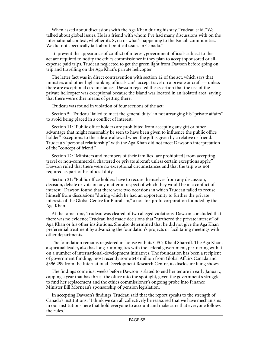When asked about discussions with the Aga Khan during his stay, Trudeau said, "We talked about global issues. He is a friend with whom I've had many discussions with on the international context, whether it's Syria or what's happening to the Ismaili communities. We did not specifically talk about political issues in Canada."

To prevent the appearance of conflict of interest, government officials subject to the act are required to notify the ethics commissioner if they plan to accept sponsored or allexpense paid trips. Trudeau neglected to get the green light from Dawson before going on trip and travelling on the Aga Khan's private helicopter.

The latter fact was in direct contravention with section 12 of the act, which says that ministers and other high-ranking officials can't accept travel on a private aircraft — unless there are exceptional circumstances. Dawson rejected the assertion that the use of the private helicopter was exceptional because the island was located in an isolated area, saying that there were other means of getting there.

Trudeau was found in violation of four sections of the act:

Section 5: Trudeau "failed to meet the general duty" in not arranging his "private affairs" to avoid being placed in a conflict of interest;

Section 11: "Public office holders are prohibited from accepting any gift or other advantage that might reasonably be seen to have been given to influence the public office holder." Exceptions to the rule are allowed when the gift is given by a relative or friend. Trudeau's "personal relationship" with the Aga Khan did not meet Dawson's interpretation of the "concept of friend."

Section 12: "Ministers and members of their families [are prohibited] from accepting travel or non-commercial chartered or private aircraft unless certain exceptions apply." Dawson ruled that there were no exceptional circumstances and that the trip was not required as part of his official duty.

Section 21: "Public office holders have to recuse themselves from any discussion, decision, debate or vote on any matter in respect of which they would be in a conflict of interest." Dawson found that there were two occasions in which Trudeau failed to recuse himself from discussions "during which he had an opportunity to further the private interests of the Global Centre for Pluralism," a not-for-profit corporation founded by the Aga Khan.

At the same time, Trudeau was cleared of two alleged violations. Dawson concluded that there was no evidence Trudeau had made decisions that "furthered the private interest" of Aga Khan or his other institutions. She also determined that he did not give the Aga Khan preferential treatment by advancing the foundation's projects or facilitating meetings with other departments.

The foundation remains registered in-house with its CEO, Khalil Sharriff. The Aga Khan, a spiritual leader, also has long-running ties with the federal government, partnering with it on a number of international-development initiatives. The foundation has been a recipient of government funding, most recently some \$48 million from Global Affairs Canada and \$396,299 from the International Development Research Centre, its disclosure filing shows.

The findings come just weeks before Dawson is slated to end her tenure in early January, capping a year that has thrust the office into the spotlight, given the government's struggle to find her replacement and the ethics commissioner's ongoing probe into Finance Minister Bill Morneau's sponsorship of pension legislation.

In accepting Dawson's findings, Trudeau said that the report speaks to the strength of Canada's institutions: "I think we can all collectively be reassured that we have mechanisms in our institutions here that hold everyone to account and make sure that everyone follows the rules."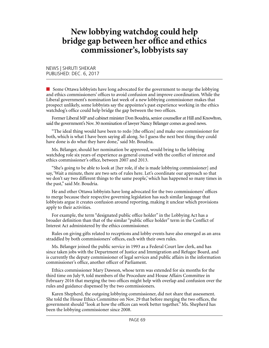# **New lobbying watchdog could help bridge gap between her office and ethics commissioner's, lobbyists say**

NEWS | SHRUTI SHEKAR PUBLISHED: DEC. 6, 2017

**n** Some Ottawa lobbyists have long advocated for the government to merge the lobbying and ethics commissioners' offices to avoid confusion and improve coordination. While the Liberal government's nomination last week of a new lobbying commissioner makes that prospect unlikely, some lobbyists say the appointee's past experience working in the ethics watchdog's office could help bridge the gap between the two offices.

Former Liberal MP and cabinet minister Don Boudria, senior counsellor at Hill and Knowlton, said the government's Nov. 30 nomination of lawyer Nancy Bélanger comes as good news.

"The ideal thing would have been to redo [the offices] and make one commissioner for both, which is what I have been saying all along. So I guess the next best thing they could have done is do what they have done," said Mr. Boudria.

Ms. Bélanger, should her nomination be approved, would bring to the lobbying watchdog role six years of experience as general counsel with the conflict of interest and ethics commissioner's office, between 2007 and 2013.

"She's going to be able to look at [her role, if she is made lobbying commissioner] and say, 'Wait a minute, there are two sets of rules here. Let's coordinate our approach so that we don't say two different things to the same people,' which has happened so many times in the past," said Mr. Boudria.

He and other Ottawa lobbyists have long advocated for the two commissioners' offices to merge because their respective governing legislation has such similar language that lobbyists argue it creates confusion around reporting, making it unclear which provisions apply to their activities.

For example, the term "designated public office holder" in the Lobbying Act has a broader definition than that of the similar "public office holder" term in the Conflict of Interest Act administered by the ethics commissioner.

Rules on giving gifts related to receptions and lobby events have also emerged as an area straddled by both commissioners' offices, each with their own rules.

Ms. Bélanger joined the public service in 1993 as a Federal Court law clerk, and has since taken jobs with the Department of Justice and Immigration and Refugee Board, and is currently the deputy commissioner of legal services and public affairs in the information commissioner's office, another officer of Parliament.

Ethics commissioner Mary Dawson, whose term was extended for six months for the third time on July 9, told members of the Procedure and House Affairs Committee in February 2016 that merging the two offices might help with overlap and confusion over the rules and guidance dispensed by the two commissioners.

Karen Shepherd, the outgoing lobbying commissioner, did not share that assessment. She told the House Ethics Committee on Nov. 29 that before merging the two offices, the government should "look at how the offices can work better together." Ms. Shepherd has been the lobbying commissioner since 2008.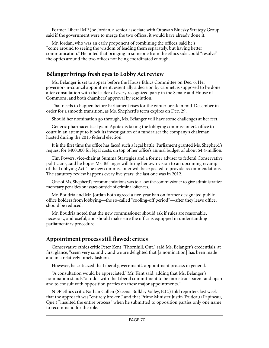Former Liberal MP Joe Jordan, a senior associate with Ottawa's Bluesky Strategy Group, said if the government were to merge the two offices, it would have already done it.

Mr. Jordan, who was an early proponent of combining the offices, said he's "come around to seeing the wisdom of leading them separately, but having better communication." He noted that bringing in someone from the ethics side could "resolve" the optics around the two offices not being coordinated enough.

## **Bélanger brings fresh eyes to Lobby Act review**

Ms. Bélanger is set to appear before the House Ethics Committee on Dec. 6. Her governor-in-council appointment, essentially a decision by cabinet, is supposed to be done after consultation with the leader of every recognized party in the Senate and House of Commons, and both chambers' approval by resolution.

That needs to happen before Parliament rises for the winter break in mid-December in order for a smooth transition, as Ms. Shepherd's term expires on Dec. 29.

Should her nomination go through, Ms. Bélanger will have some challenges at her feet.

Generic pharmaceutical giant Apotex is taking the lobbying commissioner's office to court in an attempt to block its investigation of a fundraiser the company's chairman hosted during the 2015 federal election.

It is the first time the office has faced such a legal battle. Parliament granted Ms. Shepherd's request for \$400,000 for legal costs, on top of her office's annual budget of about \$4.4-million.

Tim Powers, vice-chair at Summa Strategies and a former adviser to federal Conservative politicians, said he hopes Ms. Bélanger will bring her own vision to an upcoming revamp of the Lobbying Act. The new commissioner will be expected to provide recommendations. The statutory review happens every five years; the last one was in 2012.

One of Ms. Shepherd's recommendations was to allow the commissioner to give administrative monetary penalties on issues outside of criminal offences.

Mr. Boudria and Mr. Jordan both agreed a five-year ban on former designated public office holders from lobbying—the so-called "cooling-off period"—after they leave office, should be reduced.

Mr. Boudria noted that the new commissioner should ask if rules are reasonable, necessary, and useful, and should make sure the office is equipped in understanding parliamentary procedure.

## **Appointment process still flawed: critics**

Conservative ethics critic Peter Kent (Thornhill, Ont.) said Ms. Bélanger's credentials, at first glance, "seem very sound…and we are delighted that [a nomination] has been made and in a relatively timely fashion."

However, he criticized the Liberal government's appointment process in general.

"A consultation would be appreciated," Mr. Kent said, adding that Ms. Bélanger's nomination stands "at odds with the Liberal commitment to be more transparent and open and to consult with opposition parties on these major appointments."

NDP ethics critic Nathan Cullen (Skeena-Bulkley Valley, B.C.) told reporters last week that the approach was "entirely broken," and that Prime Minister Justin Trudeau (Papineau, Que.) "insulted the entire process" when he submitted to opposition parties only one name to recommend for the role.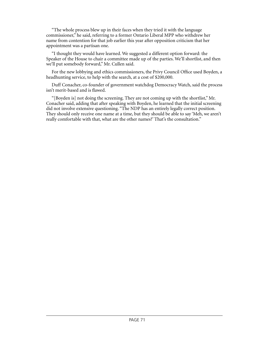"The whole process blew up in their faces when they tried it with the language commissioner," he said, referring to a former Ontario Liberal MPP who withdrew her name from contention for that job earlier this year after opposition criticism that her appointment was a partisan one.

"I thought they would have learned. We suggested a different option forward: the Speaker of the House to chair a committee made up of the parties. We'll shortlist, and then we'll put somebody forward," Mr. Cullen said.

For the new lobbying and ethics commissioners, the Privy Council Office used Boyden, a headhunting service, to help with the search, at a cost of \$200,000.

Duff Conacher, co-founder of government watchdog Democracy Watch, said the process isn't merit-based and is flawed.

"[Boyden is] not doing the screening. They are not coming up with the shortlist," Mr. Conacher said, adding that after speaking with Boyden, he learned that the initial screening did not involve extensive questioning. "The NDP has an entirely legally correct position. They should only receive one name at a time, but they should be able to say 'Meh, we aren't really comfortable with that, what are the other names?' That's the consultation."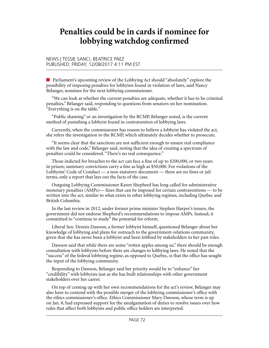# **Penalties could be in cards if nominee for lobbying watchdog confirmed**

#### NEWS | TESSIE SANCI, BEATRICE PAEZ PUBLISHED: FRIDAY, 12/08/2017 4:11 PM EST

**n** Parliament's upcoming review of the Lobbying Act should "absolutely" explore the possibility of imposing penalties for lobbyists found in violation of laws, said Nancy Bélanger, nominee for the next lobbying commissioner.

"We can look at whether the current penalties are adequate, whether it has to be criminal penalties," Bélanger said, responding to questions from senators on her nomination. "Everything is on the table."

"Public shaming" or an investigation by the RCMP, Bélanger noted, is the current method of punishing a lobbyist found in contravention of lobbying laws.

Currently, when the commissioner has reason to believe a lobbyist has violated the act, she refers the investigation to the RCMP, which ultimately decides whether to prosecute.

"It seems clear that the sanctions are not sufficient enough to ensure real compliance with the law and code," Bélanger said, noting that the idea of creating a spectrum of penalties could be considered. "There's no real consequence."

Those indicted for breaches to the act can face a fine of up to \$200,000, or two years in prison; summary convictions carry a fine as high as \$50,000. For violations of the Lobbyists' Code of Conduct — a non-statutory document — there are no fines or jail terms, only a report that lays out the facts of the case.

Outgoing Lobbying Commissioner Karen Shepherd has long called for administrative monetary penalties (AMPs)— fines that can be imposed for certain contraventions — to be written into the act, similar to what exists in other lobbying regimes, including Quebec and British Columbia.

In the last review in 2012, under former prime minister Stephen Harper's tenure, the government did not endorse Shepherd's recommendations to impose AMPs. Instead, it committed to "continue to study" the potential for reform.

Liberal Sen. Dennis Dawson, a former lobbyist himself, questioned Bélanger about her knowledge of lobbying and plans for outreach to the government-relations community, given that she has never been a lobbyist and been lobbied by stakeholders in her past roles.

Dawson said that while there are some "rotten apples among us," there should be enough consultation with lobbyists before there are changes to lobbying laws. He noted that the "success" of the federal lobbying regime, as opposed to Quebec, is that the office has sought the input of the lobbying community.

Responding to Dawson, Bélanger said her priority would be to "enhance" her "credibility" with lobbyists just as she has built relationships with other government stakeholders over her career.

On top of coming up with her own recommendations for the act's review, Bélanger may also have to contend with the possible merger of the lobbying commissioner's office with the ethics commissioner's office. Ethics Commissioner Mary Dawson, whose term is up on Jan. 8, had expressed support for the amalgamation of duties to resolve issues over how rules that affect both lobbyists and public office holders are interpreted.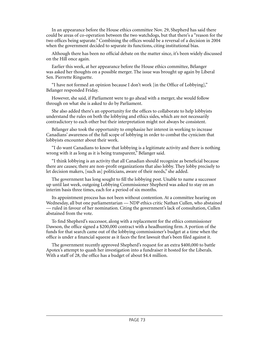In an appearance before the House ethics committee Nov. 29, Shepherd has said there could be areas of co-operation between the two watchdogs, but that there's a "reason for the two offices being separate." Combining the offices would be a reversal of a decision in 2004 when the government decided to separate its functions, citing institutional bias.

Although there has been no official debate on the matter since, it's been widely discussed on the Hill once again.

Earlier this week, at her appearance before the House ethics committee, Bélanger was asked her thoughts on a possible merger. The issue was brought up again by Liberal Sen. Pierrette Ringuette.

"I have not formed an opinion because I don't work [in the Office of Lobbying]," Bélanger responded Friday.

However, she said, if Parliament were to go ahead with a merger, she would follow through on what she is asked to do by Parliament.

She also added there's an opportunity for the offices to collaborate to help lobbyists understand the rules on both the lobbying and ethics sides, which are not necessarily contradictory to each other but their interpretation might not always be consistent.

Bélanger also took the opportunity to emphasize her interest in working to increase Canadians' awareness of the full scope of lobbying in order to combat the cynicism that lobbyists encounter about their work.

"I do want Canadians to know that lobbying is a legitimate activity and there is nothing wrong with it as long as it is being transparent," Bélanger said.

"I think lobbying is an activity that all Canadian should recognize as beneficial because there are causes; there are non-profit organizations that also lobby. They lobby precisely to let decision makers, [such as] politicians, aware of their needs," she added.

The government has long sought to fill the lobbying post. Unable to name a successor up until last week, outgoing Lobbying Commissioner Shepherd was asked to stay on an interim basis three times, each for a period of six months.

Its appointment process has not been without contention. At a committee hearing on Wednesday, all but one parliamentarian — NDP ethics critic Nathan Cullen, who abstained — ruled in favour of her nomination. Citing the government's lack of consultation, Cullen abstained from the vote.

To find Shepherd's successor, along with a replacement for the ethics commissioner Dawson, the office signed a \$200,000 contract with a headhunting firm. A portion of the funds for that search came out of the lobbying commissioner's budget at a time when the office is under a financial squeeze as it faces the first lawsuit that's been filed against it.

The government recently approved Shepherd's request for an extra \$400,000 to battle Apotex's attempt to quash her investigation into a fundraiser it hosted for the Liberals. With a staff of 28, the office has a budget of about \$4.4 million.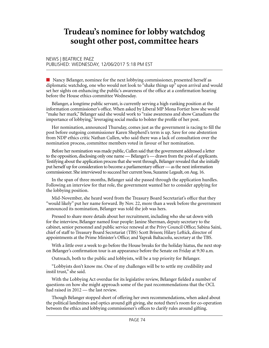# **Trudeau's nominee for lobby watchdog sought other post, committee hears**

NEWS | BEATRICE PAEZ PUBLISHED: WEDNESDAY, 12/06/2017 5:18 PM EST

n Nancy Bélanger, nominee for the next lobbying commissioner, presented herself as diplomatic watchdog, one who would not look to "shake things up" upon arrival and would set her sights on enhancing the public's awareness of the office at a confirmation hearing before the House ethics committee Wednesday.

Bélanger, a longtime public servant, is currently serving a high-ranking position at the information commissioner's office. When asked by Liberal MP Mona Fortier how she would "make her mark," Bélanger said she would work to "raise awareness and show Canadians the importance of lobbying," leveraging social media to bolster the profile of her post.

Her nomination, announced Thursday, comes just as the government is racing to fill the post before outgoing commissioner Karen Shepherd's term is up. Save for one abstention from NDP ethics critic Nathan Cullen, who said there was a lack of consultation over the nomination process, committee members voted in favour of her nomination.

Before her nomination was made public, Cullen said that the government addressed a letter to the opposition, disclosing only one name — Bélanger's — drawn from the pool of applicants. Testifying about the application process that she went through, Bélanger revealed that she initially put herself up for consideration to become a parliamentary officer — as the next information commissioner. She interviewed to succeed her current boss, Suzanne Legault, on Aug. 16.

In the span of three months, Bélanger said she passed through the application hurdles. Following an interview for that role, the government wanted her to consider applying for the lobbying position.

Mid-November, she heard word from the Treasury Board Secretariat's office that they "would likely" put her name forward. By Nov. 22, more than a week before the government announced its nomination, Bélanger was told the job was hers.

Pressed to share more details about her recruitment, including who she sat down with for the interview, Bélanger named four people: Janine Sherman, deputy secretary to the cabinet, senior personnel and public service renewal at the Privy Council Office; Sabina Saini, chief of staff to Treasury Board Secretariat (TBS) Scott Brison; Hilary Leftick, director of appointments at the Prime Minister's Office; and Yaprak Baltacıolu, secretary at the TBS.

With a little over a week to go before the House breaks for the holiday hiatus, the next stop on Bélanger's confirmation tour is an appearance before the Senate on Friday at 9:30 a.m.

Outreach, both to the public and lobbyists, will be a top priority for Bélanger.

"Lobbyists don't know me. One of my challenges will be to settle my credibility and instil trust," she said.

With the Lobbying Act overdue for its legislative review, Bélanger fielded a number of questions on how she might approach some of the past recommendations that the OCL had raised in 2012 — the last review.

Though Bélanger stopped short of offering her own recommendations, when asked about the political landmines and optics around gift giving, she noted there's room for co-operation between the ethics and lobbying commissioner's offices to clarify rules around gifting.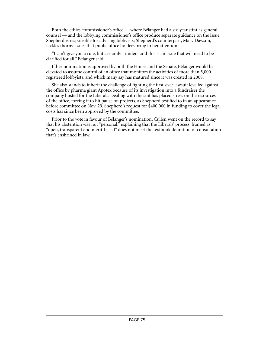Both the ethics commissioner's office — where Bélanger had a six-year stint as general counsel — and the lobbying commissioner's office produce separate guidance on the issue. Shepherd is responsible for advising lobbyists; Shepherd's counterpart, Mary Dawson, tackles thorny issues that public office holders bring to her attention.

"I can't give you a rule, but certainly I understand this is an issue that will need to be clarified for all," Bélanger said.

If her nomination is approved by both the House and the Senate, Bélanger would be elevated to assume control of an office that monitors the activities of more than 5,000 registered lobbyists, and which many say has matured since it was created in 2008.

She also stands to inherit the challenge of fighting the first-ever lawsuit levelled against the office by pharma giant Apotex because of its investigation into a fundraiser the company hosted for the Liberals. Dealing with the suit has placed stress on the resources of the office, forcing it to hit pause on projects, as Shepherd testified to in an appearance before committee on Nov. 29. Shepherd's request for \$400,000 in funding to cover the legal costs has since been approved by the committee.

Prior to the vote in favour of Bélanger's nomination, Cullen went on the record to say that his abstention was not "personal," explaining that the Liberals' process, framed as "open, transparent and merit-based" does not meet the textbook definition of consultation that's enshrined in law.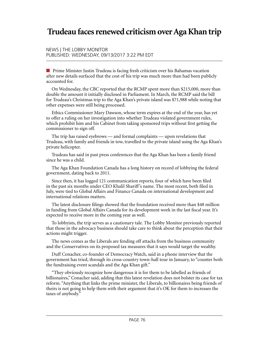# **Trudeau faces renewed criticism over Aga Khan trip**

NEWS | THE LOBBY MONITOR PUBLISHED: WEDNESDAY, 09/13/2017 3:22 PM EDT

n Prime Minister Justin Trudeau is facing fresh criticism over his Bahamas vacation after new details surfaced that the cost of his trip was much more than had been publicly accounted for.

On Wednesday, the CBC reported that the RCMP spent more than \$215,000, more than double the amount it initially disclosed in Parliament. In March, the RCMP said the bill for Trudeau's Christmas trip to the Aga Khan's private island was \$71,988 while noting that other expenses were still being processed.

Ethics Commissioner Mary Dawson, whose term expires at the end of the year, has yet to offer a ruling on her investigation into whether Trudeau violated government rules, which prohibit him and his Cabinet from taking sponsored trips without first getting the commissioner to sign off.

The trip has raised eyebrows — and formal complaints — upon revelations that Trudeau, with family and friends in tow, travelled to the private island using the Aga Khan's private helicopter.

Trudeau has said in past press conferences that the Aga Khan has been a family friend since he was a child.

The Aga Khan Foundation Canada has a long history on record of lobbying the federal government, dating back to 2011.

Since then, it has logged 121 communication reports, four of which have been filed in the past six months under CEO Khalil Shariff's name. The most recent, both filed in July, were tied to Global Affairs and Finance Canada on international development and international relations matters.

The latest disclosure filings showed that the foundation received more than \$48 million in funding from Global Affairs Canada for its development work in the last fiscal year. It's expected to receive more in the coming year as well.

To lobbyists, the trip serves as a [cautionary tale.](http://www.lobbymonitor.ca/2017/01/20/lobbyists-should-view-trudeau%E2%80%99s-bahamas-trip-as-a-cautionary-tale-powers/15257) The Lobby Monitor previously reported that those in the advocacy business should take care to think about the perception that their actions might trigger.

The news comes as the Liberals are fending off attacks from the business community and the Conservatives on its proposed tax measures that it says would target the wealthy.

Duff Conacher, co-founder of Democracy Watch, said in a phone interview that the government has tried, through its cross-country town-hall tour in January, to "counter both the fundraising event scandals and the Aga Khan gift."

"They obviously recognize how dangerous it is for them to be labelled as friends of billionaires," Conacher said, adding that this latest revelation does not bolster its case for tax reform. "Anything that links the prime minister, the Liberals, to billionaires being friends of theirs is not going to help them with their argument that it's OK for them to increases the taxes of anybody."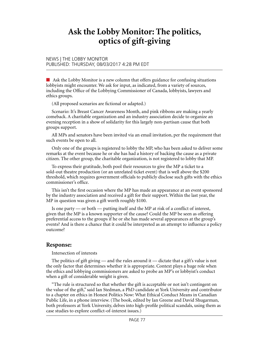# **Ask the Lobby Monitor: The politics, optics of gift-giving**

#### NEWS | THE LOBBY MONITOR PUBLISHED: THURSDAY, 08/03/2017 4:28 PM EDT

 $\blacksquare$  Ask the Lobby Monitor is a new column that offers guidance for confusing situations lobbyists might encounter. We ask for input, as indicated, from a variety of sources, including the Office of the Lobbying Commissioner of Canada, lobbyists, lawyers and ethics groups.

(All proposed scenarios are fictional or adapted.)

Scenario: It's Breast Cancer Awareness Month, and pink ribbons are making a yearly comeback. A charitable organization and an industry association decide to organize an evening reception in a show of solidarity for this largely non-partisan cause that both groups support.

All MPs and senators have been invited via an email invitation, per the requirement that such events be open to all.

Only one of the groups is registered to lobby the MP, who has been asked to deliver some remarks at the event because he or she has had a history of backing the cause as a private citizen. The other group, the charitable organization, is not registered to lobby that MP.

To express their gratitude, both pool their resources to give the MP a ticket to a sold-out theatre production (or an unrelated ticket event) that is well above the \$200 threshold, which requires government officials to publicly disclose such gifts with the ethics commissioner's office.

This isn't the first occasion where the MP has made an appearance at an event sponsored by the industry association and received a gift for their support. Within the last year, the MP in question was given a gift worth roughly \$100.

Is one party — or both — putting itself and the MP at risk of a conflict of interest, given that the MP is a known supporter of the cause? Could the MP be seen as offering preferential access to the groups if he or she has made several appearances at the group's events? And is there a chance that it could be interpreted as an attempt to influence a policy outcome?

### **Response:**

Intersection of interests

The politics of gift giving — and the rules around it — dictate that a gift's value is not the only factor that determines whether it is appropriate. Context plays a huge role when the ethics and lobbying commissioners are asked to probe an MP's or lobbyist's conduct when a gift of considerable weight is given.

"The rule is structured so that whether the gift is acceptable or not isn't contingent on the value of the gift," said Ian Stedman, a PhD candidate at York University and contributor to a chapter on ethics in Honest Politics Now: What Ethical Conduct Means in Canadian Public Life, in a phone interview. (The book, edited by Ian Greene and David Shugarman, both professors at York University, delves into high-profile political scandals, using them as case studies to explore conflict-of-interest issues.)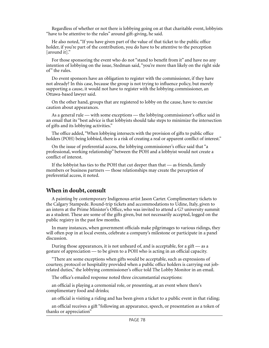Regardless of whether or not there is lobbying going on at that charitable event, lobbyists "have to be attentive to the rules" around gift-giving, he said.

He also noted, "If you have given part of the value of that ticket to the public office holder, if you're part of the contribution, you do have to be attentive to the perception [around it]."

For those sponsoring the event who do not "stand to benefit from it" and have no any intention of lobbying on the issue, Stedman said, "you're more than likely on the right side of" the rules.

Do event sponsors have an obligation to register with the commissioner, if they have not already? In this case, because the group is not trying to influence policy, but merely supporting a cause, it would not have to register with the lobbying commissioner, an Ottawa-based lawyer said.

On the other hand, groups that are registered to lobby on the cause, have to exercise caution about appearances.

As a general rule — with some exceptions — the lobbying commissioner's office said in an email that its "best advice is that lobbyists should take steps to minimize the intersection of gifts and its lobbying activities."

The office added, "When lobbying intersects with the provision of gifts to public office holders (POH) being lobbied, there is a risk of creating a real or apparent conflict of interest."

On the issue of preferential access, the lobbying commissioner's office said that "a professional, working relationship" between the POH and a lobbyist would not create a conflict of interest.

If the lobbyist has ties to the POH that cut deeper than that — as friends, family members or business partners — those relationships may create the perception of preferential access, it noted.

### **When in doubt, consult**

A painting by contemporary [Indigenous artist Jason Carter](http://ciec-ccie.parl.gc.ca/EN/PublicRegistries/Pages/Declaration.aspx?DeclarationID=d9c6805b-cd52-e711-b8b7-000e1e0776f0). Complimentary tickets to the Calgary Stampede. Round-trip tickets and accommodations to [Udine, Italy,](http://ciec-ccie.parl.gc.ca/EN/PublicRegistries/Pages/Client.aspx?k=e0d203c6-392c-e711-abf7-000e1e0776f0) given to an intern at the Prime Minister's Office, who was invited to attend a G7 university summit as a student. These are some of the gifts given, but not necessarily accepted, logged on the public registry in the past few months.

In many instances, when government officials make pilgrimages to various ridings, they will often pop in at local events, celebrate a company's milestone or participate in a panel discussion.

During those appearances, it is not unheard of, and is acceptable, for a gift — as a gesture of appreciation — to be given to a POH who is acting in an official capacity.

"There are some exceptions when gifts would be acceptable, such as expressions of courtesy, protocol or hospitality provided when a public office holders is carrying out jobrelated duties," the lobbying commissioner's office told The Lobby Monitor in an email.

The office's emailed response noted three circumstantial exceptions:

an official is playing a ceremonial role, or presenting, at an event where there's complimentary food and drinks;

an official is visiting a riding and has been given a ticket to a public event in that riding;

an official receives a gift "following an appearance, speech, or presentation as a token of thanks or appreciation"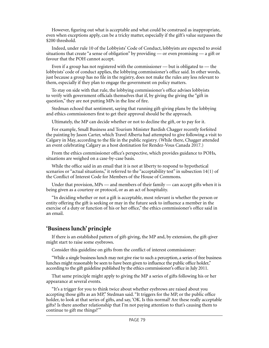However, figuring out what is acceptable and what could be construed as inappropriate, even when exceptions apply, can be a tricky matter, especially if the gift's value surpasses the \$200 threshold.

Indeed, under rule 10 of the Lobbyists' Code of Conduct, lobbyists are expected to avoid situations that create "a sense of obligation" by providing — or even promising — a gift or favour that the POH cannot accept.

Even if a group has not registered with the commissioner — but is obligated to — the lobbyists' code of conduct applies, the lobbying commissioner's office said. In other words, just because a group has no file in the registry, does not make the rules any less relevant to them, especially if they plan to engage the government on policy matters.

To stay on side with that rule, the lobbying commissioner's office advises lobbyists to verify with government officials themselves that if, by giving the giving the "gift in question," they are not putting MPs in the line of fire.

Stedman echoed that sentiment, saying that running gift-giving plans by the lobbying and ethics commissioners first to get their approval should be the approach.

Ultimately, the MP can decide whether or not to decline the gift, or to pay for it.

For example, Small Business and Tourism Minister Bardish Chagger recently forfeited the painting by Jason Carter, which Travel Alberta had attempted to give following a visit to Calgary in May, according to the file in the public registry. (While there, Chagger attended an event celebrating Calgary as a host destination for Rendez-Vous Canada 2017.)

From the ethics commissioner office's perspective, which provides guidance to POHs, situations are weighed on a case-by-case basis.

While the office said in an email that it is not at liberty to respond to hypothetical scenarios or "actual situations," it referred to the "acceptability test" in subsection 14(1) of the Conflict of Interest Code for Members of the House of Commons.

Under that provision, MPs — and members of their family — can accept gifts when it is being given as a courtesy or protocol, or as an act of hospitality.

"In deciding whether or not a gift is acceptable, most relevant is whether the person or entity offering the gift is seeking or may in the future seek to influence a member in the exercise of a duty or function of his or her office," the ethics commissioner's office said in an email.

### **'Business lunch' principle**

If there is an established pattern of gift-giving, the MP and, by extension, the gift-giver might start to raise some eyebrows.

Consider this [guideline](http://ciec-ccie.parl.gc.ca/EN/ReportsAndPublications/Pages/GiftsGuideline.aspx) on gifts from the conflict of interest commissioner:

"While a single business lunch may not give rise to such a perception, a series of free business lunches might reasonably be seen to have been given to influence the public office holder," according to the [gift guideline](http://ciec-ccie.parl.gc.ca/EN/ReportsAndPublications/Pages/GiftsGuideline.aspx) published by the ethics commissioner's office in July 2011.

That same principle might apply to giving the MP a series of gifts following his or her appearance at several events.

"It's a trigger for you to think twice about whether eyebrows are raised about you accepting those gifts as an MP," Stedman said. "It triggers for the MP, or the public office holder, to look at that series of gifts, and say, 'OK. Is this normal? Are these really acceptable gifts? Is there another relationship that I'm not paying attention to that's causing them to continue to gift me things?'"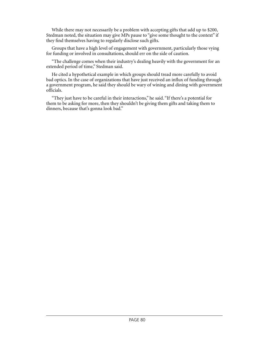While there may not necessarily be a problem with accepting gifts that add up to \$200, Stedman noted, the situation may give MPs pause to "give some thought to the context" if they find themselves having to regularly disclose such gifts.

Groups that have a high level of engagement with government, particularly those vying for funding or involved in consultations, should err on the side of caution.

"The challenge comes when their industry's dealing heavily with the government for an extended period of time," Stedman said.

He cited a hypothetical example in which groups should tread more carefully to avoid bad optics. In the case of organizations that have just received an influx of funding through a government program, he said they should be wary of wining and dining with government officials.

"They just have to be careful in their interactions," he said. "If there's a potential for them to be asking for more, then they shouldn't be giving them gifts and taking them to dinners, because that's gonna look bad."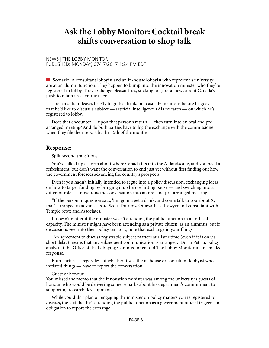# **Ask the Lobby Monitor: Cocktail break shifts conversation to shop talk**

#### NEWS | THE LOBBY MONITOR PUBLISHED: MONDAY, 07/17/2017 1:24 PM EDT

 $\blacksquare$  Scenario: A consultant lobbyist and an in-house lobbyist who represent a university are at an alumni function. They happen to bump into the innovation minister who they're registered to lobby. They exchange pleasantries, sticking to general news about Canada's push to retain its scientific talent.

The consultant leaves briefly to grab a drink, but casually mentions before he goes that he'd like to discuss a subject — artificial intelligence (AI) research — on which he's registered to lobby.

Does that encounter — upon that person's return — then turn into an oral and prearranged meeting? And do both parties have to log the exchange with the commissioner when they file their report by the 15th of the month?

### **Response:**

Split-second transitions

You've talked up a storm about where Canada fits into the AI landscape, and you need a refreshment, but don't want the conversation to end just yet without first finding out how the government foresees advancing the country's prospects.

Even if you hadn't initially intended to segue into a policy discussion, exchanging ideas on how to target funding by bringing it up before hitting pause — and switching into a different role — transitions the conversation into an oral and pre-arranged meeting.

"If the person in question says, 'I'm gonna get a drink, and come talk to you about  $X$ ," that's arranged in advance," said Scott Thurlow, Ottawa-based lawyer and consultant with Temple Scott and Associates.

It doesn't matter if the minister wasn't attending the public function in an official capacity. The minister might have been attending as a private citizen, as an alumnus, but if discussions veer into their policy territory, note that exchange in your filings.

"An agreement to discuss registrable subject matters at a later time (even if it is only a short delay) means that any subsequent communication is arranged," Dorin Petriu, policy analyst at the Office of the Lobbying Commissioner, told The Lobby Monitor in an emailed response.

Both parties — regardless of whether it was the in-house or consultant lobbyist who initiated things — have to report the conversation.

#### Guest of honour

You missed the memo that the innovation minister was among the university's guests of honour, who would be delivering some remarks about his department's commitment to supporting research development.

While you didn't plan on engaging the minister on policy matters you're registered to discuss, the fact that he's attending the public function as a government official triggers an obligation to report the exchange.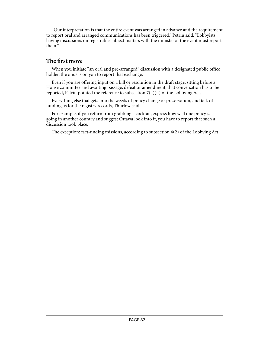"Our interpretation is that the entire event was arranged in advance and the requirement to report oral and arranged communications has been triggered," Petriu said. "Lobbyists having discussions on registrable subject matters with the minister at the event must report them."

## **The first move**

When you initiate "an oral and pre-arranged" discussion with a designated public office holder, the onus is on you to report that exchange.

Even if you are offering input on a bill or resolution in the draft stage, sitting before a House committee and awaiting passage, defeat or amendment, that conversation has to be reported, Petriu pointed the reference to subsection  $7(a)(ii)$  of the Lobbying Act.

Everything else that gets into the weeds of policy change or preservation, and talk of funding, is for the registry records, Thurlow said.

For example, if you return from grabbing a cocktail, express how well one policy is going in another country and suggest Ottawa look into it, you have to report that such a discussion took place.

The exception: fact-finding missions, according to [subsection 4\(2\)](https://lobbycanada.gc.ca/eic/site/012.nsf/eng/00884.html) of the Lobbying Act.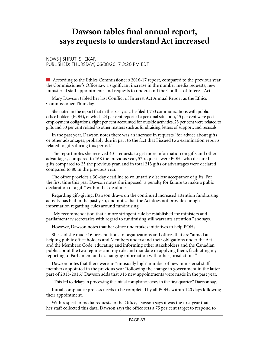## **Dawson tables final annual report, says requests to understand Act increased**

### NEWS | SHRUTI SHEKAR PUBLISHED: THURSDAY, 06/08/2017 3:20 PM EDT

■ According to the Ethics Commissioner's 2016-17 report, compared to the previous year, the Commissioner's Office saw a significant increase in the number media requests, new ministerial staff appointments and requests to understand the Conflict of Interest Act.

Mary Dawson tabled her last Conflict of Interest Act Annual Report as the Ethics Commissioner Thursday.

She noted in the report that in the past year, she filed 1,753 communications with public office holders (POH), of which 24 per cent reported a personal situation, 15 per cent were postemployment obligations, eight per cent accounted for outside activities, 23 per cent were related to gifts and 30 per cent related to other matters such as fundraising, letters of support, and recusals.

In the past year, Dawson notes there was an increase in requests "for advice about gifts or other advantages, probably due in part to the fact that I issued two examination reports related to gifts during this period."

The report notes she received 401 requests to get more information on gifts and other advantages, compared to 168 the previous year, 52 requests were POHs who declared gifts compared to 23 the previous year, and in total 213 gifts or advantages were declared compared to 80 in the previous year.

The office provides a 30-day deadline to voluntarily disclose acceptance of gifts. For the first time this year Dawson notes she imposed "a penalty for failure to make a pubic declaration of a gift" within that deadline.

Regarding gift-giving, Dawson draws on the continued increased attention fundraising activity has had in the past year, and notes that the Act does not provide enough information regarding rules around fundraising.

"My recommendation that a more stringent rule be established for ministers and parliamentary secretaries with regard to fundraising still warrants attention," she says.

However, Dawson notes that her office undertakes initiatives to help POHs.

She said she made 16 presentations to organizations and offices that are "aimed at helping public office holders and Members understand their obligations under the Act and the Members; Code, educating and informing other stakeholders and the Canadian public about the two regimes and my role and mandate in applying them, facilitating my reporting to Parliament and exchanging information with other jurisdictions."

Dawson notes that there were an "unusually high" number of new ministerial staff members appointed in the previous year "following the change in government in the latter part of 2015-2016." Dawson adds that 315 new appointments were made in the past year.

"This led to delays in processing the initial compliance cases in the first quarter," Dawson says.

Initial compliance process needs to be completed by all POHs within 120 days following their appointment.

With respect to media requests to the Office, Dawson says it was the first year that her staff collected this data. Dawson says the office sets a 75 per cent target to respond to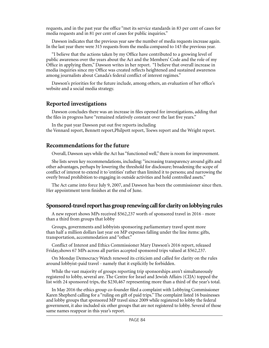requests, and in the past year the office "met its service standards in 83 per cent of cases for media requests and in 81 per cent of cases for public inquiries."

Dawson indicates that the previous year saw the number of media requests increase again. In the last year there were 315 requests from the media compared to 143 the previous year.

"I believe that the actions taken by my Office have contributed to a growing level of public awareness over the years about the Act and the Members' Code and the role of my Office in applying them," Dawson writes in her report. "I believe that overall increase in media inquiries since my Office was created reflects heightened and sustained awareness among journalists about Canada's federal conflict of interest regimes."

Dawson's priorities for the future include, among others, an evaluation of her office's website and a social media strategy.

### **Reported investigations**

Dawson concludes there was an increase in files opened for investigations, adding that the files in progress have "remained relatively constant over the last five years."

In the past year Dawson put out five reports including the [Vennard](http://www.thewirereport.ca/briefs/2016/09/13/vennard-shouldn%E2%80%99t-have-accepted-birthday-gift-from-red-fm-watchdog/31280) report, [Bennett](http://www.lobbymonitor.ca/2016/11/17/ethics-commish-says-bennett-contravened-the-conflict-of-interest-act/15153) report,[Philpott](http://www.lobbymonitor.ca/2017/01/04/ethics-comish-releases-last-report-for-2016-on-health-minister/15226) report, [Toews](http://www.lobbymonitor.ca/2017/04/21/ethics-commish-finds-former-manitoba-minister-guilty-of-breaking-ethics-rules/15483) report and the [Wright](http://www.lobbymonitor.ca/2017/05/25/harper%E2%80%99s-former-chief-of-staff-found-guilty-of-breaking-ethics-rules/15562) report.

### **Recommendations for the future**

Overall, Dawson says while the Act has "functioned well," there is room for improvement.

She lists seven key recommendations, including: "increasing transparency around gifts and other advantages, perhaps by lowering the threshold for disclosure; broadening the scope of conflict of interest to extend it to 'entities' rather than limited it to persons; and narrowing the overly broad prohibition to engaging in outside activities and hold controlled assets."

The Act came into force July 9, 2007, and Dawson has been the commissioner since then. Her appointment term finishes at the end of June.

### **Sponsored-travel report has group renewing call for clarity on lobbying rules**

A new report shows MPs received \$562,237 worth of sponsored travel in 2016 - more than a third from groups that lobby

Groups, governments and lobbyists sponsoring parliamentary travel spent more than half a million dollars last year on MP expenses falling under the line items: gifts, transportation, accommodation and "other."

Conflict of Interest and Ethics Commissioner Mary Dawson's 2016 report, [released](http://ciec-ccie.parl.gc.ca/Documents/English/Public%20Reports/Sponsored%20Travel/2016%20Sponsored%20Travel%20List.pdf)  [Friday,](http://ciec-ccie.parl.gc.ca/Documents/English/Public%20Reports/Sponsored%20Travel/2016%20Sponsored%20Travel%20List.pdf)shows 67 MPs across all parties accepted sponsored trips valued at \$562,237.

On Monday Democracy Watch renewed its criticism and called for clarity on the rules around lobbyist-paid travel - namely that it explicitly be forbidden.

While the vast majority of groups reporting trip sponsorships aren't simultaneously registered to lobby, several are. The Centre for Israel and Jewish Affairs (CIJA) topped the list with 24 sponsored trips, the \$230,467 representing more than a third of the year's total.

In May 2016 the ethics group co-founder [filed a complaint with Lobbying Commissioner](http://democracywatch.ca/wp-content/uploads/LettToFedLobbyCommMay252016.pdf)  [Karen Shepherd](http://democracywatch.ca/wp-content/uploads/LettToFedLobbyCommMay252016.pdf) calling for a "ruling on gift of paid trips." The complaint listed 16 businesses and lobby groups that sponsored MP travel since 2009 while registered to lobby the federal government, it also included six other groups that are not registered to lobby. Several of those same names reappear in this year's report.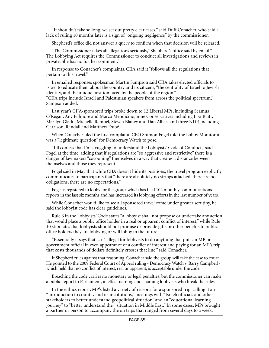"It shouldn't take so long, we set out pretty clear cases," said Duff Conacher, who said a lack of ruling 10 months later is a sign of "ongoing negligence" by the commissioner.

Shepherd's office did not answer a query to confirm when that decision will be released.

"The Commissioner takes all allegations seriously," Shepherd's office said by email." The Lobbying Act requires the Commissioner to conduct all investigations and reviews in private. She has no further comment."

In response to Conacher's complaints, CIJA said it "follows all the regulations that pertain to this travel."

In emailed responses spokesman Martin Sampson said CIJA takes elected officials to Israel to educate them about the country and its citizens, "the centrality of Israel to Jewish identity, and the unique position faced by the people of the region." "CIJA trips include Israeli and Palestinian speakers from across the political spectrum," Sampson added.

Last year's CIJA-sponsored trips broke down to 12 Liberal MPs, including Seamus O'Regan, Any Fillmore and Marco Mendicino; nine Conservatives including Lisa Raitt, Marilyn Gladu, Michelle Rempel, Steven Blaney and Dan Albas; and three NDP, including Garrison, Randall and Matthew Dubé.

When Conacher filed the first complaint, [CEO Shimon Fogel told the Lobby Monitor](http://www.lobbymonitor.ca/2016/05/26/calls-for-examination-of-lobby-group-sponsored-travel-cite-need-for-lobbyists-code-clarity/14798) it was a "legitimate question" for Democracy Watch to pose.

"I'll confess that I'm struggling to understand the Lobbyists' Code of Conduct," said Fogel at the time, adding that if regulations are "so aggressive and restrictive" there is a danger of lawmakers "cocooning" themselves in a way that creates a distance between themselves and those they represent.

Fogel said in May that while CIJA doesn't hide its positions, the travel program explicitly communicates to participants that "there are absolutely no strings attached, there are no obligations, there are no expectations."

Fogel is registered to lobby for the group, which has filed 102 monthly communications reports in the last six months and [has increased its lobbying efforts in the last number of years.](http://www.lobbymonitor.ca/2017/03/22/february-lobbying-education-groups-lead-lobbying/15415)

While Conacher would like to see all sponsored travel come under greater scrutiny, he said the lobbyist code has clear guidelines.

Rule 6 in the Lobbyists' Code states "a lobbyist shall not propose or undertake any action that would place a public office holder in a real or apparent conflict of interest," while Rule 10 stipulates that lobbyists should not promise or provide gifts or other benefits to public office holders they are lobbying or will lobby in the future.

"Essentially it says that ... it's illegal for lobbyists to do anything that puts an MP or government official in even appearance of a conflict of interest and paying for an MP's trip that costs thousands of dollars definitely crosses that line," said Conacher.

If Shepherd rules against that reasoning, Conacher said the group will take the case to court. He pointed to the 2009 Federal Court of Appeal ruling - Democracy Watch v. Barry Campbell which held that no conflict of interest, real or apparent, is acceptable under the code.

Breaching the code carries no monetary or legal penalties, but the commissioner can make a public report to Parliament, in effect naming and shaming lobbyists who break the rules.

In the eithics report, MP's listed a variety of reasons for a sponsored trip, calling it an "introduction to country and its institutions," meetings with "Israeli officials and other stakeholders to better understand geopolitical situation" and an "educational learning journey" to "better understand the " situation in Middle East." In some cases, MPs brought a partner or person to accompany the on trips that ranged from several days to a week.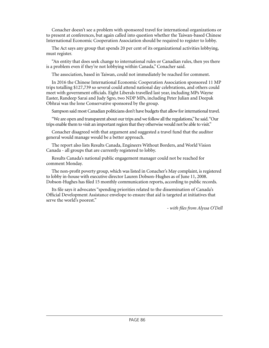Conacher doesn't see a problem with sponsored travel for international organizations or to present at conferences, but again called into question whether the Taiwan-based Chinese International Economic Cooperation Association should be required to register to lobby.

The Act says any group that spends 20 per cent of its organizational activities lobbying, must register.

"An entity that does seek change to international rules or Canadian rules, then yes there is a problem even if they're not lobbying within Canada," Conacher said.

The association, based in Taiwan, could not immediately be reached for comment.

In 2016 the Chinese International Economic Cooperation Association sponsored 11 MP trips totalling \$127,739 so several could attend national day celebrations, and others could meet with government officials. Eight Liberals travelled last year, including MPs Wayne Easter, Randeep Sarai and Judy Sgro, two NDP MPs, including Peter Julian and Deepak Obhrai was the lone Conservative sponsored by the group.

Sampson said most Canadian politicians don't have budgets that allow for international travel.

"We are open and transparent about our trips and we follow all the regulations," he said. "Our trips enable them to visit an important region that they otherwise would not be able to visit."

Conacher disagreed with that argument and suggested a travel fund that the auditor general would manage would be a better approach.

The report also lists Results Canada, Engineers Without Borders, and World Vision Canada - all groups that are currently registered to lobby.

Results Canada's national public engagement manager could not be reached for comment Monday.

The non-profit poverty group, which was listed in Conacher's May complaint, is registered to lobby in-house with executive director Lauren Dobson-Hughes as of June 11, 2008. Dobson-Hughes has filed 15 monthly communication reports, according to public records.

Its file says it advocates "spending priorities related to the dissemination of Canada's Official Development Assistance envelope to ensure that aid is targeted at initiatives that serve the world's poorest."

*- with files from Alyssa O'Dell*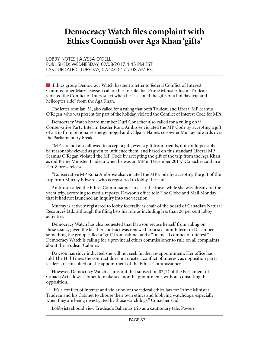# **Democracy Watch files complaint with Ethics Commish over Aga Khan 'gifts'**

#### LOBBY NOTES | ALYSSA O'DELL PUBLISHED: WEDNESDAY, 02/08/2017 4:45 PM EST LAST UPDATED: TUESDAY, 02/14/2017 7:08 AM EST

n Ethics group Democracy Watch has sent a letter to federal Conflict of Interest Commissioner Mary Dawson call on her to rule that Prime Minister Justin Trudeau violated the Conflict of Interest act when he "accepted the gifts of a holiday trip and helicopter ride" from the Aga Khan.

The [letter](http://democracywatch.ca/wp-content/uploads/LettToEthicsCommAgaKhanGiftJan312017.pdf), sent Jan. 31, also called for a ruling that both Trudeau and Liberal MP Seamus O'Regan, who was present for part of the holiday, violated the Conflict of Interest Code for MPs.

Democracy Watch board member Duff Conacher also called for a ruling on if Conservative Party Interim Leader Rona Ambrose violated the MP Code by accepting a gift of a trip from billionaire energy mogul and Calgary Flames co-owner Murray Edwards over the Parliamentary break.

"MPs are not also allowed to accept a gift, even a gift from friends, if it could possibly be reasonably viewed as given to influence them, and based on this standard Liberal MP Seamus O'Regan violated the MP Code by accepting the gift of the trip from the Aga Khan, as did Prime Minister Trudeau when he was an MP in December 2014," Conacher said in a Feb. 8 press release.

"Conservative MP Rona Ambrose also violated the MP Code by accepting the gift of the trip from Murray Edwards who is registered to lobby," he said.

Ambrose called the Ethics Commissioner to clear the travel while she was already on the yacht trip, according to media reports. Dawson's office told The Globe and Mail Monday that it had not launched an inquiry into the vacation.

Murray is actively registered to lobby federally as chair of the board of Canadian Natural Resources Ltd., although the filing lists his role as including less than 20 per cent lobby activities.

Democracy Watch has also requested that Dawson recuse herself from ruling on these issues, given the fact her contract was renewed for a six-month term in December, something the group called a "gift" from cabinet and a "financial conflict of interest." Democracy Watch is calling for a provincial ethics commissioner to rule on all complaints about the Trudeau Cabinet.

Dawson has [since indicated](http://www.lobbymonitor.ca/2017/02/03/ethics-commish-wont-seek-reappointment/15290) she will not seek further re-appointment. Her office [has](https://www.hilltimes.com/2017/02/01/ndp-mp-bemoans-awkward-situation-ethics-commissioner-investigating-trudeau-bahamas-trip/93941)  [told](https://www.hilltimes.com/2017/02/01/ndp-mp-bemoans-awkward-situation-ethics-commissioner-investigating-trudeau-bahamas-trip/93941) The Hill Times the contract does not create a conflict of interest, as opposition party leaders are consulted on the appointment of the Ethics Commissioner.

However, Democracy Watch claims out that subsection 82(2) of the Parliament of Canada Act allows cabinet to make six-month appointments without consulting the opposition.

"It's a conflict of interest and violation of the federal ethics law for Prime Minister Trudeau and his Cabinet to choose their own ethics and lobbying watchdogs, especially when they are being investigated by those watchdogs," Conacher said.

Lobbyists should view Trudeau's Bahamas trip as a cautionary tale: Powers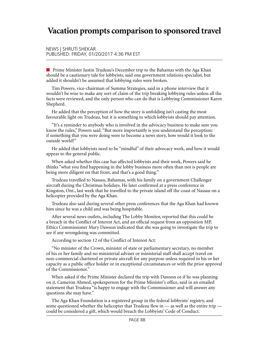# **Vacation prompts comparison to sponsored travel**

NEWS | SHRUTI SHEKAR PUBLISHED: FRIDAY, 01/20/2017 4:36 PM EST

n Prime Minister Justin Trudeau's December trip to the Bahamas with the Aga Khan should be a cautionary tale for lobbyists, said one government relations specialist, but added it shouldn't be assumed that lobbying rules were broken.

Tim Powers, vice-chairman of Summa Strategies, said in a phone interview that it wouldn't be wise to make any sort of claim of the trip breaking lobbying rules unless all the facts were reviewed, and the only person who can do that is Lobbying Commissioner Karen Shepherd.

He added that the perception of how the story is unfolding isn't casting the most favourable light on Trudeau, but it is something to which lobbyists should pay attention.

"It's a reminder to anybody who is involved in the advocacy business to make sure you know the rules," Powers said. "But more importantly is you understand the perception: if something that you were doing were to become a news story, how would it look to the outside world?"

He added that lobbyists need to be "mindful" of their advocacy work, and how it would appear to the general public.

When asked whether this case has affected lobbyists and their work, Powers said he thinks "what you find happening in the lobby business more often than not is people are being more diligent on that front, and that's a good thing."

Trudeau travelled to Nassau, Bahamas, with his family on a government Challenger aircraft during the Christmas holidays. He later confirmed at a press conference in Kingston, Ont., last week that he travelled to the private island off the coast of Nassau on a helicopter provided by the Aga Khan.

Trudeau also said during several other press conferences that the Aga Khan had known him since he was a child and was being hospitable.

After several news outlets, including The Lobby Monitor, reported that this could be a [breach in the Conflict of Interest Act,](http://www.lobbymonitor.ca/2017/01/12/ethics-commish-says-trudeau-not-required-to-declare-aga-khan-friendship-as-tories-push-for/15244) and an official request from an opposition MP, Ethics Commissioner Mary Dawson indicated that she was going to investigate the trip to see if any wrongdoing was committed.

According to section 12 of the Conflict of Interest Act:

"No minister of the Crown, minister of state or parliamentary secretary, no member of his or her family and no ministerial adviser or ministerial staff shall accept travel on non-commercial chartered or private aircraft for any purpose unless required in his or her capacity as a public office holder or in exceptional circumstances or with the prior approval of the Commissioner."

When asked if the Prime Minister declared the trip with Dawson or if he was planning on it, Cameron Ahmed, spokesperson for the Prime Minister's office, said in an emailed statement that Trudeau "is happy to engage with the Commissioner and will answer any questions she may have."

The Aga Khan Foundation is a registered group in the federal lobbyists' registry, and some questioned whether the helicopter that Trudeau flew in — as well as the entire trip could be considered a gift, which would breach the Lobbyists' Code of Conduct.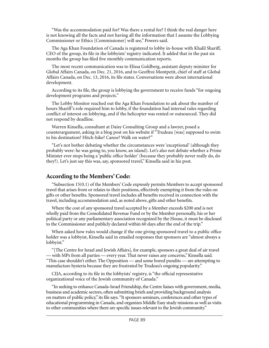"Was the accommodation paid for? Was there a rental fee? I think the real danger here is not knowing all the facts and not having all the information that I assume the Lobbying Commissioner or Ethics [Commissioner] will see," Powers said.

The Aga Khan Foundation of Canada is registered to lobby in-house with Khalil Shariff, CEO of the group, its file in the lobbyists' registry indicated. It added that in the past six months the group has filed five monthly communication reports.

The most recent communication was to Elissa Goldberg, assistant deputy minister for Global Affairs Canada, on Dec. 21, 2016, and to Geoffroi Montpetit, chief of staff at Global Affairs Canada, on Dec. 13, 2016, its file states. Conversations were about international development.

According to its file, the group is lobbying the government to receive funds "for ongoing development programs and projects."

The Lobby Monitor reached out the Aga Khan Foundation to ask about the number of hours Shariff's role required him to lobby, if the foundation had internal rules regarding conflict of interest on lobbying, and if the helicopter was rented or outsourced. They did not respond by deadline.

Warren Kinsella, consultant at Daisy Consulting Group and a lawyer, posed a counterargument, asking in a blog post on his website if "Trudeau [was] supposed to swim to his destination? Hitch-hike? Canoe? Walk on water?"

"Let's not bother debating whether the circumstances were 'exceptional' (although they probably were: he was going to, you know, an island). Let's also not debate whether a Prime Minister ever stops being a 'public office holder' (because they probably never really do, do they?). Let's just say this was, say, sponsored travel," Kinsella said in his post.

## **According to the Members' Code:**

"Subsection 15(0.1) of the Members' Code expressly permits Members to accept sponsored travel that arises from or relates to their positions, effectively exempting it from the rules on gifts or other benefits. Sponsored travel includes all benefits received in connection with the travel, including accommodation and, as noted above, gifts and other benefits.

Where the cost of any sponsored travel accepted by a Member exceeds \$200 and is not wholly paid from the Consolidated Revenue Fund or by the Member personally, his or her political party or any parliamentary association recognized by the House, it must be disclosed to the Commissioner and publicly declared within 60 days after the end of the trip."

When asked how rules would change if the one giving sponsored travel to a public office holder was a lobbyist, Kinsella said in emailed responses that sponsors are "almost always a lobbyist."

"[The Centre for Israel and Jewish Affairs], for example, sponsors a great deal of air travel — with MPs from all parties — every year. That never raises any concerns," Kinsella said. "This case shouldn't either. The Opposition — and some bored pundits — are attempting to manufacture hysteria because they are frustrated by Trudeau's ongoing popularity."

CIJA, according to its file in the lobbyists' registry, is "the official representative organizational voice of the Jewish community of Canada."

"In seeking to enhance Canada-Israel Friendship, the Centre liaises with government, media, business and academic sectors, often submitting briefs and providing background analysis on matters of public policy," its file says. "It sponsors seminars, conferences and other types of educational programming in Canada, and organizes Middle Easy study missions as well as visits to other communities where there are specific issues relevant to the Jewish community."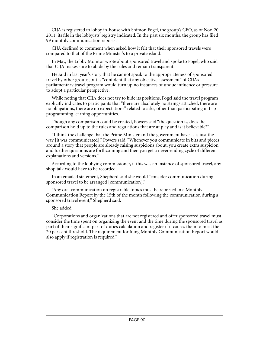CIJA is registered to lobby in-house with Shimon Fogel, the group's CEO, as of Nov. 20, 2011, its file in the lobbyists' registry indicated. In the past six months, the group has filed 99 monthly communication reports.

CIJA declined to comment when asked how it felt that their sponsored travels were compared to that of the Prime Minister's to a private island.

In May, the Lobby Monitor [wrote about sponsored travel](http://www.lobbymonitor.ca/2016/05/26/calls-for-examination-of-lobby-group-sponsored-travel-cite-need-for-lobbyists-code-clarity/14798) and spoke to Fogel, who said that CIJA makes sure to abide by the rules and remain transparent.

He said in last year's story that he cannot speak to the appropriateness of sponsored travel by other groups, but is "confident that any objective assessment" of CIJA's parliamentary travel program would turn up no instances of undue influence or pressure to adopt a particular perspective.

While noting that CIJA does not try to hide its positions, Fogel said the travel program explicitly indicates to participants that "there are absolutely no strings attached, there are no obligations, there are no expectations" related to asks, other than participating in trip programming learning opportunities.

Though any comparison could be created, Powers said "the question is, does the comparison hold up to the rules and regulations that are at play and is it believable?"

"I think the challenge that the Prime Minister and the government have… is just the way [it was communicated]," Powers said. "Whenever you communicate in bits and pieces around a story that people are already raising suspicions about, you create extra suspicion and further questions are forthcoming and then you get a never-ending cycle of different explanations and versions."

According to the lobbying commissioner, if this was an instance of sponsored travel, any shop talk would have to be recorded.

In an emailed statement, Shepherd said she would "consider communication during sponsored travel to be arranged [communication]."

"Any oral communication on registrable topics must be reported in a Monthly Communication Report by the 15th of the month following the communication during a sponsored travel event," Shepherd said.

#### She added:

"Corporations and organizations that are not registered and offer sponsored travel must consider the time spent on organizing the event and the time during the sponsored travel as part of their significant part of duties calculation and register if it causes them to meet the 20 per cent threshold. The requirement for filing Monthly Communication Report would also apply if registration is required."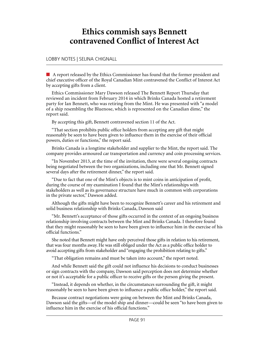# **Ethics commish says Bennett contravened Conflict of Interest Act**

### LOBBY NOTES | SELINA CHIGNALL

n A report released by the Ethics Commissioner has found that the former president and chief executive officer of the Royal Canadian Mint contravened the Conflict of Interest Act by accepting gifts from a client.

Ethics Commissioner Mary Dawson released [The Bennett Report](http://ciec-ccie.parl.gc.ca/EN/InformationFor/Pages/NewsRelease11172016.aspx) Thursday that reviewed an incident from February 2014 in which Brinks Canada hosted a retirement party for Ian Bennett, who was retiring from the Mint. He was presented with "a model of a ship resembling the Bluenose, which is represented on the Canadian dime," the report said.

By accepting this gift, Bennett contravened section 11 of the Act.

"That section prohibits public office holders from accepting any gift that might reasonably be seen to have been given to influence them in the exercise of their official powers, duties or functions," the report said.

Brinks Canada is a longtime stakeholder and supplier to the Mint, the report said. The company provides armoured car transportation and currency and coin processing services.

"In November 2013, at the time of the invitation, there were several ongoing contracts being negotiated between the two organizations, including one that Mr. Bennett signed several days after the retirement dinner," the report said.

"Due to fact that one of the Mint's objects is to mint coins in anticipation of profit, during the course of my examination I found that the Mint's relationships with stakeholders as well as its governance structure have much in common with corporations in the private sector," Dawson added.

Although the gifts might have been to recognize Bennett's career and his retirement and solid business relationship with Brinks Canada, Dawson said

"Mr. Bennett's acceptance of those gifts occurred in the context of an ongoing business relationship involving contracts between the Mint and Brinks Canada. I therefore found that they might reasonably be seen to have been given to influence him in the exercise of his official functions."

She noted that Bennett might have only perceived those gifts in relation to his retirement, that was four months away. He was still obliged under the Act as a public office holder to avoid accepting gifts from stakeholder and "engaging the prohibition relating to gifts."

"That obligation remains and must be taken into account," the report noted.

And while Bennett said the gift could not influence his decisions to conduct businesses or sign contracts with the company, Dawson said perception does not determine whether or not it's acceptable for a public officer to receive gifts or the person giving the present.

"Instead, it depends on whether, in the circumstances surrounding the gift, it might reasonably be seen to have been given to influence a public office holder," the report said.

Because contract negotiations were going on between the Mint and Brinks Canada, Dawson said the gifts—of the model ship and dinner—could be seen "to have been given to influence him in the exercise of his official functions."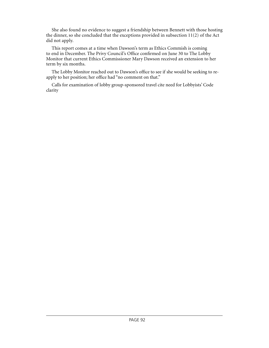She also found no evidence to suggest a friendship between Bennett with those hosting the dinner, so she concluded that the exceptions provided in subsection  $11(2)$  of the Act did not apply.

This report comes at a time when Dawson's term as Ethics Commish is coming to end in December. [The Privy Council's Office confirmed on June 30 to The Lobby](http://lobbymonitor.ca/2016/09/28/lobbying-and-ethics-commish-job-postings-made-available/15048)  [Monitor](http://lobbymonitor.ca/2016/09/28/lobbying-and-ethics-commish-job-postings-made-available/15048) that current Ethics Commissioner Mary Dawson received an extension to her term by six months.

The Lobby Monitor reached out to Dawson's office to see if she would be seeking to reapply to her position; her office had "no comment on that."

Calls for examination of lobby group-sponsored travel cite need for Lobbyists' Code clarity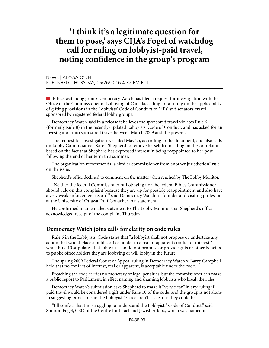# **'I think it's a legitimate question for them to pose,' says CIJA's Fogel of watchdog call for ruling on lobbyist-paid travel, noting confidence in the group's program**

#### NEWS | ALYSSA O'DELL PUBLISHED: THURSDAY, 05/26/2016 4:32 PM EDT

n Ethics watchdog group Democracy Watch has filed a request for investigation with the Office of the Commissioner of Lobbying of Canada, calling for a ruling on the applicability of gifting provisions in the Lobbyists' Code of Conduct to MPs' and senators' travel sponsored by registered federal lobby groups.

Democracy Watch said in a release it believes the sponsored travel violates Rule 6 (formerly Rule 8) in [the recently-updated](http://www.lobbymonitor.ca/2015/11/13/lobbyists-code-guidance-on-political-activities-may-be-amended-before-rules-come-into-force/14191) Lobbyists' Code of Conduct, and has asked for an investigation into sponsored travel between March 2009 and the present.

The request for investigation was filed May 25, according to [the document](http://democracywatch.ca/wp-content/uploads/LettToFedLobbyCommMay252016.pdf), and also calls on Lobby Commissioner Karen Shepherd to remove herself from ruling on the complaint based on the fact that Shepherd has expressed interest in being reappointed to her post following the end of her term this summer.

The organization recommends "a similar commissioner from another jurisdiction" rule on the issue.

Shepherd's office declined to comment on the matter when reached by The Lobby Monitor.

"Neither the federal Commissioner of Lobbying nor the federal Ethics Commissioner should rule on this complaint because they are up for possible reappointment and also have a very weak enforcement record," said Democracy Watch co-founder and visiting professor at the University of Ottawa Duff Conacher in a statement.

He confirmed in an emailed statement to The Lobby Monitor that Shepherd's office acknowledged receipt of the complaint Thursday.

### **Democracy Watch joins calls for clarity on code rules**

Rule 6 in the Lobbyists' Code states that "a lobbyist shall not propose or undertake any action that would place a public office holder in a real or apparent conflict of interest," while Rule 10 stipulates that lobbyists should not promise or provide gifts or other benefits to public office holders they are lobbying or will lobby in the future.

The spring 2009 Federal Court of Appeal ruling in Democracy Watch v. Barry Campbell held that no conflict of interest, real or apparent, is acceptable under the code.

Breaching the code carries no monetary or legal penalties, but the commissioner can make a public report to Parliament, in effect naming and shaming lobbyists who break the rules.

Democracy Watch's submission asks Shepherd to make it "very clear" in any ruling if paid travel would be considered a gift under Rule 10 of the code, and the group is not alone in suggesting provisions in the Lobbyists' Code [aren't as clear](http://www.lobbymonitor.ca/2016/04/08/gric-gearing-up-for-formal-consultation-following-feedback-on-lobbying-regulations/14641) as they could be.

"I'll confess that I'm struggling to understand the Lobbyists' Code of Conduct," said Shimon Fogel, CEO of the Centre for Israel and Jewish Affairs, which was named in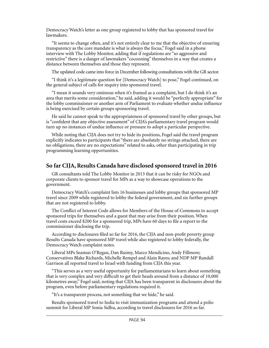Democracy Watch's letter as one group registered to lobby that has sponsored travel for lawmakers.

"It seems to change often, and it's not entirely clear to me that the objective of ensuring transparency as the core mandate is what is always the focus," Fogel said in a phone interview with The Lobby Monitor, adding that if regulations are "so aggressive and restrictive" there is a danger of lawmakers "cocooning" themselves in a way that creates a distance between themselves and those they represent.

The updated code came into force in December following consultations with the GR sector.

"I think it's a legitimate question for [Democracy Watch] to pose," Fogel continued, on the general subject of calls for inquiry into sponsored travel.

"I mean it sounds very ominous when it's framed as a complaint, but I do think it's an area that merits some consideration," he said, adding it would be "perfectly appropriate" for the lobby commissioner or another arm of Parliament to evaluate whether undue influence is being exercised by certain groups sponsoring travel.

He said he cannot speak to the appropriateness of sponsored travel by other groups, but is "confident that any objective assessment" of CIJA's parliamentary travel program would turn up no instances of undue influence or pressure to adopt a particular perspective.

While noting that CIJA does not try to hide its positions, Fogel said the travel program explicitly indicates to participants that "there are absolutely no strings attached, there are no obligations, there are no expectations" related to asks, other than participating in trip programming learning opportunities.

### **So far CIJA, Results Canada have disclosed sponsored travel in 2016**

GR consultants told The Lobby Monitor in 2013 that [it can be risky](http://www.lobbymonitor.ca/2013/04/04/sponsoring-mp-travel-a-risky-proposition-consultants/11650) for NGOs and corporate clients to sponsor travel for MPs as a way to showcase operations to the government.

Democracy Watch's [complaint](http://democracywatch.ca/wp-content/uploads/LettToFedLobbyCommMay252016.pdf) lists 16 businesses and lobby groups that sponsored MP travel since 2009 while registered to lobby the federal government, and six further groups that are not registered to lobby.

The Conflict of Interest Code allows for Members of the House of Commons to accept sponsored trips for themselves and a guest that may arise from their position. When travel costs exceed \$200 for a sponsored trip, MPs have 60 days to file a report to the commissioner disclosing the trip.

According to disclosures filed so far for 2016, the CIJA and non-profit poverty group Results Canada have sponsored MP travel while also registered to lobby federally, the Democracy Watch complaint notes.

Liberal MPs Seamus O'Regan, Dan Ruimy, Marco Mendicino, Andy Fillmore; Conservatives Blake Richards, Michelle Rempel and Alain Rayes; and NDP MP Randall Garrison all reported travel to Israel with funding from CIJA this year.

"This serves as a very useful opportunity for parliamentarians to learn about something that is very complex and very difficult to get their heads around from a distance of 10,000 kilometres away," Fogel said, noting that CIJA has been transparent in disclosures about the program, even before parliamentary regulations required it.

"It's a transparent process, not something that we hide," he said.

Results sponsored travel to India to visit immunization programs and attend a polio summit for Liberal MP Sonia Sidhu, according to travel disclosures for 2016 so far.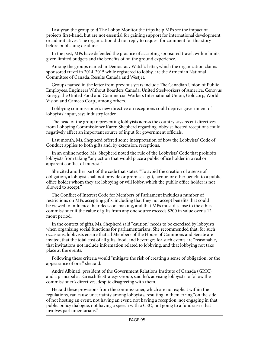[Last year,](http://lobbymonitor.ca/2015/03/27/chinese-economic-group-promoting-ties-with-canada-through-more-than-$145k-in-sponsored-travel/13657) the group told The Lobby Monitor the trips help MPs see the impact of projects first-hand, but are not essential for gaining support for international development or aid initiatives. The organization did not reply to request for comment for this story before publishing deadline.

In the past, MPs [have defended](http://www.lobbymonitor.ca/2013/04/04/sponsoring-mp-travel-a-risky-proposition-consultants/11650) the practice of accepting sponsored travel, within limits, given limited budgets and the benefits of on the ground experience.

Among the groups named in Democracy Watch's letter, which the organization claims sponsored travel in 2014-2015 while registered to lobby, are the Armenian National Committee of Canada, Results Canada and Westjet.

Groups named in the letter from previous years include The Canadian Union of Public Employees, Engineers Without Boarders Canada, United Steelworkers of America, Cenovus Energy, the United Food and Commercial Workers International Union, [Goldcorp](http://www.lobbymonitor.ca/2012/09/11/goldcorp-sponsored-mp-senator-trip-to-guatemala-mine/10879), World Vision and Cameco Corp., among others.

Lobbying commissioner's new directive on receptions could deprive government of lobbyists' input, says industry leader

The head of the group representing lobbyists across the country says recent directives from Lobbying Commissioner Karen Shepherd regarding lobbyist-hosted receptions could negatively affect an important source of input for government officials.

Last month, Ms. Shepherd offered some interpretation of how the Lobbyists' Code of Conduct applies to both gifts and, by extension, receptions.

In an online notice, Ms. Shepherd noted the rule of the Lobbyists' Code that prohibits lobbyists from taking "any action that would place a public office holder in a real or apparent conflict of interest."

She cited another part of the code that states: "To avoid the creation of a sense of obligation, a lobbyist shall not provide or promise a gift, favour, or other benefit to a public office holder whom they are lobbying or will lobby, which the public office holder is not allowed to accept."

The Conflict of Interest Code for Members of Parliament includes a number of restrictions on MPs accepting gifts, including that they not accept benefits that could be viewed to influence their decision-making, and that MPs must disclose to the ethics commissioner if the value of gifts from any one source exceeds \$200 in value over a 12 mont period.

In the context of gifts, Ms. Shepherd said "caution" needs to be exercised by lobbyists when organizing social functions for parliamentarians. She recommended that, for such occasions, lobbyists ensure that all Members of the House of Commons and Senate are invited, that the total cost of all gifts, food, and beverages for such events are "reasonable," that invitations not include information related to lobbying, and that lobbying not take place at the events.

Following these criteria would "mitigate the risk of creating a sense of obligation, or the appearance of one," she said.

André Albinati, president of the Government Relations Institute of Canada (GRIC) and a principal at Earnscliffe Strategy Group, said he's advising lobbyists to follow the commissioner's directives, despite disagreeing with them.

He said these provisions from the commissioner, which are not explicit within the regulations, can cause uncertainty among lobbyists, resulting in them erring "on the side of not hosting an event, not having an event, not having a reception, not engaging in that public policy dialogue, not having a speech with a CEO, not going to a fundraiser that involves parliamentarians."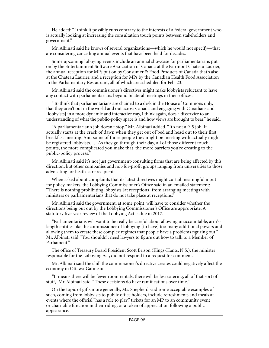He added: "I think it possibly runs contrary to the interests of a federal government who is actually looking at increasing the consultation touch points between stakeholders and government."

Mr. Albinati said he knows of several organizations—which he would not specify—that are considering cancelling annual events that have been held for decades.

Some upcoming lobbying events include an annual showcase for parliamentarians put on by the Entertainment Software Association of Canada at the Fairmont Chateau Laurier, the annual reception for MPs put on by Consumer & Food Products of Canada that's also at the Chateau Laurier, and a reception for MPs by the Canadian Health Food Association in the Parliamentary Restaurant, all of which are scheduled for Feb. 23.

Mr. Albinati said the commissioner's directives might make lobbyists reluctant to have any contact with parliamentarians beyond bilateral meetings in their offices.

"To think that parliamentarians are chained to a desk in the House of Commons only, that they aren't out in the world and out across Canada and engaging with Canadians and [lobbyists] in a more dynamic and interactive way, I think again, does a disservice to an understanding of what the public-policy space is and how views are brought to bear," he said.

"A parliamentarian's job doesn't stop," Mr. Albinati added. "It's not a 9-5 job. It actually starts at the crack of dawn when they get out of bed and head out to their first breakfast meeting. And some of those people they might be meeting with actually might be registered lobbyists. … As they go through their day, all of those different touch points, the more complicated you make that, the more barriers you're creating to the public-policy process."

Mr. Albinati said it's not just government-consulting firms that are being affected by this direction, but other companies and not-for-profit groups ranging from universities to those advocating for heath-care recipients.

When asked about complaints that its latest directives might curtail meaningful input for policy-makers, the Lobbying Commissioner's Office said in an emailed statement: "There is nothing prohibiting lobbyists [at receptions] from arranging meetings with ministers or parliamentarians that do not take place at receptions."

Mr. Albinati said the government, at some point, will have to consider whether the directions being put out by the Lobbying Commissioner's Office are appropriate. A statutory five-year review of the Lobbying Act is due in 2017.

"Parliamentarians will want to be really be careful about allowing unaccountable, arm'slength entities like the commissioner of lobbying [to have] too many additional powers and allowing them to create these complex regimes that people have a problems figuring out," Mr. Albinati said. "You shouldn't need lawyers to figure out how to talk to a Member of Parliament."

The office of Treasury Board President Scott Brison (Kings-Hants, N.S.), the minister responsible for the Lobbying Act, did not respond to a request for comment.

Mr. Albinati said the chill the commissioner's directive creates could negatively affect the economy in Ottawa-Gatineau.

"It means there will be fewer room rentals, there will be less catering, all of that sort of stuff," Mr. Albinati said. "These decisions do have ramifications over time."

On the topic of gifts more generally, Ms. Shepherd said some acceptable examples of such, coming from lobbyists to public office holders, include refreshments and meals at events where the official "has a role to play," tickets for an MP to an community event or charitable function in their riding, or a token of appreciation following a public appearance.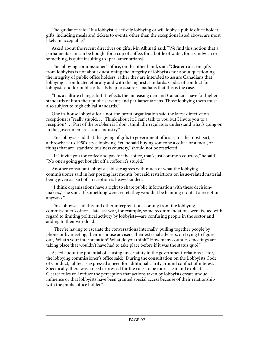The guidance said: "If a lobbyist is actively lobbying or will lobby a public office holder, gifts, including meals and tickets to events, other than the exceptions listed above, are most likely unacceptable."

Asked about the recent directives on gifts, Mr. Albinati said: "We find this notion that a parliamentarian can be bought for a cup of coffee, for a bottle of water, for a sandwich or something, is quite insulting to [parliamentarians]."

The lobbying commissioner's office, on the other hand, said: "Clearer rules on gifts from lobbyists is not about questioning the integrity of lobbyists nor about questioning the integrity of public office holders, rather they are intended to assure Canadians that lobbying is conducted ethically and with the highest standards. Codes of conduct for lobbyists and for public officials help to assure Canadians that this is the case.

"It is a culture change, but it reflects the increasing demand Canadians have for higher standards of both their public servants and parliamentarians. Those lobbying them must also subject to high ethical standards."

One in-house lobbyist for a not-for-profit organization said the latest directive on receptions is "really stupid. … Think about it; I can't talk to you but I invite you to a reception? … Part of the problem is I don't think the regulators understand what's going on in the government-relations industry."

This lobbyist said that the giving of gifts to government officials, for the most part, is a throwback to 1950s-style lobbying. Yet, he said buying someone a coffee or a meal, or things that are "standard business courtesy," should not be restricted.

"If I invite you for coffee and pay for the coffee, that's just common courtesy," he said. "No one's going get bought off a coffee; it's stupid."

Another consultant lobbyist said she agrees with much of what the lobbying commissioner said in her posting last month, but said restrictions on issue-related material being given as part of a reception is heavy handed.

"I think organizations have a right to share public information with these decisionmakers," she said. "If something were secret, they wouldn't be handing it out at a reception anyways."

This lobbyist said this and other interpretations coming from the lobbying commissioner's office—late last year, for example, some recommendations were issued with regard to limiting political activity by lobbyists—are confusing people in the sector and adding to their workload.

"They're having to escalate the conversations internally, pulling together people by phone or by meeting, their in-house advisers, their external advisers, on trying to figure out, 'What's your interpretation? What do you think?' How many countless meetings are taking place that wouldn't have had to take place before if it was the status quo?"

Asked about the potential of causing uncertainty in the government-relations sector, the lobbying commissioner's office said: "During the consultation on the Lobbyists Code of Conduct, lobbyists expressed a need for additional clarity around conflict of interest. Specifically, there was a need expressed for the rules to be more clear and explicit. … Clearer rules will reduce the perception that actions taken by lobbyists create undue influence or that lobbyists have been granted special access because of their relationship with the public office holder."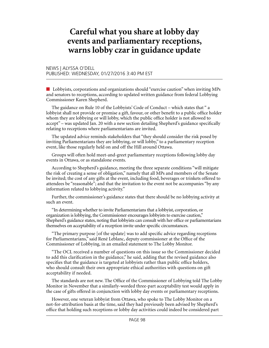# **Careful what you share at lobby day events and parliamentary receptions, warns lobby czar in guidance update**

NEWS | ALYSSA O'DELL PUBLISHED: WEDNESDAY, 01/27/2016 3:40 PM EST

■ Lobbyists, corporations and organizations should "exercise caution" when inviting MPs and senators to receptions, according to updated written guidance from federal Lobbying Commissioner Karen Shepherd.

The [guidance](http://www.ic.gc.ca/eic/site/012.nsf/eng/01183.html) on Rule 10 of the Lobbyists' Code of Conduct – which states that " a lobbyist shall not provide or promise a gift, favour, or other benefit to a public office holder whom they are lobbying or will lobby, which the public office holder is not allowed to accept" – was updated Jan. 20 with a new section detailing Shepherd's guidance specifically relating to receptions where parliamentarians are invited.

The updated advice reminds stakeholders that "they should consider the risk posed by inviting Parliamentarians they are lobbying, or will lobby," to a parliamentary reception event, like those regularly held on and off the Hill around Ottawa.

Groups will often hold meet-and-greet parliamentary receptions following lobby day events in Ottawa, or as standalone events.

According to Shepherd's guidance, meeting the three separate conditions "will mitigate the risk of creating a sense of obligation," namely that all MPs and members of the Senate be invited; the cost of any gifts at the event, including food, beverages or trinkets offered to attendees be "reasonable"; and that the invitation to the event not be accompanies "by any information related to lobbying activity."

Further, the commissioner's guidance states that there should be no lobbying activity at such an event.

"In determining whether to invite Parliamentarians that a lobbyist, corporation, or organization is lobbying, the Commissioner encourages lobbyists to exercise caution," Shepherd's guidance states, noting that lobbyists can consult with her office or parliamentarians themselves on acceptability of a reception invite under specific circumstances.

"The primary purpose [of the update] was to add specific advice regarding receptions for Parliamentarians," said René Leblanc, deputy commissioner at the Office of the Commissioner of Lobbying, in an emailed statement to The Lobby Monitor.

"The OCL received a number of questions on this issue so the Commissioner decided to add this clarification in the guidance," he said, adding that the revised guidance also specifies that the guidance is targeted at lobbyists rather than public office holders, who should consult their own appropriate ethical authorities with questions on gift acceptability if needed.

The standards are not new. The Office of the Commissioner of Lobbying told The Lobby Monitor in November that a similarly-worded three-part acceptability test would apply in the case of gifts offered in conjunction with lobby day events or parliamentary receptions.

However, one veteran lobbyist from Ottawa, who spoke to The Lobby Monitor on a not-for-attribution basis at the time, said they had previously been advised by Shepherd's office that holding such receptions or lobby day activities could indeed be considered part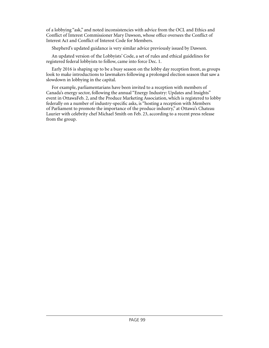of a lobbying "ask," and noted [inconsistencies with advice](http://www.lobbymonitor.ca/2015/11/27/confusion-on-gifting-rules-conflicting-advice-from-watchdogs-getting-ridiculous-mps-and/14236) from the OCL and Ethics and Conflict of Interest Commissioner Mary Dawson, whose office oversees the Conflict of Interest Act and Conflict of Interest Code for Members.

Shepherd's updated guidance is very similar advice [previously issued](http://www.lobbymonitor.ca/2015/11/27/confusion-on-gifting-rules-conflicting-advice-from-watchdogs-getting-ridiculous-mps-and/14236) by Dawson.

An [updated version](http://www.lobbymonitor.ca/2015/11/13/lobbyists-code-guidance-on-political-activities-may-be-amended-before-rules-come-into-force/14191) of the Lobbyists' Code, a set of rules and ethical guidelines for registered federal lobbyists to follow, came into force Dec. 1.

Early 2016 is shaping up to be a busy season on the lobby day reception front, as groups look to make introductions to lawmakers following a prolonged election season that saw a slowdown in lobbying in the capital.

For example, parliamentarians have been invited to a reception with members of Canada's energy sector, following the annual "Energy Industry: Updates and Insights" event in Ottaw[aFeb. 2](http://www.lobbymonitor.ca/calendar/2016-2-2), and the Produce Marketing Association, which is registered to lobby federally on a number of industry-specific asks, is "hosting a reception with Members of Parliament to promote the importance of the produce industry," at Ottawa's Chateau Laurier with celebrity chef Michael Smith on [Feb. 23](http://www.lobbymonitor.ca/weeklycalendar/2016-02-22), according to a recent press release from the group.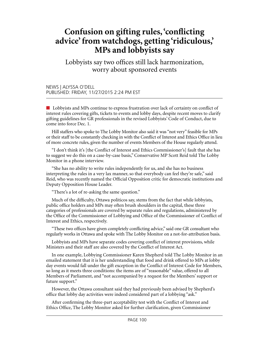# **Confusion on gifting rules, 'conflicting advice' from watchdogs, getting 'ridiculous,' MPs and lobbyists say**

Lobbyists say two offices still lack harmonization, worry about sponsored events

NEWS | ALYSSA O'DELL PUBLISHED: FRIDAY, 11/27/2015 2:24 PM EST

n Lobbyists and MPs continue to express frustration over lack of certainty on conflict of interest rules covering gifts, tickets to events and lobby days, despite recent moves to clarify gifting guidelines for GR professionals in the revised Lobbyists' Code of Conduct, due to come into force Dec. 1.

Hill staffers who spoke to The Lobby Monitor also said it was "not very" feasible for MPs or their staff to be constantly checking in with the Conflict of Interest and Ethics Office in lieu of more concrete rules, given the number of events Members of the House regularly attend.

"I don't think it's [the Conflict of Interest and Ethics Commissioner's] fault that she has to suggest we do this on a case-by-case basis," Conservative MP Scott Reid told The Lobby Monitor in a phone interview.

"She has no ability to write rules independently for us, and she has no business interpreting the rules in a very lax manner, so that everybody can feel they're safe," said Reid, who was recently named the Official Opposition critic for democratic institutions and Deputy Opposition House Leader.

"There's a lot of re-asking the same question."

Much of the difficulty, Ottawa politicos say, stems from the fact that while lobbyists, public office holders and MPs may often brush shoulders in the capital, these three categories of professionals are covered by separate rules and regulations, administered by the Office of the Commissioner of Lobbying and Office of the Commissioner of Conflict of Interest and Ethics, respectively.

"These two offices have given completely conflicting advice," said one GR consultant who regularly works in Ottawa and spoke with The Lobby Monitor on a not-for-attribution basis.

Lobbyists and MPs have separate codes covering conflict of interest provisions, while Ministers and their staff are also covered by the Conflict of Interest Act.

In one example, Lobbying Commissioner Karen Shepherd told The Lobby Monitor in an emailed statement that it is her understanding that food and drink offered to MPs at lobby day events would fall under the gift exception in the Conflict of Interest Code for Members, so long as it meets three conditions: the items are of "reasonable" value, offered to all Members of Parliament, and "not accompanied by a request for the Members' support or future support."

However, the Ottawa consultant said they had previously been advised by Shepherd's office that lobby day activities were indeed considered part of a lobbying "ask."

After confirming the three-part acceptability test with the Conflict of Interest and Ethics Office, The Lobby Monitor asked for further clarification, given Commissioner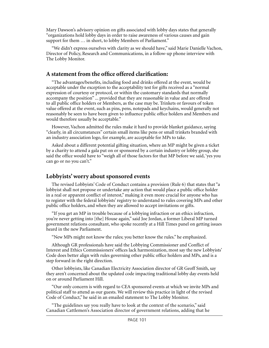Mary Dawson's [advisory opinion](http://ciec-ccie.parl.gc.ca/EN/ReportsAndPublications/Pages/AdvisoryOpinionAcceptabilityGiftsLobby.aspx) on gifts associated with lobby days states that generally "organizations hold lobby days in order to raise awareness of various causes and gain support for them … in short, to lobby Members of Parliament."

"We didn't express ourselves with clarity as we should have," said Marie Danielle Vachon, Director of Policy, Research and Communications, in a follow-up phone interview with The Lobby Monitor.

### **A statement from the office offered clarification:**

"The advantages/benefits, including food and drinks offered at the event, would be acceptable under the exception to the acceptability test for gifts received as a "normal expression of courtesy or protocol, or within the customary standards that normally accompany the position" ... provided that they are reasonable in value and are offered to all public office holders or Members, as the case may be. Trinkets or favours of token value offered at the event, such as pins, pens, notepads and keychains, would generally not reasonably be seen to have been given to influence public office holders and Members and would therefore usually be acceptable."

However, Vachon admitted the rules make it hard to provide blanket guidance, saying "clearly, in all circumstances" certain small items like pens or small trinkets branded with an industry association logo, for example, are acceptable for MPs to take.

Asked about a different potential gifting situation, where an MP might be given a ticket by a charity to attend a gala put on or sponsored by a certain industry or lobby group, she said the office would have to "weigh all of those factors for that MP before we said, 'yes you can go or no you can't."

## **Lobbyists' worry about sponsored events**

The [revised Lobbyists' Code of Conduct](http://www.lobbymonitor.ca/2015/11/13/lobbyists-code-guidance-on-political-activities-may-be-amended-before-rules-come-into-force/14191) contains a provision (Rule 6) that states that "a lobbyist shall not propose or undertake any action that would place a public office holder in a real or apparent conflict of interest," making it even more crucial for anyone who has to register with the federal lobbyists' registry to understand to rules covering MPs and other public office holders, and when they are allowed to accept invitations or gifts.

"If you get an MP in trouble because of a lobbying infraction or an ethics infraction, you're never getting into [the] House again," said Joe Jordan, a former Liberal MP turned government relations consultant, who spoke recently at a Hill Times [panel on getting issues](http://www.lobbymonitor.ca/2015/11/26/panelists-offer-advice-for-lobbyists-advocating-new-government/14234)  [heard](http://www.lobbymonitor.ca/2015/11/26/panelists-offer-advice-for-lobbyists-advocating-new-government/14234) in the new Parliament.

"New MPs might not know the rules; you better know the rules." he emphasized.

Although GR professionals have said the Lobbying Commissioner and Conflict of Interest and Ethics Commissioners' offices lack harmonization, most say the new Lobbyists' Code does better align with rules governing other public office holders and MPs, and is a step forward in the right direction.

Other lobbyists, like Canadian Electricity Association director of GR Geoff Smith, say they aren't concerned about the updated code impacting traditional lobby day events held on or around Parliament Hill.

"Our only concern is with regard to CEA sponsored events at which we invite MPs and political staff to attend as our guests. We will review this practice in light of the revised Code of Conduct," he said in an emailed statement to The Lobby Monitor.

"The guidelines say you really have to look at the context of the scenario," said Canadian Cattlemen's Association director of government relations, adding that he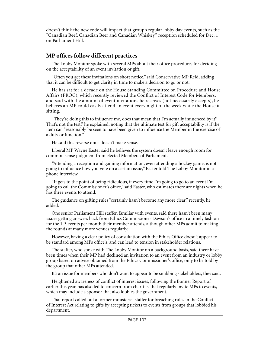doesn't think the new code will impact that group's regular lobby day events, such as the "Canadian Beef, Canadian Beer and Canadian Whiskey," reception scheduled for Dec. 1 on Parliament Hill.

### **MP offices follow different practices**

The Lobby Monitor spoke with several MPs about their office procedures for deciding on the acceptability of an event invitation or gift.

"Often you get these invitations on short notice," said Conservative MP Reid, adding that it can be difficult to get clarity in time to make a decision to go or not.

He has sat for a decade on the House Standing Committee on Procedure and House Affairs (PROC), which recently reviewed the Conflict of Interest Code for Members, and said with the amount of event invitations he receives (not necessarily accepts), he believes an MP could easily attend an event every night of the week while the House it sitting.

"They're doing this to influence me, does that mean that I'm actually influenced by it? That's not the test," he explained, noting that the ultimate test for gift acceptability is if the item can "reasonably be seen to have been given to influence the Member in the exercise of a duty or function."

He said this reverse onus doesn't make sense.

Liberal MP Wayne Easter said he believes the system doesn't leave enough room for common sense judgment from elected Members of Parliament.

"Attending a reception and gaining information, even attending a hockey game, is not going to influence how you vote on a certain issue," Easter told The Lobby Monitor in a phone interview.

"It gets to the point of being ridiculous, if every time I'm going to go to an event I'm going to call the Commissioner's office," said Easter, who estimates there are nights when he has three events to attend.

The guidance on gifting rules "certainly hasn't become any more clear," recently, he added.

One senior Parliament Hill staffer, familiar with events, said there hasn't been many issues getting answers back from Ethics Commissioner Dawson's office in a timely fashion for the 1-3 events per month their member attends, although other MPs admit to making the rounds at many more venues regularly.

However, having a clear policy of consultation with the Ethics Office doesn't appear to be standard among MPs office's, and can lead to tension in stakeholder relations.

The staffer, who spoke with The Lobby Monitor on a background basis, said there have been times when their MP had declined an invitation to an event from an industry or lobby group based on advice obtained from the Ethics Commissioner's office, only to be told by the group that other MPs attended.

It's an issue for members who don't want to appear to be snubbing stakeholders, they said.

Heightened awareness of conflict of interest issues, following [the Bonner Report](http://www.lobbymonitor.ca/2015/03/30/bonner-case-will-cause-problems-for-charities-put-budgets-in-jeopardy-organizers-say/13665) of earlier this year, has also led to concern from charities that regularly invite MPs to events, which may include a sponsor that also lobbies the government.

That report called out a former ministerial staffer for breaching rules in the Conflict of Interest Act relating to gifts by accepting tickets to events from groups that lobbied his department.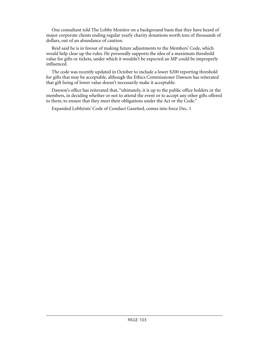One consultant told The Lobby Monitor on a background basis that they have heard of major corporate clients ending regular yearly charity donations worth tens of thousands of dollars, out of an abundance of caution.

Reid said he is in favour of making future adjustments to the Members' Code, which would help clear up the rules. He personally supports the idea of a maximum threshold value for gifts or tickets, under which it wouldn't be expected an MP could be improperly influenced.

The code was recently updated in October to include a lower \$200 reporting threshold for gifts that may be acceptable, although the Ethics Commissioner Dawson has reiterated that gift being of lower value doesn't necessarily make it acceptable.

Dawson's office has reiterated that, "ultimately, it is up to the public office holders or the members, in deciding whether or not to attend the event or to accept any other gifts offered to them, to ensure that they meet their obligations under the Act or the Code."

Expanded Lobbyists' Code of Conduct Gazetted, comes into force Dec. 1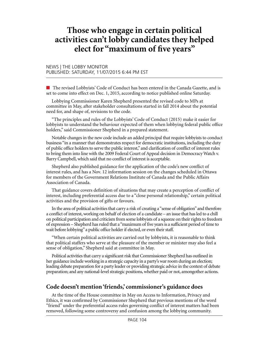# **Those who engage in certain political activities can't lobby candidates they helped elect for "maximum of five years"**

#### NEWS | THE LOBBY MONITOR PUBLISHED: SATURDAY, 11/07/2015 6:44 PM EST

n The revised Lobbyists' Code of Conduct has been entered in the [Canada Gazette](http://www.gazette.gc.ca/rp-pr/p1/2015/2015-11-07/html/index-eng.php), and is set to come into effect on Dec. 1, 2015, according to notice published online Saturday.

Lobbying Commissioner Karen Shepherd presented the revised code to MPs at committee [in May,](http://www.lobbymonitor.ca/2015/05/26/new-lobbyists-code-of-conduct-strongly-worded-more-prohibitive-with-no-mention-of-%E2%80%9Cfriends%E2%80%9D/13791) after stakeholder consultations started in fall 2014 about the potential need for, and shape of, revisions to the code.

"The principles and rules of the Lobbyists' Code of Conduct (2015) make it easier for lobbyists to understand the behaviour expected of them when lobbying federal public office holders," said Commissioner Shepherd in a prepared statement.

Notable changes in the new code include an added principal that require lobbyists to conduct business "in a manner that demonstrates respect for democratic institutions, including the duty of public office holders to serve the public interest," and clarification of conflict of interest rules to bring them into line with the 2009 Federal Court of Appeal decision in Democracy Watch v. Barry Campbell, which said that no conflict of interest is acceptable.

Shepherd also published guidance for the application of the code's new conflict of interest rules, and has a [Nov. 12](http://www.lobbymonitor.ca/calendar/2015-11-12) information session on the changes scheduled in Ottawa for members of the Government Relations Institute of Canada and the Public Affairs Association of Canada.

That [guidance](http://www.ocl-cal.gc.ca/eic/site/012.nsf/eng/01194.html) covers definition of situations that may create a perception of conflict of interest, including preferential access due to a "close personal relationship," certain political activities and the provision of gifts or favours.

In the area of political activities that carry a risk of creating a "sense of obligation" and therefore a conflict of interest, working on behalf of election of a candidate – an issue that has led to a chill on political participation and criticism from some lobbyists of a squeeze on their rights to freedom of expression – Shepherd has ruled that a "maximum of five years is a sufficient period of time to wait before lobbying" a public office holder if elected, or even their staff.

"When certain political activities are carried out by lobbyists, it is reasonable to think that political staffers who serve at the pleasure of the member or minister may also feel a sense of obligation," Shepherd said at committee in May.

Political activities that carry a significant risk that Commissioner Shepherd has outlined in her guidance include working in a strategic capacity in a party's war room during an election; leading debate preparation for a party leader or providing strategic advice in the context of debate preparation; and any national-level strategic positions, whether paid or not, amon[gother actions](http://www.ocl-cal.gc.ca/eic/site/012.nsf/eng/01182.html).

### **Code doesn't mention 'friends,' commissioner's guidance does**

At the time of the House committee in May on Access to Information, Privacy and Ethics, it was confirmed by Commissioner Shepherd that previous mentions of the word "friend" under the preferential access rules governing conflict of interest matters had been removed, following some controversy and confusion among the lobbying community.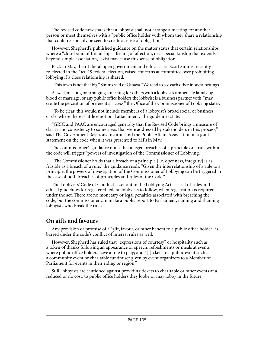The revised code now states that a lobbyist shall not arrange a meeting for another person or meet themselves with a "public office holder with whom they share a relationship that could reasonably be seen to create a sense of obligation."

However, Shepherd's [published guidance](http://www.ocl-cal.gc.ca/eic/site/012.nsf/eng/01181.html) on the matter states that certain relationships where a "close bond of friendship, a feeling of affection, or a special kinship that extends beyond simple association," exist may cause this sense of obligation.

Back in May, then-Liberal open government and ethics critic Scott Simms, recently re-elected in the Oct. 19 federal election, raised concerns at committee over prohibiting lobbying if a close relationship is shared.

"This town is not that big," Simms said of Ottawa. "We tend to see each other in social settings."

As well, meeting or arranging a meeting for others with a lobbyist's immediate family by blood or marriage, or any public office holders the lobbyist is a business partner with, "may create the perception of preferential access," the Office of the Commissioner of Lobbying states.

"To be clear, this would not include members of a lobbyist's broad social or business circle, where there is little emotional attachment," the guidelines state.

"GRIC and PAAC are encouraged generally that the Revised Code brings a measure of clarity and consistency to some areas that were addressed by stakeholders in this process," said The Government Relations Institute and the Public Affairs Association in a joint statement on the code when it was presented to MPs in May.

The commissioner's guidance notes that alleged breaches of a principle or a rule within the code will trigger "powers of investigation of the Commissioner of Lobbying."

"The Commissioner holds that a breach of a principle [i.e. openness, integrity] is as feasible as a breach of a rule," the guidance reads. "Given the interrelationship of a rule to a principle, the powers of investigation of the Commissioner of Lobbying can be triggered in the case of both breaches of principles and rules of the Code."

The Lobbyists' Code of Conduct is set out in the Lobbying Act as a set of rules and ethical guidelines for registered federal lobbyists to follow, when registration is required under the act. There are no monetary or legal penalties associated with breaching the code, but the commissioner can make a public report to Parliament, naming and shaming lobbyists who break the rules.

### **On gifts and favours**

Any provision or promise of a "gift, favour, or other benefit to a public office holder" is barred under the code's conflict of interest rules as well.

However, Shepherd has ruled that "expressions of courtesy" or hospitality such as a token of thanks following an appearance or speech; refreshments or meals at events where public office holders have a role to play; and "[t]ickets to a public event such as a community event or charitable fundraiser given by event organizers to a Member of Parliament for events in their riding or region."

Still, lobbyists are cautioned against providing tickets to charitable or other events at a reduced or no cost, to public office holders they lobby or may lobby in the future.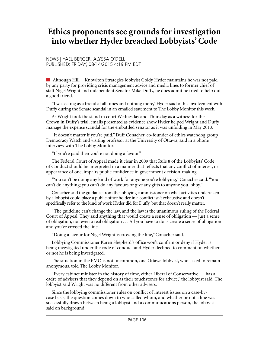# **Ethics proponents see grounds for investigation into whether Hyder breached Lobbyists' Code**

#### NEWS | YAEL BERGER, ALYSSA O'DELL PUBLISHED: FRIDAY, 08/14/2015 4:19 PM EDT

 $\blacksquare$  Although Hill + Knowlton Strategies lobbyist Goldy Hyder maintains he was not paid by any party for providing crisis management advice and media lines to former chief of staff Nigel Wright and independent Senator Mike Duffy, he does admit he tried to help out a good friend.

"I was acting as a friend at all times and nothing more," Hyder said of his involvement with Duffy during the Senate scandal in an emailed statement to The Lobby Monitor this week.

As Wright took the stand in court Wednesday and Thursday as a witness for the Crown in Duffy's trial, emails presented as evidence show Hyder helped Wright and Duffy manage the expense scandal for the embattled senator as it was unfolding in May 2013.

"It doesn't matter if you're paid," Duff Conacher, co-founder of ethics watchdog group Democracy Watch and visiting professor at the University of Ottawa, said in a phone interview with The Lobby Monitor.

"If you're paid then you're not doing a favour."

The Federal Court of Appeal made it clear in 2009 that Rule 8 of the Lobbyists' Code of Conduct should be interpreted in a manner that reflects that any conflict of interest, or appearance of one, impairs public confidence in government decision-making.

"You can't be doing any kind of work for anyone you're lobbying," Conacher said. "You can't do anything; you can't do any favours or give any gifts to anyone you lobby."

Conacher said the guidance from the lobbying commissioner on what activities undertaken by a lobbyist could place a public office holder in a conflict isn't exhaustive and doesn't specifically refer to the kind of work Hyder did for Duffy, but that doesn't really matter.

"The guideline can't change the law, and the law is the unanimous ruling of the Federal Court of Appeal. They said anything that would create a sense of obligation — just a sense of obligation, not even a real obligation . . . All you have to do is create a sense of obligation and you've crossed the line."

"Doing a favour for Nigel Wright is crossing the line," Conacher said.

Lobbying Commissioner Karen Shepherd's office won't confirm or deny if Hyder is being investigated under the code of conduct and Hyder declined to comment on whether or not he is being investigated.

The situation in the PMO is not uncommon, one Ottawa lobbyist, who asked to remain anonymous, told The Lobby Monitor.

"Every cabinet minister in the history of time, either Liberal of Conservative . . . has a cadre of advisers that they depend on as their touchstones for advice," the lobbyist said. The lobbyist said Wright was no different from other advisers.

Since the lobbying commissioner rules on conflict of interest issues on a case-bycase basis, the question comes down to who called whom, and whether or not a line was successfully drawn between being a lobbyist and a communications person, the lobbyist said on background.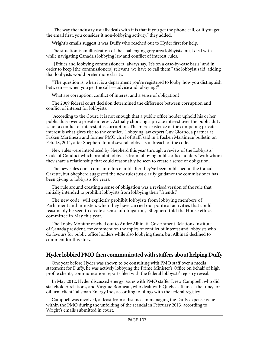"The way the industry usually deals with it is that if you get the phone call, or if you get the email first, you consider it non-lobbying activity," they added.

Wright's emails suggest it was Duffy who reached out to Hyder first for help.

The situation is an illustration of the challenging grey area lobbyists must deal with while navigating Canada's lobbying law and conflict of interest rules.

"[Ethics and lobbying commissioners] always say, 'It's on a case-by-case basis,' and in order to keep [the commissioners] relevant, we have to call them," the lobbyist said, adding that lobbyists would prefer more clarity.

"The question is, when it is a department you're registered to lobby, how you distinguish between — when you get the call — advice and lobbying?"

What are corruption, conflict of interest and a sense of obligation?

The 2009 federal court decision determined the difference between corruption and conflict of interest for lobbyists.

"According to the Court, it is not enough that a public office holder uphold his or her public duty over a private interest. Actually choosing a private interest over the public duty is not a conflict of interest; it is corruption. The mere existence of the competing private interest is what gives rise to the conflict," Lobbying law expert Guy Giorno, a partner at Fasken Martineau and former PMO chief of staff, said in a Fasken Martineau bulletin on Feb. 18, 2011, after Shepherd found several lobbyists in breach of the code.

New rules were introduced by Shepherd this year through a review of the Lobbyists' Code of Conduct which prohibit lobbyists from lobbying public office holders "with whom they share a relationship that could reasonably be seen to create a sense of obligation."

The new rules don't come into force until after they've been published in the Canada Gazette, but Shepherd suggested the new rules just clarify guidance the commissioner has been giving to lobbyists for years.

The rule around creating a sense of obligation was a revised version of the rule that initially intended to prohibit lobbyists from lobbying their "friends."

The new code "will explicitly prohibit lobbyists from lobbying members of Parliament and ministers when they have carried out political activities that could reasonably be seen to create a sense of obligation," Shepherd told the House ethics committee in May this year.

The Lobby Monitor reached out to André Albinati, Government Relations Institute of Canada president, for comment on the topics of conflict of interest and lobbyists who do favours for public office holders while also lobbying them, but Albinati declined to comment for this story.

#### **Hyder lobbied PMO then communicated with staffers about helping Duffy**

One year before Hyder was shown to be [consulting with PMO staff](http://lobbymonitor.ca/2015/08/13/h%20k-president-developed-media-strategy-with-duffy-wright-during-senate-expense-scandal-emails/13967) over a media statement for Duffy, he was actively lobbying the Prime Minister's Office on behalf of high profile clients, communication reports filed with the federal lobbyists' registry reveal.

In May 2012, Hyder discussed energy issues with PMO staffer Drew Campbell, who did stakeholder relations, and Virginie Bonneau, who dealt with Quebec affairs at the time, for oil firm client Talisman Energy Inc., according to filings with the federal registry.

Campbell was involved, at least from a distance, in managing the Duffy expense issue within the PMO during the unfolding of the scandal in February 2013, according to Wright's emails submitted in court.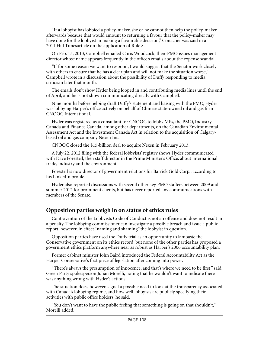"If a lobbyist has lobbied a policy-maker, she or he cannot then help the policy-maker afterwards because that would amount to returning a favour that the policy-maker may have done for the lobbyist in making a favourable decision," Conacher was said in a 2011 Hill Timesarticle on the application of Rule 8.

On Feb. 15, 2013, Campbell emailed Chris Woodcock, then-PMO issues management director whose name appears frequently in the office's emails about the expense scandal.

"If for some reason we want to respond, I would suggest that the Senator work closely with others to ensure that he has a clear plan and will not make the situation worse," Campbell wrote in a discussion about the possibility of Duffy responding to media criticism later that month.

The emails don't show Hyder being looped in and contributing media lines until the end of April, and he is not shown communicating directly with Campbell.

Nine months before helping draft Duffy's statement and liaising with the PMO, Hyder was lobbying Harper's office actively on behalf of Chinese state-owned oil and gas firm CNOOC International.

Hyder was registered as a consultant for CNOOC to lobby MPs, the PMO, Industry Canada and Finance Canada, among other departments, on the Canadian Environmental Assessment Act and the Investment Canada Act in relation to the acquisition of Calgarybased oil and gas company Nexen Inc.

CNOOC closed the \$15-billion deal to acquire Nexen in February 2013.

A July 22, 2012 filing with the federal lobbyists' registry shows Hyder communicated with Dave Forestell, then staff director in the Prime Minister's Office, about international trade, industry and the environment.

Forestell is now director of government relations for Barrick Gold Corp., according to his LinkedIn profile.

Hyder also reported discussions with several other key PMO staffers between 2009 and summer 2012 for prominent clients, but has never reported any communications with members of the Senate.

#### **Opposition parties weigh in on status of ethics rules**

Contravention of the Lobbyists Code of Conduct is not an offence and does not result in a penalty. The lobbying commissioner can investigate a possible breach and issue a public report, however, in effect "naming and shaming" the lobbyist in question.

Opposition parties have used the Duffy trial as an opportunity to lambaste the Conservative government on its ethics record, but none of the other parties has proposed a government ethics platform anywhere near as robust as Harper's 2006 accountability plan.

Former cabinet minister John Baird introduced the Federal Accountability Act as the Harper Conservative's first piece of legislation after coming into power.

"There's always the presumption of innocence, and that's where we need to be first," said Green Party spokesperson Julian Morelli, noting that he wouldn't want to indicate there was anything wrong with Hyder's actions.

The situation does, however, signal a possible need to look at the transparency associated with Canada's lobbying regime, and how well lobbyists are publicly specifying their activities with public office holders, he said.

"You don't want to have the public feeling that something is going on that shouldn't," Morelli added.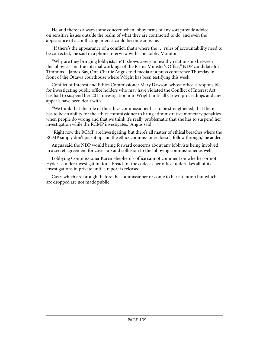He said there is always some concern when lobby firms of any sort provide advice on sensitive issues outside the realm of what they are contracted to do, and even the appearance of a conflicting interest could become an issue.

"If there's the appearance of a conflict, that's where the … rules of accountability need to be corrected," he said in a phone interview with The Lobby Monitor.

"Why are they bringing lobbyists in? It shows a very unhealthy relationship between the lobbyists and the internal workings of the Prime Minister's Office," NDP candidate for Timmins—James Bay, Ont. Charlie Angus told media at a press conference Thursday in front of the Ottawa courthouse where Wright has been testifying this week.

Conflict of Interest and Ethics Commissioner Mary Dawson, whose office is responsible for investigating public office holders who may have violated the Conflict of Interest Act, has had to suspend her 2013 investigation into Wright until all Crown proceedings and any appeals have been dealt with.

"We think that the role of the ethics commissioner has to be strengthened, that there has to be an ability for the ethics commissioner to bring administrative monetary penalties when people do wrong and that we think it's really problematic that she has to suspend her investigation while the RCMP investigates," Angus said.

"Right now the RCMP are investigating, but there's all matter of ethical breaches where the RCMP simply don't pick it up and the ethics commissioner doesn't follow through," he added.

Angus said the NDP would bring forward concerns about any lobbyists being involved in a secret agreement for cover-up and collusion to the lobbying commissioner as well.

Lobbying Commissioner Karen Shepherd's office cannot comment on whether or not Hyder is under investigation for a breach of the code, as her office undertakes all of its investigations in private until a report is released.

Cases which are brought before the commissioner or come to her attention but which are dropped are not made public.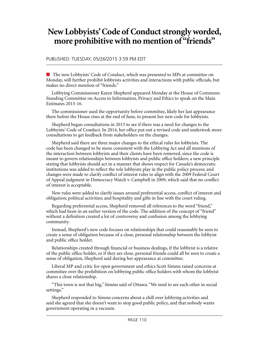# **New Lobbyists' Code of Conduct strongly worded, more prohibitive with no mention of "friends"**

#### PUBLISHED: TUESDAY, 05/26/2015 3:59 PM EDT

n The new Lobbyists' Code of Conduct, which was presented to MPs at committee on Monday, will further prohibit lobbyists activities and interactions with public officials, but makes no direct mention of "friends."

Lobbying Commissioner Karen Shepherd appeared Monday at the House of Commons Standing Committee on Access to Information, Privacy and Ethics to speak on the Main Estimates 2015-16.

The commissioner used the opportunity before committee, likely her last appearance there before the House rises at the end of June, to present her new code for lobbyists.

Shepherd began consultations in 2013 to see if there was a need for changes to the Lobbyists' Code of Conduct. In 2014, her office put out a [revised code](http://www.lobbymonitor.ca/2014/10/16/shepherd-proposes-new-code-ethics-rules/13301) and undertook more consultations to get feedback from stakeholders on the changes.

Shepherd said there are three major changes to the ethical rules for lobbyists. The code has been changed to be more consistent with the Lobbying Act and all mentions of the interaction between lobbyists and their clients have been removed, since the code is meant to govern relationships between lobbyists and public office holders; a new principle stating that lobbyists should act in a manner that shows respect for Canada's democratic institutions was added to reflect the role lobbyists play in the public policy process; and changes were made to clarify conflict of interest rules to align with the 2009 Federal Court of Appeal judgment in Democracy Watch v. Campbell in 2009, which said that no conflict of interest is acceptable.

New rules were added to clarify issues around preferential access, conflict of interest and obligation; political activities; and hospitality and gifts in line with the court ruling.

Regarding preferential access, Shepherd removed all references to the word "[friend](http://www.lobbymonitor.ca/2014/12/19/ban-on-lobbying-friends-is-a-solution-in-search-of-a-problem-lobbyists-say/13413)," which had been in an earlier version of the code. The addition of the concept of "friend" without a definition created a lot of controversy and confusion among the lobbying community.

Instead, Shepherd's new code focuses on relationships that could reasonably be seen to create a sense of obligation because of a close, personal relationship between the lobbyist and public office holder.

Relationships created through financial or business dealings, if the lobbyist is a relative of the public office holder, or if they are close, personal friends could all be seen to create a sense of obligation, Shepherd said during her appearance at committee.

Liberal MP and critic for open government and ethics Scott Simms raised concerns at committee over the prohibition on lobbying public office holders with whom the lobbyist shares a close relationship.

"This town is not that big," Simms said of Ottawa. "We tend to see each other in social settings."

Shepherd responded to Simms concerns about a chill over lobbying activities and said she agreed that she doesn't want to stop good public policy, and that nobody wants government operating in a vacuum.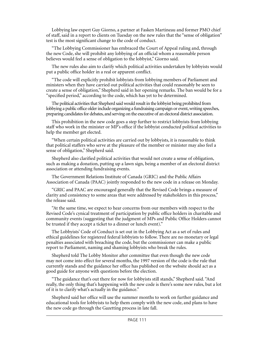Lobbying law expert Guy Giorno, a partner at Fasken Martineau and former PMO chief of staff, said in a report to clients on Tuesday on the new rules that the "sense of obligation" test is the most significant change to the code of conduct.

"The Lobbying Commissioner has embraced the Court of Appeal ruling and, through the new Code, she will prohibit any lobbying of an official whom a reasonable person believes would feel a sense of obligation to the lobbyist," Giorno said.

The new rules also aim to clarify which political activities undertaken by lobbyists would put a public office holder in a real or apparent conflict.

"The code will explicitly prohibit lobbyists from lobbying members of Parliament and ministers when they have carried out political activities that could reasonably be seen to create a sense of obligation," Shepherd said in her opening remarks. The ban would be for a "specified period," according to the code, which has yet to be determined.

The political activities that Shepherd said would result in the lobbyist being prohibited from lobbying a public office older include organizing a fundraising campaign or event, writing speeches, preparing candidates for debates, and serving on the executive of an electoral district association.

This prohibition in the new code goes a step further to restrict lobbyists from lobbying staff who work in the minister or MP's office if the lobbyist conducted political activities to help the member get elected.

"When certain political activities are carried out by lobbyists, it is reasonable to think that political staffers who serve at the pleasure of the member or minister may also feel a sense of obligation," Shepherd said.

Shepherd also clarified political activities that would not create a sense of obligation, such as making a donation, putting up a lawn sign, being a member of an electoral district association or attending fundraising events.

The Government Relations Institute of Canada (GRIC) and the Public Affairs Association of Canada (PAAC) jointly responded to the new code in a release on Monday.

"GRIC and PAAC are encouraged generally that the Revised Code brings a measure of clarity and consistency to some areas that were addressed by stakeholders in this process," the release said.

"At the same time, we expect to hear concerns from our members with respect to the Revised Code's cynical treatment of participation by public office holders in charitable and community events (suggesting that the judgment of MPs and Public Office Holders cannot be trusted if they accept a ticket to a dinner or lunch event)."

The Lobbyists' Code of Conduct is set out in the Lobbying Act as a set of rules and ethical guidelines for registered federal lobbyists to follow. There are no monetary or legal penalties associated with breaching the code, but the commissioner can make a public report to Parliament, naming and shaming lobbyists who break the rules.

Shepherd told The Lobby Monitor after committee that even though the new code may not come into effect for several months, the 1997 version of the code is the rule that currently stands and the guidance her office has published on the website should act as a good guide for anyone with questions before the election.

"The guidance that's out there for now for lobbyists still stands," Shepherd said. "And really, the only thing that's happening with the new code is there's some new rules, but a lot of it is to clarify what's actually in the guidance."

Shepherd said her office will use the summer months to work on further guidance and educational tools for lobbyists to help them comply with the new code, and plans to have the new code go through the Gazetting process in late fall.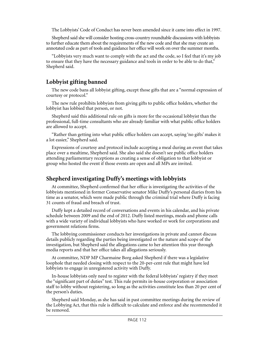The Lobbyists' Code of Conduct has never been amended since it came into effect in 1997.

Shepherd said she will consider hosting cross-country roundtable discussions with lobbyists to further educate them about the requirements of the new code and that she may create an annotated code as part of tools and guidance her office will work on over the summer months.

"Lobbyists very much want to comply with the act and the code, so I feel that it's my job to ensure that they have the necessary guidance and tools in order to be able to do that," Shepherd said.

## **Lobbyist gifting banned**

The new code bans all lobbyist gifting, except those gifts that are a "normal expression of courtesy or protocol."

The new rule prohibits lobbyists from giving gifts to public office holders, whether the lobbyist has lobbied that person, or not.

Shepherd said this additional rule on gifts is more for the occasional lobbyist than the professional, full-time consultants who are already familiar with what public office holders are allowed to accept.

"Rather than getting into what public office holders can accept, saying 'no gifts' makes it a lot easier," Shepherd said.

Expressions of courtesy and protocol include accepting a meal during an event that takes place over a mealtime, Shepherd said. She also said she doesn't see public office holders attending parliamentary receptions as creating a sense of obligation to that lobbyist or group who hosted the event if those events are open and all MPs are invited.

### **Shepherd investigating Duffy's meetings with lobbyists**

At committee, Shepherd confirmed that her office is investigating the activities of the lobbyists mentioned in former Conservative senator Mike Duffy's personal [diaries](http://www.lobbymonitor.ca/2015/05/01/duffy-diaries-now-suspended-senator-held-private-consultations-with-leaders-from-canadas-top/13745) from his time as a senator, which were made public through the criminal trial where Duffy is facing 31 counts of fraud and breach of trust.

Duffy kept a detailed record of conversations and events in his calendar, and his private schedule between 2009 and the end of 2012. Duffy listed meetings, meals and phone calls with a wide variety of individual lobbyists who have worked or work for corporations and government relations firms.

The lobbying commissioner conducts her investigations in private and cannot discuss details publicly regarding the parties being investigated or the nature and scope of the investigation, but Shepherd said the allegations came to her attention this year through media reports and that her office takes all allegations seriously.

At committee, NDP MP Charmaine Borg asked Shepherd if there was a legislative loophole that needed closing with respect to the 20-per-cent rule that might have led lobbyists to engage in unregistered activity with Duffy.

In-house lobbyists only need to register with the federal lobbyists' registry if they meet the "significant part of duties" test. This rule permits in-house corporation or association staff to lobby without registering, so long as the activities constitute less than 20 per cent of the person's duties.

Shepherd said Monday, as she has said in past committee meetings during the review of the Lobbying Act, that this rule is difficult to calculate and enforce and she recommended it be removed.